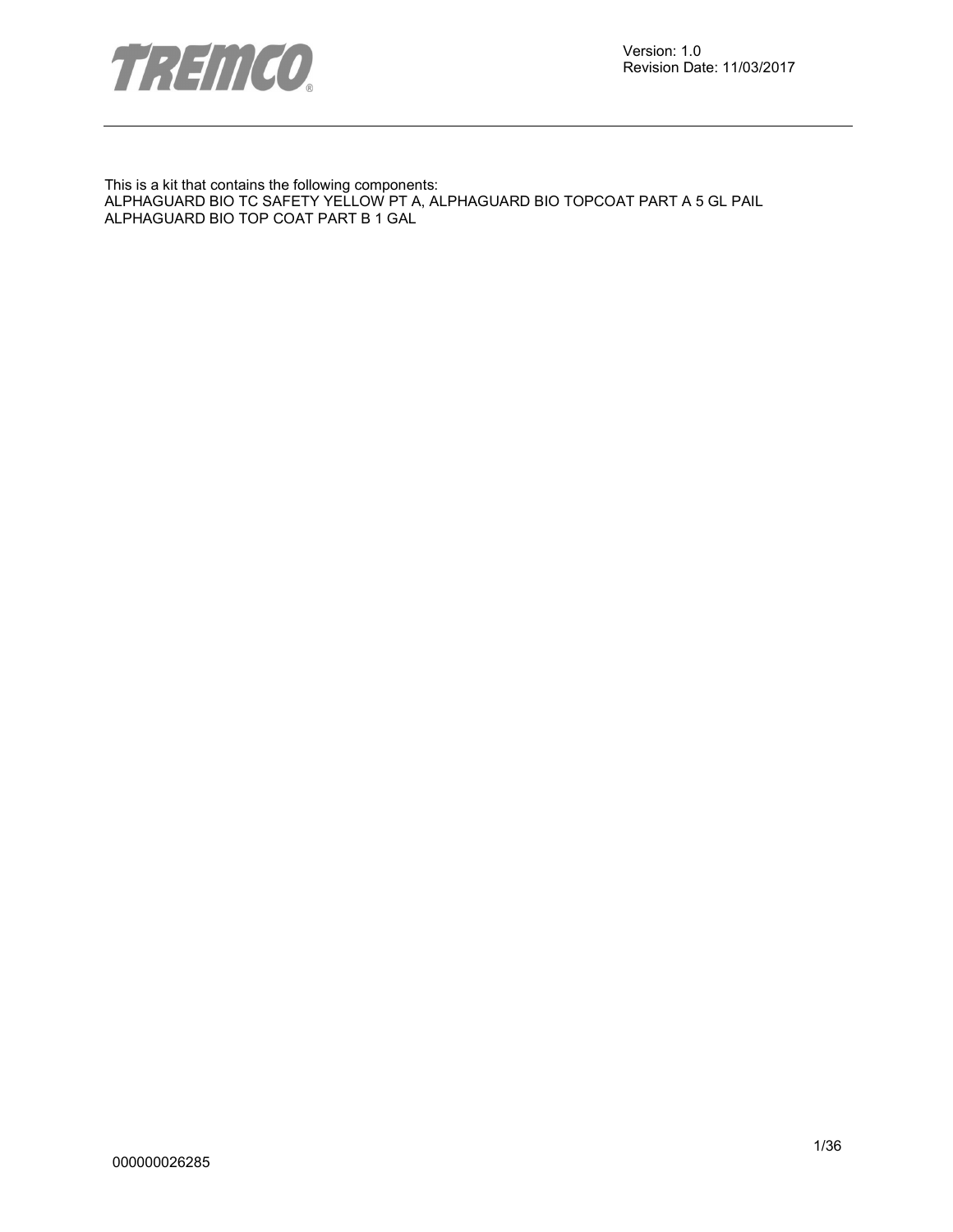

This is a kit that contains the following components: ALPHAGUARD BIO TC SAFETY YELLOW PT A, ALPHAGUARD BIO TOPCOAT PART A 5 GL PAIL ALPHAGUARD BIO TOP COAT PART B 1 GAL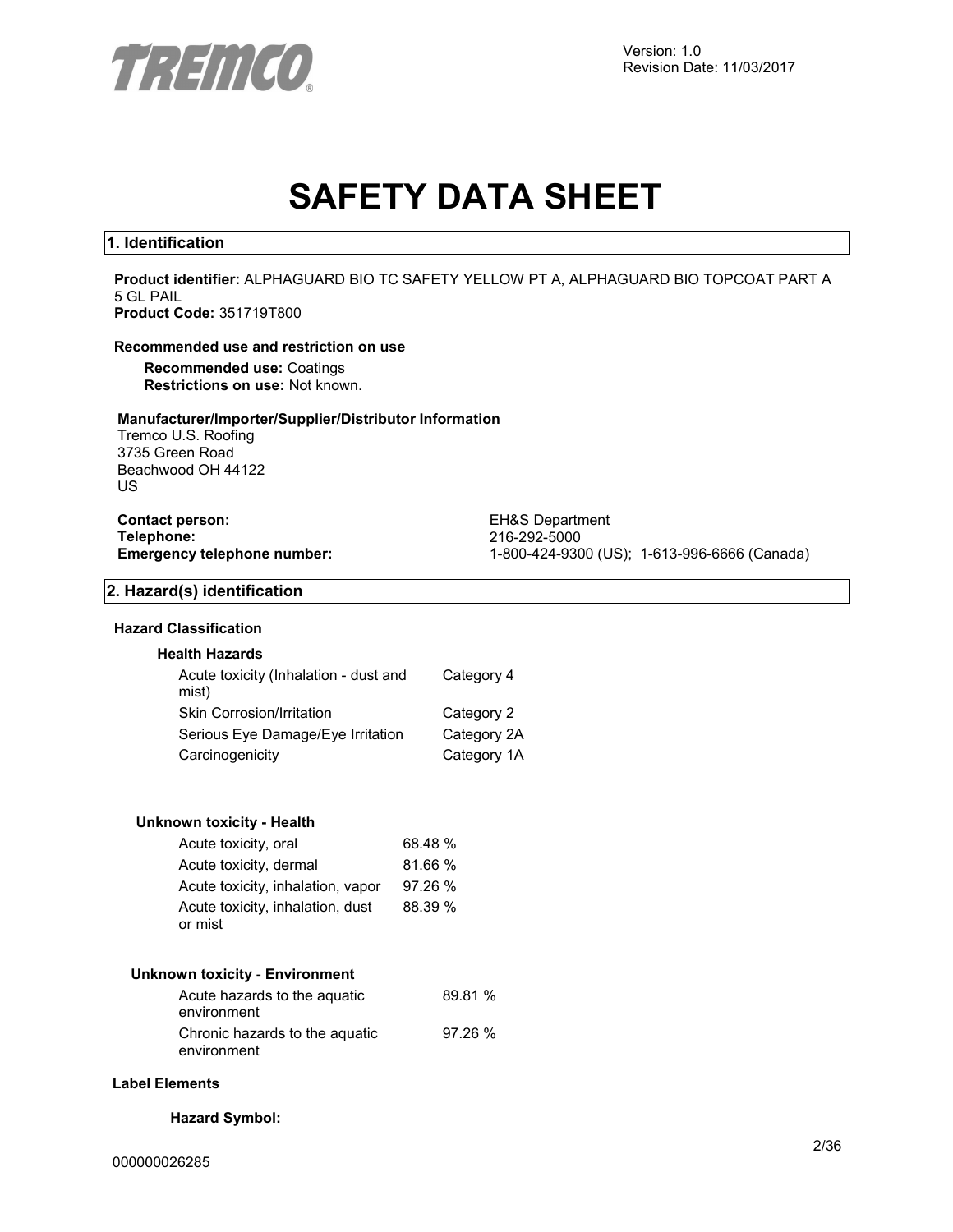

## **SAFETY DATA SHEET**

#### **1. Identification**

**Product identifier:** ALPHAGUARD BIO TC SAFETY YELLOW PT A, ALPHAGUARD BIO TOPCOAT PART A 5 GL PAIL **Product Code:** 351719T800

#### **Recommended use and restriction on use**

**Recommended use:** Coatings **Restrictions on use:** Not known.

#### **Manufacturer/Importer/Supplier/Distributor Information**

Tremco U.S. Roofing 3735 Green Road Beachwood OH 44122 US

**Contact person:** EH&S Department **Telephone:** 216-292-5000

**Emergency telephone number:** 1-800-424-9300 (US); 1-613-996-6666 (Canada)

#### **2. Hazard(s) identification**

#### **Hazard Classification**

#### **Health Hazards**

| Acute toxicity (Inhalation - dust and<br>mist) | Category 4  |
|------------------------------------------------|-------------|
| Skin Corrosion/Irritation                      | Category 2  |
| Serious Eye Damage/Eye Irritation              | Category 2A |
| Carcinogenicity                                | Category 1A |

#### **Unknown toxicity - Health**

| Acute toxicity, oral              | 68.48 % |
|-----------------------------------|---------|
| Acute toxicity, dermal            | 81.66 % |
| Acute toxicity, inhalation, vapor | 97.26 % |
| Acute toxicity, inhalation, dust  | 88.39 % |
| or mist                           |         |

#### **Unknown toxicity** - **Environment**

| Acute hazards to the aguatic<br>environment   | 89.81 % |
|-----------------------------------------------|---------|
| Chronic hazards to the aquatic<br>environment | 97.26%  |

#### **Label Elements**

#### **Hazard Symbol:**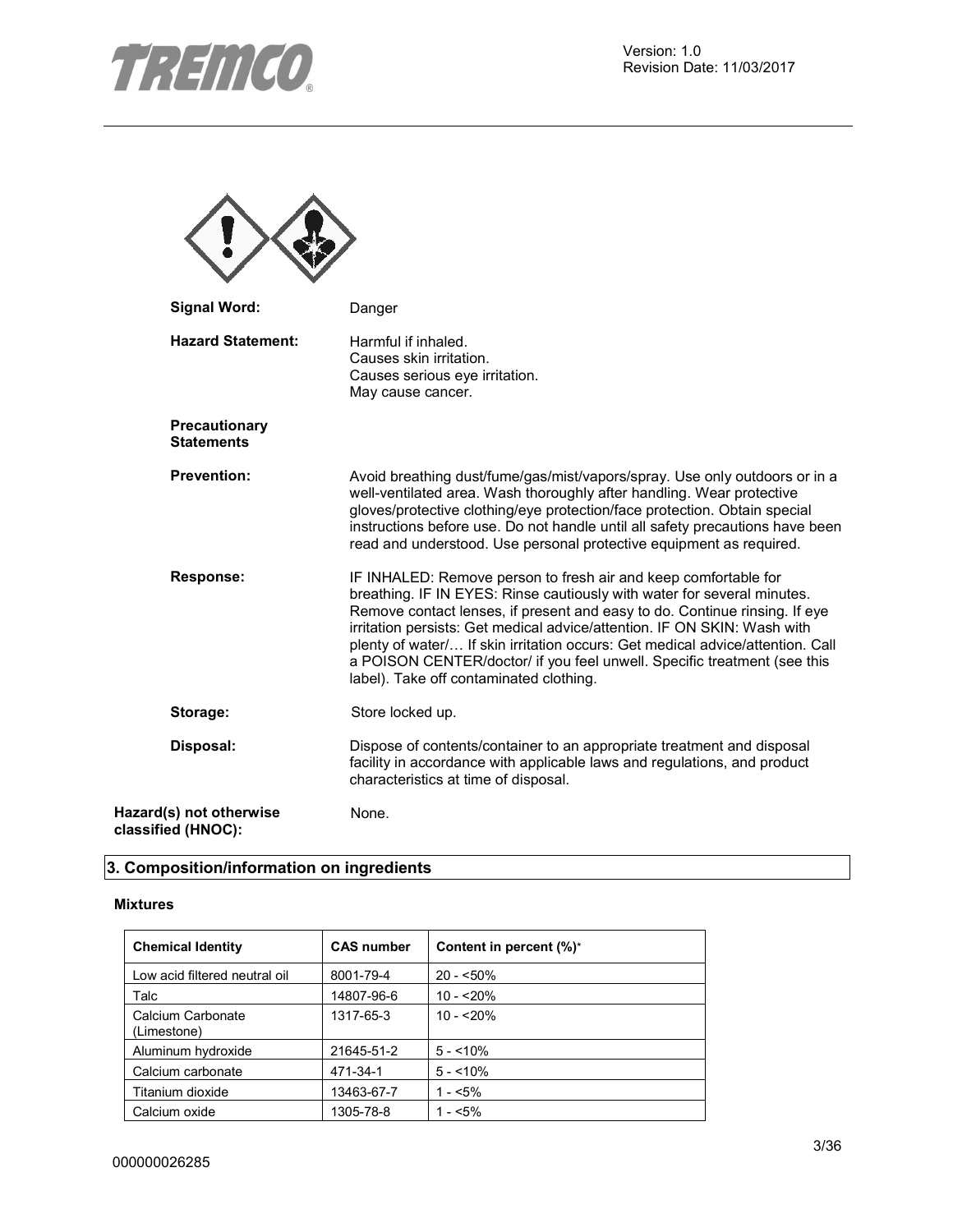

| <b>Signal Word:</b>                           | Danger                                                                                                                                                                                                                                                                                                                                                                                                                                                                                                        |
|-----------------------------------------------|---------------------------------------------------------------------------------------------------------------------------------------------------------------------------------------------------------------------------------------------------------------------------------------------------------------------------------------------------------------------------------------------------------------------------------------------------------------------------------------------------------------|
| <b>Hazard Statement:</b>                      | Harmful if inhaled.<br>Causes skin irritation.<br>Causes serious eye irritation.<br>May cause cancer.                                                                                                                                                                                                                                                                                                                                                                                                         |
| Precautionary<br><b>Statements</b>            |                                                                                                                                                                                                                                                                                                                                                                                                                                                                                                               |
| <b>Prevention:</b>                            | Avoid breathing dust/fume/gas/mist/vapors/spray. Use only outdoors or in a<br>well-ventilated area. Wash thoroughly after handling. Wear protective<br>gloves/protective clothing/eye protection/face protection. Obtain special<br>instructions before use. Do not handle until all safety precautions have been<br>read and understood. Use personal protective equipment as required.                                                                                                                      |
| <b>Response:</b>                              | IF INHALED: Remove person to fresh air and keep comfortable for<br>breathing. IF IN EYES: Rinse cautiously with water for several minutes.<br>Remove contact lenses, if present and easy to do. Continue rinsing. If eye<br>irritation persists: Get medical advice/attention. IF ON SKIN: Wash with<br>plenty of water/ If skin irritation occurs: Get medical advice/attention. Call<br>a POISON CENTER/doctor/ if you feel unwell. Specific treatment (see this<br>label). Take off contaminated clothing. |
| Storage:                                      | Store locked up.                                                                                                                                                                                                                                                                                                                                                                                                                                                                                              |
| Disposal:                                     | Dispose of contents/container to an appropriate treatment and disposal<br>facility in accordance with applicable laws and regulations, and product<br>characteristics at time of disposal.                                                                                                                                                                                                                                                                                                                    |
| Hazard(s) not otherwise<br>classified (HNOC): | None.                                                                                                                                                                                                                                                                                                                                                                                                                                                                                                         |

## **3. Composition/information on ingredients**

#### **Mixtures**

| <b>Chemical Identity</b>         | <b>CAS number</b> | Content in percent (%)* |
|----------------------------------|-------------------|-------------------------|
| Low acid filtered neutral oil    | 8001-79-4         | $20 - 50\%$             |
| Talc                             | 14807-96-6        | $10 - 20%$              |
| Calcium Carbonate<br>(Limestone) | 1317-65-3         | $10 - 20%$              |
| Aluminum hydroxide               | 21645-51-2        | $5 - 10\%$              |
| Calcium carbonate                | 471-34-1          | $5 - 10\%$              |
| Titanium dioxide                 | 13463-67-7        | $1 - 5\%$               |
| Calcium oxide                    | 1305-78-8         | $1 - 5\%$               |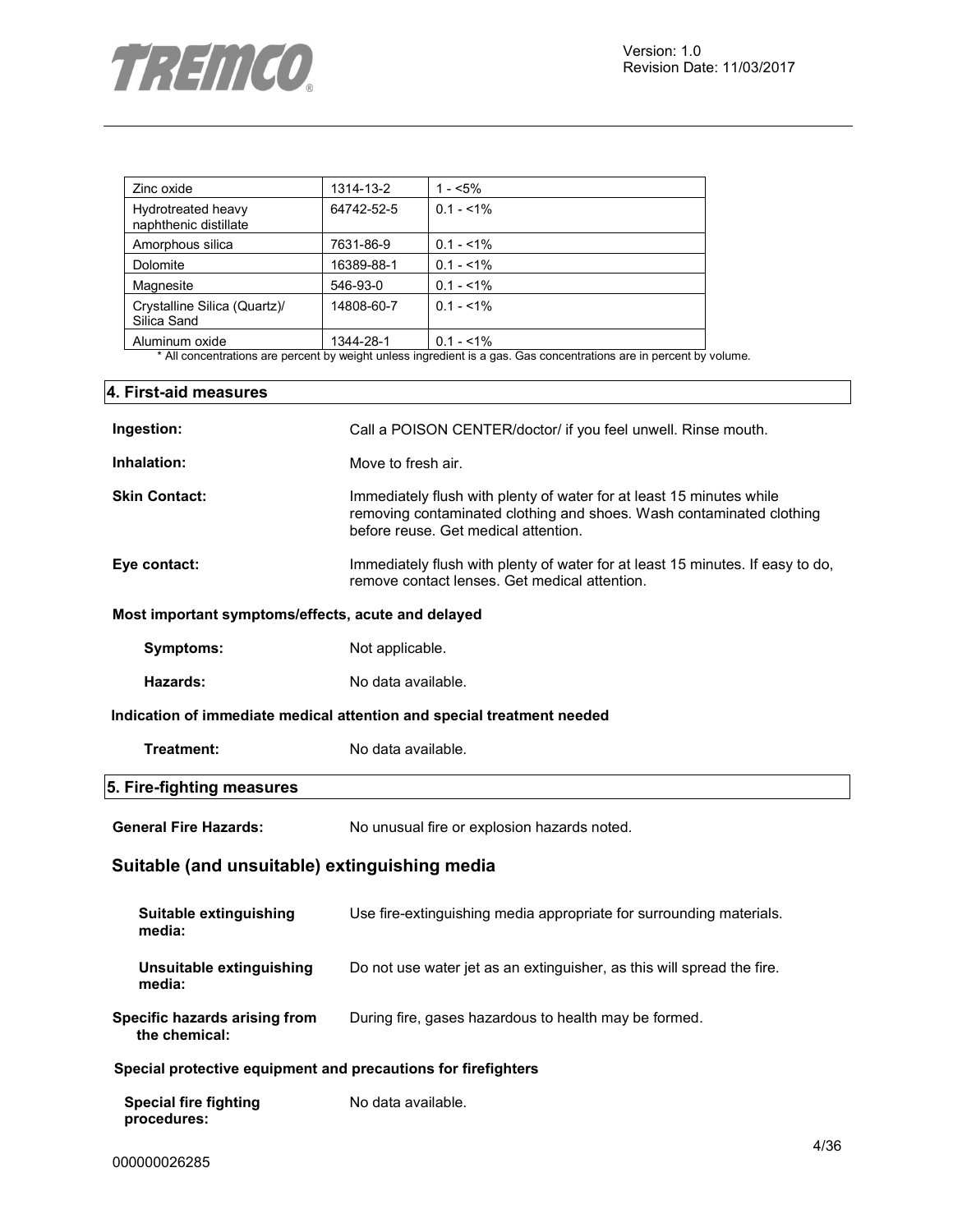

| Zinc oxide                                  | 1314-13-2  | 1 - $<$ 5%   |
|---------------------------------------------|------------|--------------|
| Hydrotreated heavy<br>naphthenic distillate | 64742-52-5 | $0.1 - 51\%$ |
| Amorphous silica                            | 7631-86-9  | $0.1 - 1\%$  |
| Dolomite                                    | 16389-88-1 | $0.1 - 1\%$  |
| Magnesite                                   | 546-93-0   | $0.1 - 1\%$  |
| Crystalline Silica (Quartz)/<br>Silica Sand | 14808-60-7 | $0.1 - 1\%$  |
| Aluminum oxide                              | 1344-28-1  | $0.1 - 1\%$  |

\* All concentrations are percent by weight unless ingredient is a gas. Gas concentrations are in percent by volume.

| 4. First-aid measures                                         |                                                                                                                                                                                      |
|---------------------------------------------------------------|--------------------------------------------------------------------------------------------------------------------------------------------------------------------------------------|
| Ingestion:                                                    | Call a POISON CENTER/doctor/ if you feel unwell. Rinse mouth.                                                                                                                        |
| Inhalation:                                                   | Move to fresh air.                                                                                                                                                                   |
| <b>Skin Contact:</b>                                          | Immediately flush with plenty of water for at least 15 minutes while<br>removing contaminated clothing and shoes. Wash contaminated clothing<br>before reuse. Get medical attention. |
| Eye contact:                                                  | Immediately flush with plenty of water for at least 15 minutes. If easy to do,<br>remove contact lenses. Get medical attention.                                                      |
| Most important symptoms/effects, acute and delayed            |                                                                                                                                                                                      |
| Symptoms:                                                     | Not applicable.                                                                                                                                                                      |
| Hazards:                                                      | No data available.                                                                                                                                                                   |
|                                                               | Indication of immediate medical attention and special treatment needed                                                                                                               |
| Treatment:                                                    | No data available.                                                                                                                                                                   |
| 5. Fire-fighting measures                                     |                                                                                                                                                                                      |
| <b>General Fire Hazards:</b>                                  | No unusual fire or explosion hazards noted.                                                                                                                                          |
| Suitable (and unsuitable) extinguishing media                 |                                                                                                                                                                                      |
| Suitable extinguishing<br>media:                              | Use fire-extinguishing media appropriate for surrounding materials.                                                                                                                  |
| <b>Unsuitable extinguishing</b><br>media:                     | Do not use water jet as an extinguisher, as this will spread the fire.                                                                                                               |
| Specific hazards arising from<br>the chemical:                | During fire, gases hazardous to health may be formed.                                                                                                                                |
| Special protective equipment and precautions for firefighters |                                                                                                                                                                                      |
| <b>Special fire fighting</b><br>procedures:                   | No data available.                                                                                                                                                                   |

 $\overline{\mathbf{1}}$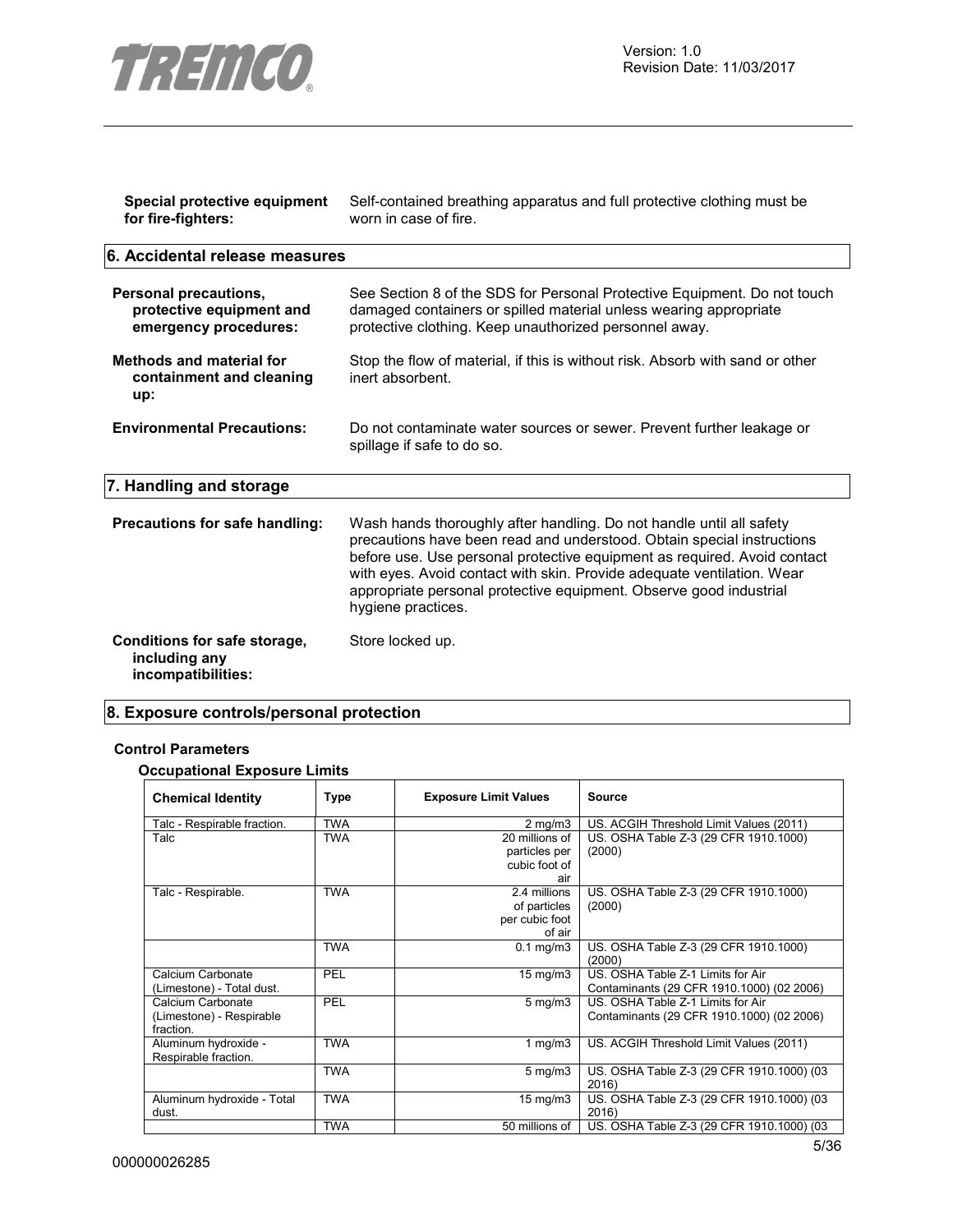

| Special protective equipment<br>for fire-fighters:                         | Self-contained breathing apparatus and full protective clothing must be<br>worn in case of fire.                                                                                                                                                                                                                                                                                                 |
|----------------------------------------------------------------------------|--------------------------------------------------------------------------------------------------------------------------------------------------------------------------------------------------------------------------------------------------------------------------------------------------------------------------------------------------------------------------------------------------|
| 6. Accidental release measures                                             |                                                                                                                                                                                                                                                                                                                                                                                                  |
| Personal precautions,<br>protective equipment and<br>emergency procedures: | See Section 8 of the SDS for Personal Protective Equipment. Do not touch<br>damaged containers or spilled material unless wearing appropriate<br>protective clothing. Keep unauthorized personnel away.                                                                                                                                                                                          |
| <b>Methods and material for</b><br>containment and cleaning<br>up:         | Stop the flow of material, if this is without risk. Absorb with sand or other<br>inert absorbent.                                                                                                                                                                                                                                                                                                |
| <b>Environmental Precautions:</b>                                          | Do not contaminate water sources or sewer. Prevent further leakage or<br>spillage if safe to do so.                                                                                                                                                                                                                                                                                              |
| 7. Handling and storage                                                    |                                                                                                                                                                                                                                                                                                                                                                                                  |
| Precautions for safe handling:                                             | Wash hands thoroughly after handling. Do not handle until all safety<br>precautions have been read and understood. Obtain special instructions<br>before use. Use personal protective equipment as required. Avoid contact<br>with eyes. Avoid contact with skin. Provide adequate ventilation. Wear<br>appropriate personal protective equipment. Observe good industrial<br>hygiene practices. |
| Conditions for safe storage,<br>including any<br>incompatibilities:        | Store locked up.                                                                                                                                                                                                                                                                                                                                                                                 |

## **8. Exposure controls/personal protection**

### **Control Parameters**

**Occupational Exposure Limits** 

| <b>Chemical Identity</b>    | Type       | <b>Exposure Limit Values</b> | <b>Source</b>                             |
|-----------------------------|------------|------------------------------|-------------------------------------------|
| Talc - Respirable fraction. | <b>TWA</b> | $2 \text{ mg/m}$             | US. ACGIH Threshold Limit Values (2011)   |
| Talc                        | <b>TWA</b> | 20 millions of               | US. OSHA Table Z-3 (29 CFR 1910.1000)     |
|                             |            | particles per                | (2000)                                    |
|                             |            | cubic foot of                |                                           |
|                             |            | air                          |                                           |
| Talc - Respirable.          | <b>TWA</b> | 2.4 millions                 | US. OSHA Table Z-3 (29 CFR 1910.1000)     |
|                             |            | of particles                 | (2000)                                    |
|                             |            | per cubic foot               |                                           |
|                             |            | of air                       |                                           |
|                             | <b>TWA</b> | $0.1$ mg/m $3$               | US. OSHA Table Z-3 (29 CFR 1910.1000)     |
|                             |            |                              | (2000)                                    |
| Calcium Carbonate           | PEL        | $15 \text{ mg/m}$            | US. OSHA Table Z-1 Limits for Air         |
| (Limestone) - Total dust.   |            |                              | Contaminants (29 CFR 1910.1000) (02 2006) |
| Calcium Carbonate           | PEL        | $5 \text{ mg/m}$             | US. OSHA Table Z-1 Limits for Air         |
| (Limestone) - Respirable    |            |                              | Contaminants (29 CFR 1910.1000) (02 2006) |
| fraction.                   |            |                              |                                           |
| Aluminum hydroxide -        | <b>TWA</b> | 1 $mg/m3$                    | US. ACGIH Threshold Limit Values (2011)   |
| Respirable fraction.        |            |                              |                                           |
|                             | <b>TWA</b> | $5 \text{ mg/m}$             | US. OSHA Table Z-3 (29 CFR 1910.1000) (03 |
|                             |            |                              | 2016)                                     |
| Aluminum hydroxide - Total  | <b>TWA</b> | $15 \text{ mg/m}$            | US. OSHA Table Z-3 (29 CFR 1910.1000) (03 |
| dust.                       |            |                              | 2016)                                     |
|                             | <b>TWA</b> | 50 millions of               | US. OSHA Table Z-3 (29 CFR 1910.1000) (03 |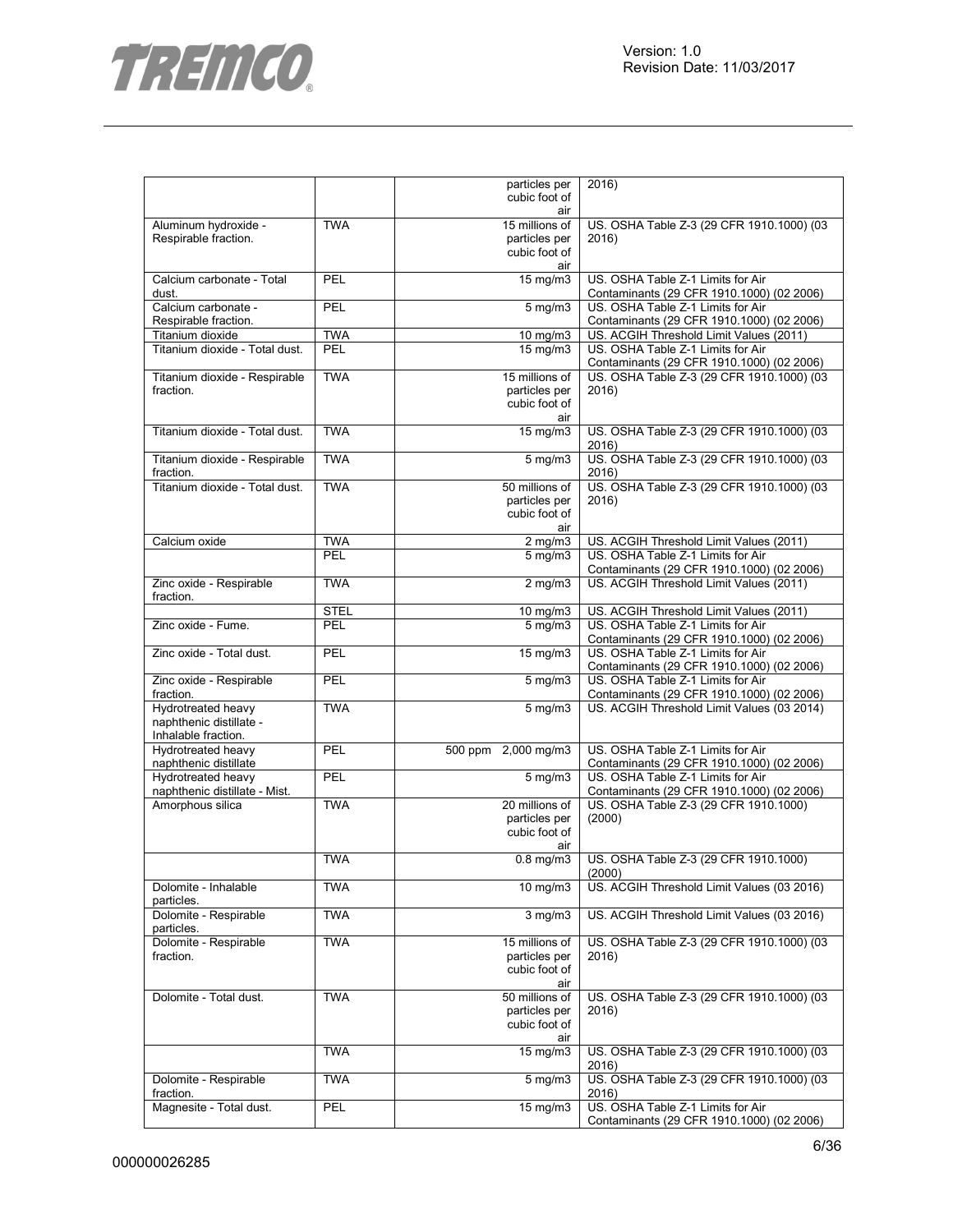

|                                               |             | particles per                   | 2016)                                              |
|-----------------------------------------------|-------------|---------------------------------|----------------------------------------------------|
|                                               |             | cubic foot of                   |                                                    |
|                                               |             | air                             |                                                    |
| Aluminum hydroxide -<br>Respirable fraction.  | <b>TWA</b>  | 15 millions of<br>particles per | US. OSHA Table Z-3 (29 CFR 1910.1000) (03<br>2016) |
|                                               |             | cubic foot of                   |                                                    |
|                                               |             | air                             |                                                    |
| Calcium carbonate - Total                     | PEL         | 15 mg/m3                        | US. OSHA Table Z-1 Limits for Air                  |
| dust.                                         |             |                                 | Contaminants (29 CFR 1910.1000) (02 2006)          |
| Calcium carbonate -                           | PEL         | $5$ mg/m $3$                    | US. OSHA Table Z-1 Limits for Air                  |
| Respirable fraction.                          |             |                                 | Contaminants (29 CFR 1910.1000) (02 2006)          |
| Titanium dioxide                              | <b>TWA</b>  | 10 mg/m3                        | US. ACGIH Threshold Limit Values (2011)            |
| Titanium dioxide - Total dust.                | PEL         | $15 \text{ mg/m}$               | US. OSHA Table Z-1 Limits for Air                  |
|                                               |             |                                 | Contaminants (29 CFR 1910.1000) (02 2006)          |
| Titanium dioxide - Respirable                 | <b>TWA</b>  | 15 millions of                  | US. OSHA Table Z-3 (29 CFR 1910.1000) (03          |
| fraction.                                     |             | particles per                   | 2016)                                              |
|                                               |             | cubic foot of                   |                                                    |
|                                               |             | air                             |                                                    |
| Titanium dioxide - Total dust.                | <b>TWA</b>  | 15 mg/m3                        | US. OSHA Table Z-3 (29 CFR 1910.1000) (03          |
|                                               | <b>TWA</b>  |                                 | 2016)                                              |
| Titanium dioxide - Respirable<br>fraction.    |             | $5$ mg/m $3$                    | US. OSHA Table Z-3 (29 CFR 1910.1000) (03<br>2016) |
| Titanium dioxide - Total dust.                | <b>TWA</b>  | 50 millions of                  | US. OSHA Table Z-3 (29 CFR 1910.1000) (03          |
|                                               |             | particles per                   | 2016)                                              |
|                                               |             | cubic foot of                   |                                                    |
|                                               |             | air                             |                                                    |
| Calcium oxide                                 | <b>TWA</b>  | $2$ mg/m $3$                    | US. ACGIH Threshold Limit Values (2011)            |
|                                               | PEL         | $5 \text{ mg/m}$                | US. OSHA Table Z-1 Limits for Air                  |
|                                               |             |                                 | Contaminants (29 CFR 1910.1000) (02 2006)          |
| Zinc oxide - Respirable                       | <b>TWA</b>  | $2$ mg/m $3$                    | US. ACGIH Threshold Limit Values (2011)            |
| fraction.                                     |             |                                 |                                                    |
|                                               | <b>STEL</b> | $10 \text{ mg/m}$               | US. ACGIH Threshold Limit Values (2011)            |
| Zinc oxide - Fume.                            | PEL         | $5$ mg/m $3$                    | US. OSHA Table Z-1 Limits for Air                  |
|                                               |             |                                 | Contaminants (29 CFR 1910.1000) (02 2006)          |
| Zinc oxide - Total dust.                      | PEL         | 15 mg/m3                        | US. OSHA Table Z-1 Limits for Air                  |
|                                               |             |                                 | Contaminants (29 CFR 1910.1000) (02 2006)          |
| Zinc oxide - Respirable                       | PEL         | 5 mg/m3                         | US. OSHA Table Z-1 Limits for Air                  |
| fraction.                                     |             |                                 | Contaminants (29 CFR 1910.1000) (02 2006)          |
| Hydrotreated heavy<br>naphthenic distillate - | <b>TWA</b>  | $5$ mg/m $3$                    | US. ACGIH Threshold Limit Values (03 2014)         |
| Inhalable fraction.                           |             |                                 |                                                    |
| Hydrotreated heavy                            | PEL         | 500 ppm 2,000 mg/m3             | US. OSHA Table Z-1 Limits for Air                  |
| naphthenic distillate                         |             |                                 | Contaminants (29 CFR 1910.1000) (02 2006)          |
| Hydrotreated heavy                            | PEL         | $\frac{1}{5}$ mg/m3             | US. OSHA Table Z-1 Limits for Air                  |
| naphthenic distillate - Mist.                 |             |                                 | Contaminants (29 CFR 1910.1000) (02 2006)          |
| Amorphous silica                              | <b>TWA</b>  | 20 millions of                  | US. OSHA Table Z-3 (29 CFR 1910.1000)              |
|                                               |             | particles per                   | (2000)                                             |
|                                               |             | cubic foot of                   |                                                    |
|                                               |             | air                             |                                                    |
|                                               | <b>TWA</b>  | $0.8$ mg/m $3$                  | US. OSHA Table Z-3 (29 CFR 1910.1000)              |
|                                               |             |                                 | (2000)                                             |
| Dolomite - Inhalable                          | <b>TWA</b>  | $10 \text{ mg/m}$               | US. ACGIH Threshold Limit Values (03 2016)         |
| particles.                                    |             |                                 |                                                    |
| Dolomite - Respirable                         | <b>TWA</b>  | 3 mg/m3                         | US. ACGIH Threshold Limit Values (03 2016)         |
| particles.<br>Dolomite - Respirable           | <b>TWA</b>  | 15 millions of                  | US. OSHA Table Z-3 (29 CFR 1910.1000) (03          |
| fraction.                                     |             | particles per                   | 2016)                                              |
|                                               |             | cubic foot of                   |                                                    |
|                                               |             | air                             |                                                    |
| Dolomite - Total dust.                        | <b>TWA</b>  | 50 millions of                  | US. OSHA Table Z-3 (29 CFR 1910.1000) (03          |
|                                               |             | particles per                   | 2016)                                              |
|                                               |             | cubic foot of                   |                                                    |
|                                               |             | air                             |                                                    |
|                                               | <b>TWA</b>  | $15 \text{ mg/m}$               | US. OSHA Table Z-3 (29 CFR 1910.1000) (03          |
|                                               |             |                                 | 2016)                                              |
| Dolomite - Respirable                         | <b>TWA</b>  | 5 mg/m3                         | US. OSHA Table Z-3 (29 CFR 1910.1000) (03          |
| fraction.                                     |             |                                 | 2016)                                              |
| Magnesite - Total dust.                       | PEL         | $15 \text{ mg/m}$               | US. OSHA Table Z-1 Limits for Air                  |
|                                               |             |                                 | Contaminants (29 CFR 1910.1000) (02 2006)          |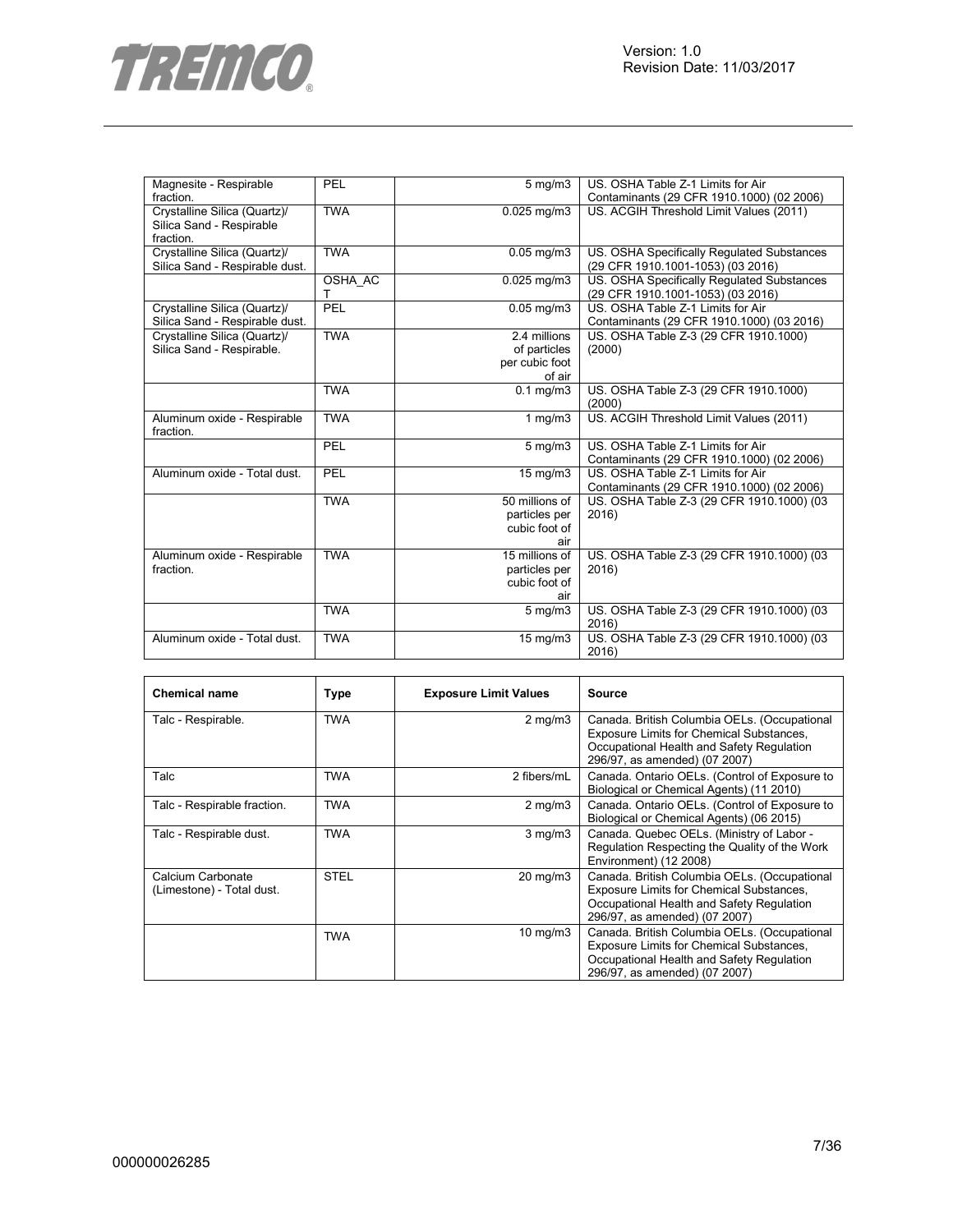

| Magnesite - Respirable         | PEL        | $5 \text{ mg/m}$  | US. OSHA Table Z-1 Limits for Air          |
|--------------------------------|------------|-------------------|--------------------------------------------|
| fraction.                      |            |                   | Contaminants (29 CFR 1910.1000) (02 2006)  |
| Crystalline Silica (Quartz)/   | <b>TWA</b> | $0.025$ mg/m3     | US. ACGIH Threshold Limit Values (2011)    |
| Silica Sand - Respirable       |            |                   |                                            |
| fraction.                      |            |                   |                                            |
| Crystalline Silica (Quartz)/   | <b>TWA</b> | $0.05$ mg/m $3$   | US. OSHA Specifically Regulated Substances |
| Silica Sand - Respirable dust. |            |                   | (29 CFR 1910.1001-1053) (03 2016)          |
|                                | OSHA AC    | $0.025$ mg/m $3$  | US. OSHA Specifically Regulated Substances |
|                                | т          |                   | (29 CFR 1910.1001-1053) (03 2016)          |
| Crystalline Silica (Quartz)/   | PEL        | $0.05$ mg/m3      | US. OSHA Table Z-1 Limits for Air          |
| Silica Sand - Respirable dust. |            |                   | Contaminants (29 CFR 1910.1000) (03 2016)  |
| Crystalline Silica (Quartz)/   | <b>TWA</b> | 2.4 millions      | US. OSHA Table Z-3 (29 CFR 1910.1000)      |
| Silica Sand - Respirable.      |            | of particles      | (2000)                                     |
|                                |            | per cubic foot    |                                            |
|                                |            | of air            |                                            |
|                                | <b>TWA</b> | $0.1$ mg/m $3$    | US. OSHA Table Z-3 (29 CFR 1910.1000)      |
|                                |            |                   | (2000)                                     |
| Aluminum oxide - Respirable    | <b>TWA</b> | $1$ mg/m $3$      | US. ACGIH Threshold Limit Values (2011)    |
| fraction.                      |            |                   |                                            |
|                                | PEL        | $5$ mg/m $3$      | US. OSHA Table Z-1 Limits for Air          |
|                                |            |                   | Contaminants (29 CFR 1910.1000) (02 2006)  |
| Aluminum oxide - Total dust.   | PEL        | $15 \text{ mg/m}$ | US. OSHA Table Z-1 Limits for Air          |
|                                |            |                   | Contaminants (29 CFR 1910.1000) (02 2006)  |
|                                | <b>TWA</b> | 50 millions of    | US. OSHA Table Z-3 (29 CFR 1910.1000) (03  |
|                                |            | particles per     | 2016)                                      |
|                                |            | cubic foot of     |                                            |
|                                |            | air               |                                            |
| Aluminum oxide - Respirable    | <b>TWA</b> | 15 millions of    | US. OSHA Table Z-3 (29 CFR 1910.1000) (03  |
| fraction.                      |            | particles per     | 2016)                                      |
|                                |            | cubic foot of     |                                            |
|                                |            | air               |                                            |
|                                | <b>TWA</b> | $5$ mg/m $3$      | US. OSHA Table Z-3 (29 CFR 1910.1000) (03  |
|                                |            |                   | 2016)                                      |
| Aluminum oxide - Total dust.   | <b>TWA</b> | 15 mg/m3          | US. OSHA Table Z-3 (29 CFR 1910.1000) (03  |
|                                |            |                   | 2016)                                      |

| <b>Chemical name</b>                           | Type        | <b>Exposure Limit Values</b> | Source                                                                                                                                                                 |
|------------------------------------------------|-------------|------------------------------|------------------------------------------------------------------------------------------------------------------------------------------------------------------------|
| Talc - Respirable.                             | <b>TWA</b>  | $2 \text{ mg/m}$             | Canada. British Columbia OELs. (Occupational<br>Exposure Limits for Chemical Substances,<br>Occupational Health and Safety Regulation<br>296/97, as amended) (07 2007) |
| Talc                                           | TWA         | 2 fibers/mL                  | Canada. Ontario OELs. (Control of Exposure to<br>Biological or Chemical Agents) (11 2010)                                                                              |
| Talc - Respirable fraction.                    | <b>TWA</b>  | $2 \text{ mg/m}$             | Canada. Ontario OELs. (Control of Exposure to<br>Biological or Chemical Agents) (06 2015)                                                                              |
| Talc - Respirable dust.                        | <b>TWA</b>  | $3$ mg/m $3$                 | Canada. Quebec OELs. (Ministry of Labor -<br>Regulation Respecting the Quality of the Work<br>Environment) (12 2008)                                                   |
| Calcium Carbonate<br>(Limestone) - Total dust. | <b>STEL</b> | $20 \text{ mg/m}$            | Canada. British Columbia OELs. (Occupational<br>Exposure Limits for Chemical Substances,<br>Occupational Health and Safety Regulation<br>296/97, as amended) (07 2007) |
|                                                | TWA         | $10 \text{ mg/m}$            | Canada. British Columbia OELs. (Occupational<br>Exposure Limits for Chemical Substances,<br>Occupational Health and Safety Regulation<br>296/97, as amended) (07 2007) |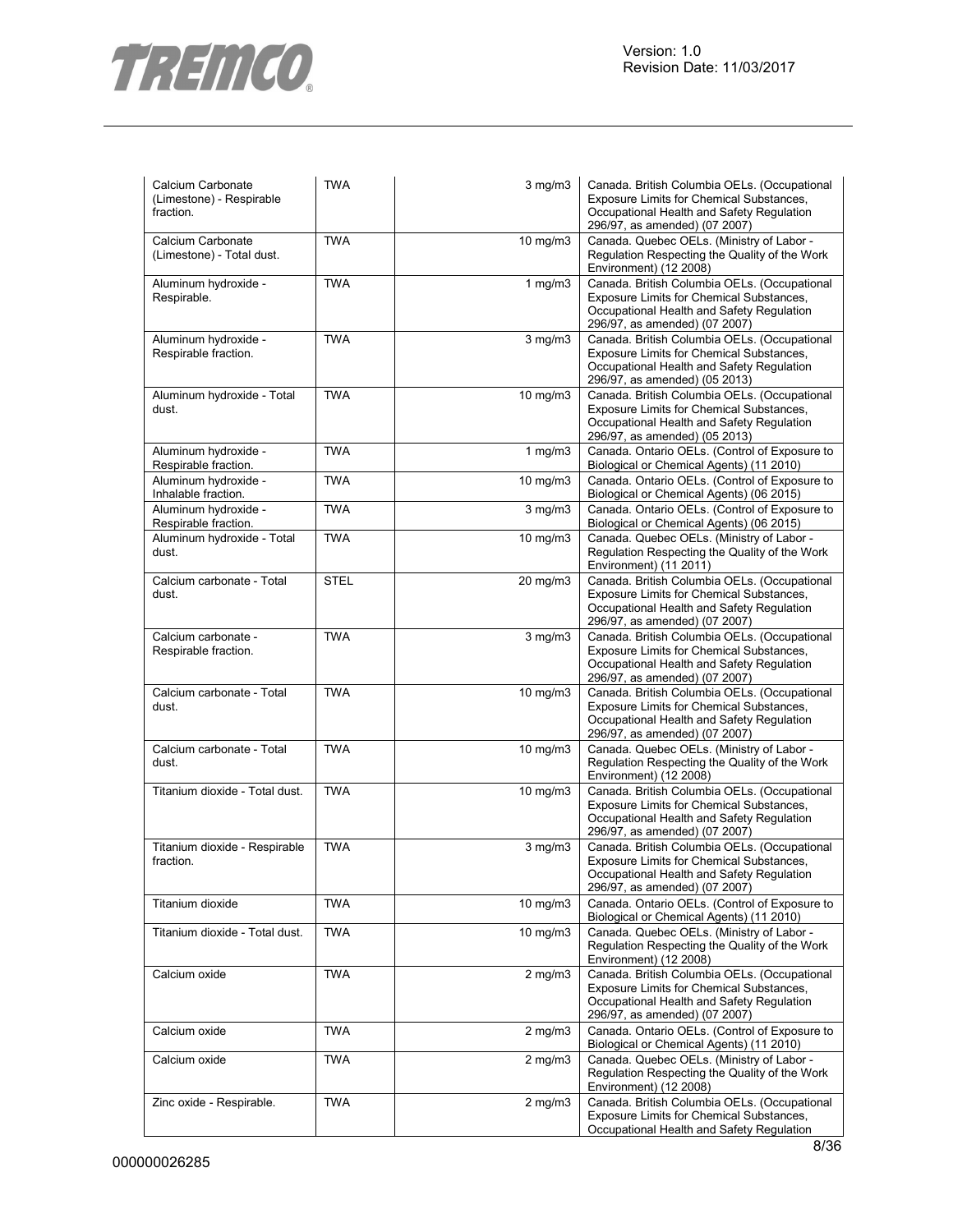

| Calcium Carbonate<br>(Limestone) - Respirable<br>fraction. | <b>TWA</b>  | $3$ mg/m $3$      | Canada. British Columbia OELs. (Occupational<br>Exposure Limits for Chemical Substances,<br>Occupational Health and Safety Regulation<br>296/97, as amended) (07 2007) |
|------------------------------------------------------------|-------------|-------------------|------------------------------------------------------------------------------------------------------------------------------------------------------------------------|
| Calcium Carbonate<br>(Limestone) - Total dust.             | <b>TWA</b>  | 10 mg/m3          | Canada. Quebec OELs. (Ministry of Labor -<br>Regulation Respecting the Quality of the Work<br>Environment) (12 2008)                                                   |
| Aluminum hydroxide -<br>Respirable.                        | <b>TWA</b>  | $1$ mg/m $3$      | Canada. British Columbia OELs. (Occupational<br>Exposure Limits for Chemical Substances,<br>Occupational Health and Safety Regulation<br>296/97, as amended) (07 2007) |
| Aluminum hydroxide -<br>Respirable fraction.               | <b>TWA</b>  | $3$ mg/m $3$      | Canada. British Columbia OELs. (Occupational<br>Exposure Limits for Chemical Substances,<br>Occupational Health and Safety Regulation<br>296/97, as amended) (05 2013) |
| Aluminum hydroxide - Total<br>dust.                        | <b>TWA</b>  | 10 mg/m3          | Canada. British Columbia OELs. (Occupational<br>Exposure Limits for Chemical Substances,<br>Occupational Health and Safety Regulation<br>296/97, as amended) (05 2013) |
| Aluminum hydroxide -<br>Respirable fraction.               | <b>TWA</b>  | $1$ mg/m $3$      | Canada. Ontario OELs. (Control of Exposure to<br>Biological or Chemical Agents) (11 2010)                                                                              |
| Aluminum hydroxide -<br>Inhalable fraction.                | <b>TWA</b>  | 10 mg/m3          | Canada. Ontario OELs. (Control of Exposure to<br>Biological or Chemical Agents) (06 2015)                                                                              |
| Aluminum hydroxide -<br>Respirable fraction.               | <b>TWA</b>  | $3$ mg/m $3$      | Canada. Ontario OELs. (Control of Exposure to<br>Biological or Chemical Agents) (06 2015)                                                                              |
| Aluminum hydroxide - Total<br>dust.                        | <b>TWA</b>  | 10 mg/m3          | Canada. Quebec OELs. (Ministry of Labor -<br>Regulation Respecting the Quality of the Work<br>Environment) (11 2011)                                                   |
| Calcium carbonate - Total<br>dust.                         | <b>STEL</b> | 20 mg/m3          | Canada. British Columbia OELs. (Occupational<br>Exposure Limits for Chemical Substances,<br>Occupational Health and Safety Regulation<br>296/97, as amended) (07 2007) |
| Calcium carbonate -<br>Respirable fraction.                | <b>TWA</b>  | 3 mg/m3           | Canada. British Columbia OELs. (Occupational<br>Exposure Limits for Chemical Substances,<br>Occupational Health and Safety Regulation<br>296/97, as amended) (07 2007) |
| Calcium carbonate - Total<br>dust.                         | <b>TWA</b>  | 10 mg/m3          | Canada. British Columbia OELs. (Occupational<br>Exposure Limits for Chemical Substances,<br>Occupational Health and Safety Regulation<br>296/97, as amended) (07 2007) |
| Calcium carbonate - Total<br>dust.                         | <b>TWA</b>  | 10 mg/m3          | Canada. Quebec OELs. (Ministry of Labor -<br>Regulation Respecting the Quality of the Work<br>Environment) (12 2008)                                                   |
| Titanium dioxide - Total dust.                             | <b>TWA</b>  | $10 \text{ mg/m}$ | Canada. British Columbia OELs. (Occupational<br>Exposure Limits for Chemical Substances,<br>Occupational Health and Safety Regulation<br>296/97, as amended) (07 2007) |
| Titanium dioxide - Respirable<br>fraction.                 | <b>TWA</b>  | $3$ mg/m $3$      | Canada. British Columbia OELs. (Occupational<br>Exposure Limits for Chemical Substances,<br>Occupational Health and Safety Regulation<br>296/97, as amended) (07 2007) |
| Titanium dioxide                                           | <b>TWA</b>  | $10$ mg/m $3$     | Canada. Ontario OELs. (Control of Exposure to<br>Biological or Chemical Agents) (11 2010)                                                                              |
| Titanium dioxide - Total dust.                             | <b>TWA</b>  | 10 mg/m3          | Canada. Quebec OELs. (Ministry of Labor -<br>Regulation Respecting the Quality of the Work<br>Environment) (12 2008)                                                   |
| Calcium oxide                                              | <b>TWA</b>  | $2$ mg/m $3$      | Canada. British Columbia OELs. (Occupational<br>Exposure Limits for Chemical Substances,<br>Occupational Health and Safety Regulation<br>296/97, as amended) (07 2007) |
| Calcium oxide                                              | <b>TWA</b>  | $2$ mg/m $3$      | Canada. Ontario OELs. (Control of Exposure to<br>Biological or Chemical Agents) (11 2010)                                                                              |
| Calcium oxide                                              | <b>TWA</b>  | $2$ mg/m $3$      | Canada. Quebec OELs. (Ministry of Labor -<br>Regulation Respecting the Quality of the Work<br>Environment) (12 2008)                                                   |
| Zinc oxide - Respirable.                                   | <b>TWA</b>  | $2$ mg/m $3$      | Canada. British Columbia OELs. (Occupational<br>Exposure Limits for Chemical Substances,<br>Occupational Health and Safety Regulation                                  |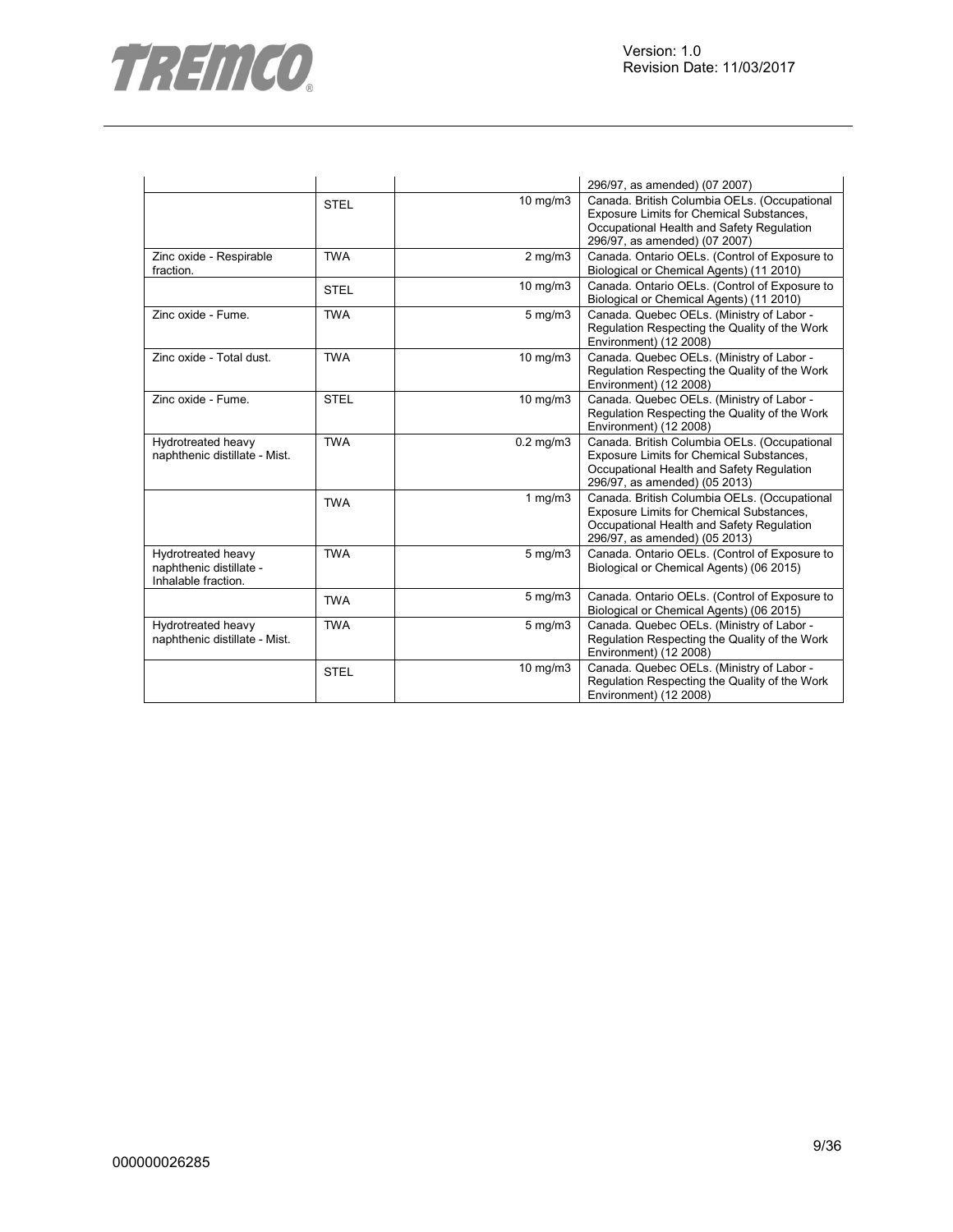

|                                                                      |             |                | 296/97, as amended) (07 2007)                                                                                                                                                 |
|----------------------------------------------------------------------|-------------|----------------|-------------------------------------------------------------------------------------------------------------------------------------------------------------------------------|
|                                                                      | <b>STEL</b> | 10 mg/m3       | Canada. British Columbia OELs. (Occupational<br>Exposure Limits for Chemical Substances,<br>Occupational Health and Safety Regulation<br>296/97, as amended) (07 2007)        |
| Zinc oxide - Respirable<br>fraction.                                 | <b>TWA</b>  | $2$ mg/m $3$   | Canada. Ontario OELs. (Control of Exposure to<br>Biological or Chemical Agents) (11 2010)                                                                                     |
|                                                                      | <b>STEL</b> | 10 mg/m3       | Canada. Ontario OELs. (Control of Exposure to<br>Biological or Chemical Agents) (11 2010)                                                                                     |
| Zinc oxide - Fume.                                                   | <b>TWA</b>  | $5$ mg/m $3$   | Canada. Quebec OELs. (Ministry of Labor -<br>Regulation Respecting the Quality of the Work<br>Environment) (12 2008)                                                          |
| Zinc oxide - Total dust.                                             | <b>TWA</b>  | 10 mg/m3       | Canada. Quebec OELs. (Ministry of Labor -<br>Regulation Respecting the Quality of the Work<br>Environment) (12 2008)                                                          |
| Zinc oxide - Fume.                                                   | <b>STEL</b> | 10 mg/m3       | Canada. Quebec OELs. (Ministry of Labor -<br>Regulation Respecting the Quality of the Work<br>Environment) (12 2008)                                                          |
| Hydrotreated heavy<br>naphthenic distillate - Mist.                  | <b>TWA</b>  | $0.2$ mg/m $3$ | Canada. British Columbia OELs. (Occupational<br>Exposure Limits for Chemical Substances,<br>Occupational Health and Safety Regulation<br>296/97, as amended) (05 2013)        |
|                                                                      | <b>TWA</b>  | 1 $mg/m3$      | Canada. British Columbia OELs. (Occupational<br><b>Exposure Limits for Chemical Substances,</b><br>Occupational Health and Safety Regulation<br>296/97, as amended) (05 2013) |
| Hydrotreated heavy<br>naphthenic distillate -<br>Inhalable fraction. | <b>TWA</b>  | 5 mg/m3        | Canada. Ontario OELs. (Control of Exposure to<br>Biological or Chemical Agents) (06 2015)                                                                                     |
|                                                                      | <b>TWA</b>  | $5$ mg/m $3$   | Canada. Ontario OELs. (Control of Exposure to<br>Biological or Chemical Agents) (06 2015)                                                                                     |
| Hydrotreated heavy<br>naphthenic distillate - Mist.                  | <b>TWA</b>  | $5$ mg/m $3$   | Canada. Quebec OELs. (Ministry of Labor -<br>Regulation Respecting the Quality of the Work<br>Environment) (12 2008)                                                          |
|                                                                      | <b>STEL</b> | 10 mg/m3       | Canada. Quebec OELs. (Ministry of Labor -<br>Regulation Respecting the Quality of the Work<br>Environment) (12 2008)                                                          |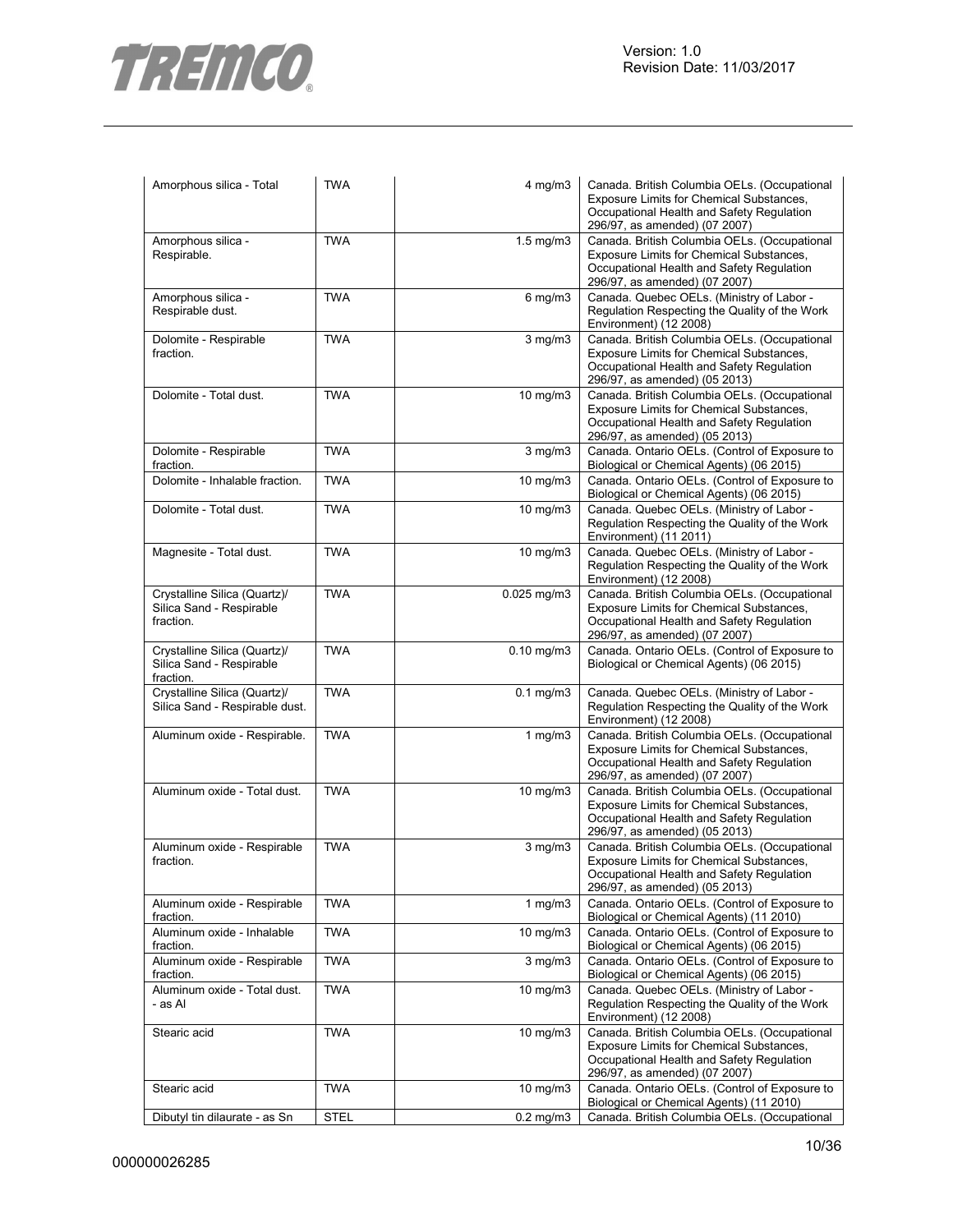



| Amorphous silica - Total                                              | <b>TWA</b>  | 4 mg/m3            | Canada. British Columbia OELs. (Occupational<br>Exposure Limits for Chemical Substances,<br>Occupational Health and Safety Regulation<br>296/97, as amended) (07 2007) |
|-----------------------------------------------------------------------|-------------|--------------------|------------------------------------------------------------------------------------------------------------------------------------------------------------------------|
| Amorphous silica -<br>Respirable.                                     | <b>TWA</b>  | $1.5 \text{ mg/m}$ | Canada. British Columbia OELs. (Occupational<br>Exposure Limits for Chemical Substances,<br>Occupational Health and Safety Regulation<br>296/97, as amended) (07 2007) |
| Amorphous silica -<br>Respirable dust.                                | <b>TWA</b>  | $6$ mg/m $3$       | Canada. Quebec OELs. (Ministry of Labor -<br>Regulation Respecting the Quality of the Work<br>Environment) (12 2008)                                                   |
| Dolomite - Respirable<br>fraction.                                    | <b>TWA</b>  | $3$ mg/m $3$       | Canada. British Columbia OELs. (Occupational<br>Exposure Limits for Chemical Substances,<br>Occupational Health and Safety Regulation<br>296/97, as amended) (05 2013) |
| Dolomite - Total dust.                                                | <b>TWA</b>  | $10$ mg/m $3$      | Canada. British Columbia OELs. (Occupational<br>Exposure Limits for Chemical Substances,<br>Occupational Health and Safety Regulation<br>296/97, as amended) (05 2013) |
| Dolomite - Respirable<br>fraction.                                    | <b>TWA</b>  | 3 mg/m3            | Canada. Ontario OELs. (Control of Exposure to<br>Biological or Chemical Agents) (06 2015)                                                                              |
| Dolomite - Inhalable fraction.                                        | <b>TWA</b>  | 10 mg/m3           | Canada. Ontario OELs. (Control of Exposure to<br>Biological or Chemical Agents) (06 2015)                                                                              |
| Dolomite - Total dust.                                                | <b>TWA</b>  | $10 \text{ mg/m}$  | Canada. Quebec OELs. (Ministry of Labor -<br>Regulation Respecting the Quality of the Work<br>Environment) (11 2011)                                                   |
| Magnesite - Total dust.                                               | <b>TWA</b>  | $10$ mg/m $3$      | Canada. Quebec OELs. (Ministry of Labor -<br>Regulation Respecting the Quality of the Work<br>Environment) (12 2008)                                                   |
| Crystalline Silica (Quartz)/<br>Silica Sand - Respirable<br>fraction. | <b>TWA</b>  | $0.025$ mg/m $3$   | Canada. British Columbia OELs. (Occupational<br>Exposure Limits for Chemical Substances,<br>Occupational Health and Safety Regulation<br>296/97, as amended) (07 2007) |
| Crystalline Silica (Quartz)/<br>Silica Sand - Respirable<br>fraction. | <b>TWA</b>  | $0.10$ mg/m $3$    | Canada. Ontario OELs. (Control of Exposure to<br>Biological or Chemical Agents) (06 2015)                                                                              |
| Crystalline Silica (Quartz)/<br>Silica Sand - Respirable dust.        | <b>TWA</b>  | $0.1$ mg/m $3$     | Canada. Quebec OELs. (Ministry of Labor -<br>Regulation Respecting the Quality of the Work<br>Environment) (12 2008)                                                   |
| Aluminum oxide - Respirable.                                          | <b>TWA</b>  | 1 $mg/m3$          | Canada. British Columbia OELs. (Occupational<br>Exposure Limits for Chemical Substances,<br>Occupational Health and Safety Regulation<br>296/97, as amended) (07 2007) |
| Aluminum oxide - Total dust.                                          | <b>TWA</b>  | 10 mg/m3           | Canada. British Columbia OELs. (Occupational<br>Exposure Limits for Chemical Substances,<br>Occupational Health and Safety Regulation<br>296/97, as amended) (05 2013) |
| Aluminum oxide - Respirable<br>fraction.                              | <b>TWA</b>  | 3 mg/m3            | Canada. British Columbia OELs. (Occupational<br>Exposure Limits for Chemical Substances,<br>Occupational Health and Safety Regulation<br>296/97, as amended) (05 2013) |
| Aluminum oxide - Respirable<br>fraction.                              | <b>TWA</b>  | 1 mg/m $3$         | Canada. Ontario OELs. (Control of Exposure to<br>Biological or Chemical Agents) (11 2010)                                                                              |
| Aluminum oxide - Inhalable<br>fraction.                               | <b>TWA</b>  | $10 \text{ mg/m}$  | Canada. Ontario OELs. (Control of Exposure to<br>Biological or Chemical Agents) (06 2015)                                                                              |
| Aluminum oxide - Respirable<br>fraction.                              | <b>TWA</b>  | $3$ mg/m $3$       | Canada. Ontario OELs. (Control of Exposure to<br>Biological or Chemical Agents) (06 2015)                                                                              |
| Aluminum oxide - Total dust.<br>- as Al                               | <b>TWA</b>  | 10 mg/m3           | Canada. Quebec OELs. (Ministry of Labor -<br>Regulation Respecting the Quality of the Work<br>Environment) (12 2008)                                                   |
| Stearic acid                                                          | <b>TWA</b>  | $10 \text{ mg/m}$  | Canada. British Columbia OELs. (Occupational<br>Exposure Limits for Chemical Substances,<br>Occupational Health and Safety Regulation<br>296/97, as amended) (07 2007) |
| Stearic acid                                                          | <b>TWA</b>  | $10 \text{ mg/m}$  | Canada. Ontario OELs. (Control of Exposure to<br>Biological or Chemical Agents) (11 2010)                                                                              |
| Dibutyl tin dilaurate - as Sn                                         | <b>STEL</b> | $0.2$ mg/m $3$     | Canada. British Columbia OELs. (Occupational                                                                                                                           |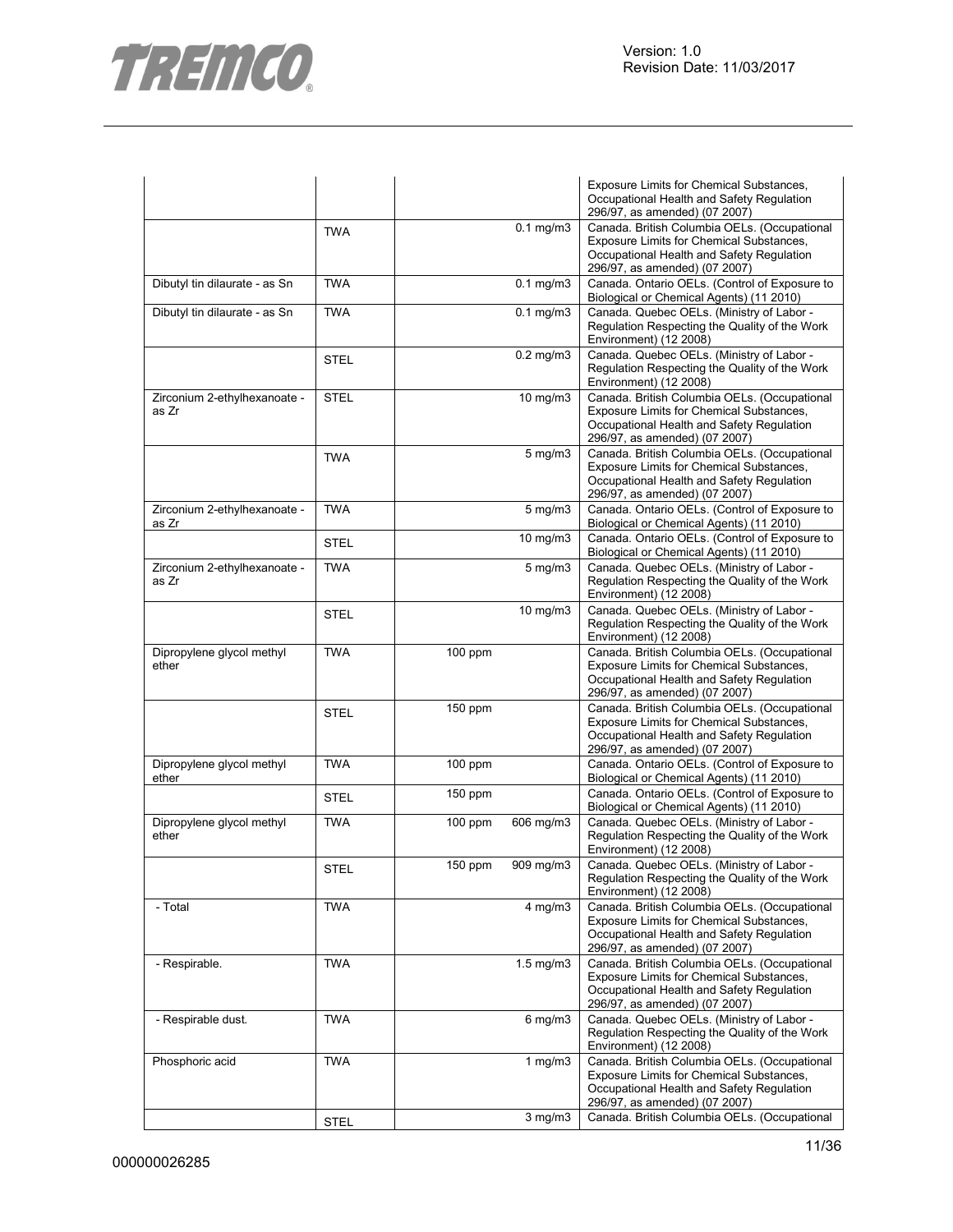

|                                       |             |           |                      | Exposure Limits for Chemical Substances,<br>Occupational Health and Safety Regulation<br>296/97, as amended) (07 2007)                                                 |
|---------------------------------------|-------------|-----------|----------------------|------------------------------------------------------------------------------------------------------------------------------------------------------------------------|
|                                       | <b>TWA</b>  |           | $0.1$ mg/m $3$       | Canada. British Columbia OELs. (Occupational<br>Exposure Limits for Chemical Substances,<br>Occupational Health and Safety Regulation<br>296/97, as amended) (07 2007) |
| Dibutyl tin dilaurate - as Sn         | <b>TWA</b>  |           | $0.1$ mg/m $3$       | Canada. Ontario OELs. (Control of Exposure to<br>Biological or Chemical Agents) (11 2010)                                                                              |
| Dibutyl tin dilaurate - as Sn         | <b>TWA</b>  |           | $0.1$ mg/m $3$       | Canada. Quebec OELs. (Ministry of Labor -<br>Regulation Respecting the Quality of the Work<br>Environment) (12 2008)                                                   |
|                                       | <b>STEL</b> |           | $0.2$ mg/m $3$       | Canada. Quebec OELs. (Ministry of Labor -<br>Regulation Respecting the Quality of the Work<br>Environment) (12 2008)                                                   |
| Zirconium 2-ethylhexanoate -<br>as Zr | <b>STEL</b> |           | 10 mg/m3             | Canada. British Columbia OELs. (Occupational<br>Exposure Limits for Chemical Substances,<br>Occupational Health and Safety Regulation<br>296/97, as amended) (07 2007) |
|                                       | <b>TWA</b>  |           | $5$ mg/m $3$         | Canada. British Columbia OELs. (Occupational<br>Exposure Limits for Chemical Substances,<br>Occupational Health and Safety Regulation<br>296/97, as amended) (07 2007) |
| Zirconium 2-ethylhexanoate -<br>as Zr | <b>TWA</b>  |           | $5$ mg/m $3$         | Canada. Ontario OELs. (Control of Exposure to<br>Biological or Chemical Agents) (11 2010)                                                                              |
|                                       | <b>STEL</b> |           | $10 \text{ mg/m}$    | Canada. Ontario OELs. (Control of Exposure to<br>Biological or Chemical Agents) (11 2010)                                                                              |
| Zirconium 2-ethylhexanoate -<br>as Zr | <b>TWA</b>  |           | $\overline{5}$ mg/m3 | Canada. Quebec OELs. (Ministry of Labor -<br>Regulation Respecting the Quality of the Work<br>Environment) (12 2008)                                                   |
|                                       | <b>STEL</b> |           | 10 mg/m3             | Canada. Quebec OELs. (Ministry of Labor -<br>Regulation Respecting the Quality of the Work<br>Environment) (12 2008)                                                   |
| Dipropylene glycol methyl<br>ether    | <b>TWA</b>  | $100$ ppm |                      | Canada. British Columbia OELs. (Occupational<br>Exposure Limits for Chemical Substances,<br>Occupational Health and Safety Regulation<br>296/97, as amended) (07 2007) |
|                                       | <b>STEL</b> | 150 ppm   |                      | Canada. British Columbia OELs. (Occupational<br>Exposure Limits for Chemical Substances,<br>Occupational Health and Safety Regulation<br>296/97, as amended) (07 2007) |
| Dipropylene glycol methyl<br>ether    | <b>TWA</b>  | $100$ ppm |                      | Canada. Ontario OELs. (Control of Exposure to<br>Biological or Chemical Agents) (11 2010)                                                                              |
|                                       | <b>STEL</b> | 150 ppm   |                      | Canada. Ontario OELs. (Control of Exposure to<br>Biological or Chemical Agents) (11 2010)                                                                              |
| Dipropylene glycol methyl<br>ether    | <b>TWA</b>  | $100$ ppm | 606 mg/m3            | Canada. Quebec OELs. (Ministry of Labor -<br>Regulation Respecting the Quality of the Work<br>Environment) (12 2008)                                                   |
|                                       | <b>STEL</b> | $150$ ppm | 909 mg/m3            | Canada. Quebec OELs. (Ministry of Labor -<br>Regulation Respecting the Quality of the Work<br>Environment) (12 2008)                                                   |
| - Total                               | <b>TWA</b>  |           | $4$ mg/m $3$         | Canada. British Columbia OELs. (Occupational<br>Exposure Limits for Chemical Substances,<br>Occupational Health and Safety Regulation<br>296/97, as amended) (07 2007) |
| - Respirable.                         | TWA         |           | $1.5 \text{ mg/m}$   | Canada. British Columbia OELs. (Occupational<br>Exposure Limits for Chemical Substances,<br>Occupational Health and Safety Regulation<br>296/97, as amended) (07 2007) |
| - Respirable dust.                    | TWA         |           | $6$ mg/m $3$         | Canada. Quebec OELs. (Ministry of Labor -<br>Regulation Respecting the Quality of the Work<br>Environment) (12 2008)                                                   |
| Phosphoric acid                       | <b>TWA</b>  |           | $1$ mg/m $3$         | Canada. British Columbia OELs. (Occupational<br>Exposure Limits for Chemical Substances,<br>Occupational Health and Safety Regulation<br>296/97, as amended) (07 2007) |
|                                       | <b>STEL</b> |           | $3$ mg/m $3$         | Canada. British Columbia OELs. (Occupational                                                                                                                           |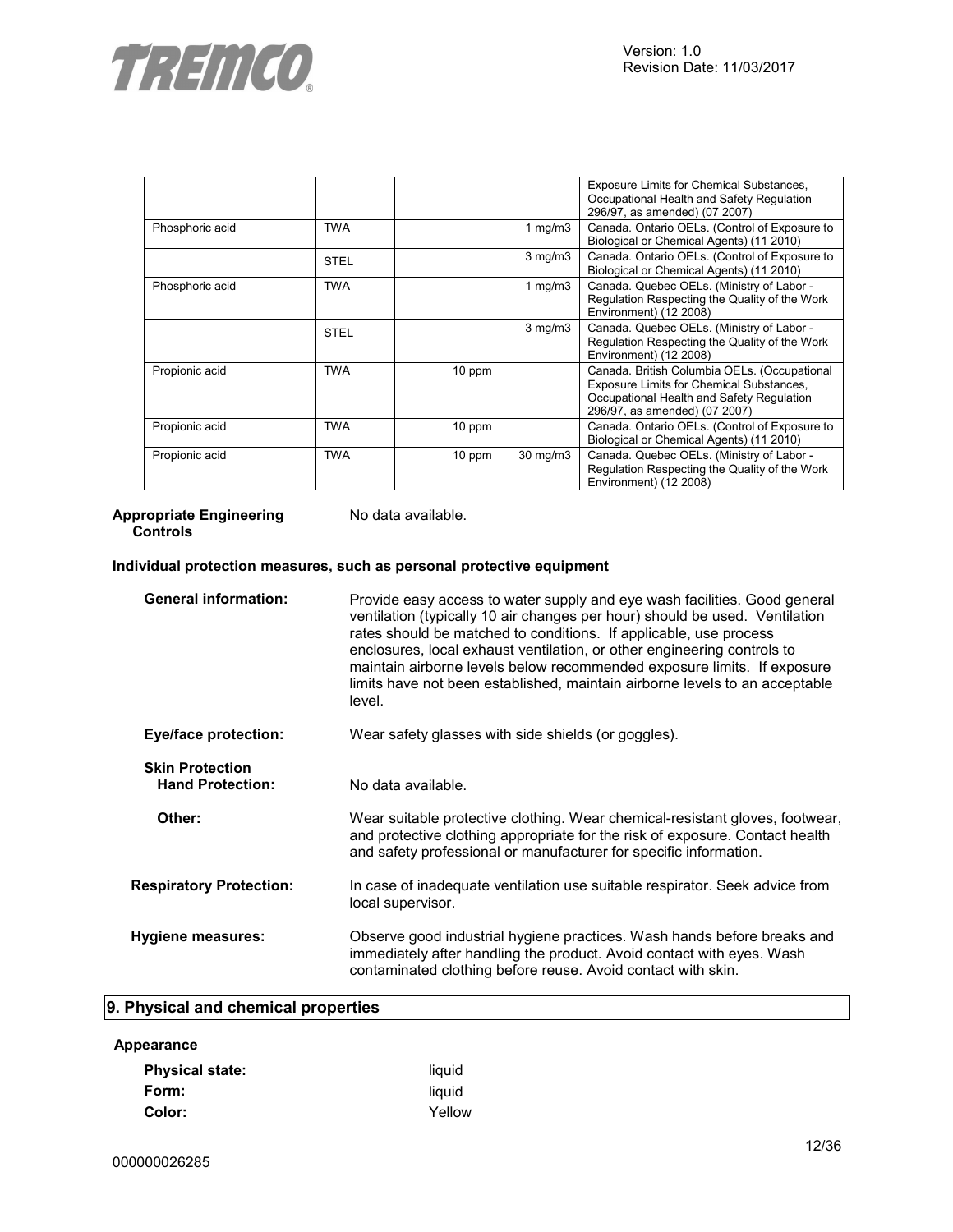

|                 |             |          |                   | Exposure Limits for Chemical Substances,<br>Occupational Health and Safety Regulation<br>296/97, as amended) (07 2007)                                                 |
|-----------------|-------------|----------|-------------------|------------------------------------------------------------------------------------------------------------------------------------------------------------------------|
| Phosphoric acid | <b>TWA</b>  |          | 1 $mg/m3$         | Canada. Ontario OELs. (Control of Exposure to<br>Biological or Chemical Agents) (11 2010)                                                                              |
|                 | <b>STEL</b> |          | $3$ mg/m $3$      | Canada. Ontario OELs. (Control of Exposure to<br>Biological or Chemical Agents) (11 2010)                                                                              |
| Phosphoric acid | <b>TWA</b>  |          | 1 $mg/m3$         | Canada. Quebec OELs. (Ministry of Labor -<br>Regulation Respecting the Quality of the Work<br>Environment) (12 2008)                                                   |
|                 | <b>STEL</b> |          | $3$ mg/m $3$      | Canada. Quebec OELs. (Ministry of Labor -<br>Regulation Respecting the Quality of the Work<br>Environment) (12 2008)                                                   |
| Propionic acid  | <b>TWA</b>  | 10 ppm   |                   | Canada. British Columbia OELs. (Occupational<br>Exposure Limits for Chemical Substances,<br>Occupational Health and Safety Regulation<br>296/97, as amended) (07 2007) |
| Propionic acid  | <b>TWA</b>  | $10$ ppm |                   | Canada. Ontario OELs. (Control of Exposure to<br>Biological or Chemical Agents) (11 2010)                                                                              |
| Propionic acid  | <b>TWA</b>  | 10 ppm   | $30 \text{ mg/m}$ | Canada. Quebec OELs. (Ministry of Labor -<br>Regulation Respecting the Quality of the Work<br>Environment) (12 2008)                                                   |

#### **Appropriate Engineering Controls**

No data available.

#### **Individual protection measures, such as personal protective equipment**

| <b>General information:</b>                       | Provide easy access to water supply and eye wash facilities. Good general<br>ventilation (typically 10 air changes per hour) should be used. Ventilation<br>rates should be matched to conditions. If applicable, use process<br>enclosures, local exhaust ventilation, or other engineering controls to<br>maintain airborne levels below recommended exposure limits. If exposure<br>limits have not been established, maintain airborne levels to an acceptable<br>level. |
|---------------------------------------------------|------------------------------------------------------------------------------------------------------------------------------------------------------------------------------------------------------------------------------------------------------------------------------------------------------------------------------------------------------------------------------------------------------------------------------------------------------------------------------|
| <b>Eye/face protection:</b>                       | Wear safety glasses with side shields (or goggles).                                                                                                                                                                                                                                                                                                                                                                                                                          |
| <b>Skin Protection</b><br><b>Hand Protection:</b> | No data available.                                                                                                                                                                                                                                                                                                                                                                                                                                                           |
| Other:                                            | Wear suitable protective clothing. Wear chemical-resistant gloves, footwear,<br>and protective clothing appropriate for the risk of exposure. Contact health<br>and safety professional or manufacturer for specific information.                                                                                                                                                                                                                                            |
| <b>Respiratory Protection:</b>                    | In case of inadequate ventilation use suitable respirator. Seek advice from<br>local supervisor.                                                                                                                                                                                                                                                                                                                                                                             |
| Hygiene measures:                                 | Observe good industrial hygiene practices. Wash hands before breaks and<br>immediately after handling the product. Avoid contact with eyes. Wash<br>contaminated clothing before reuse. Avoid contact with skin.                                                                                                                                                                                                                                                             |
|                                                   |                                                                                                                                                                                                                                                                                                                                                                                                                                                                              |

## **9. Physical and chemical properties**

#### **Appearance**

| <b>Physical state:</b> | liquid |
|------------------------|--------|
| Form:                  | liauid |
| Color:                 | Yellow |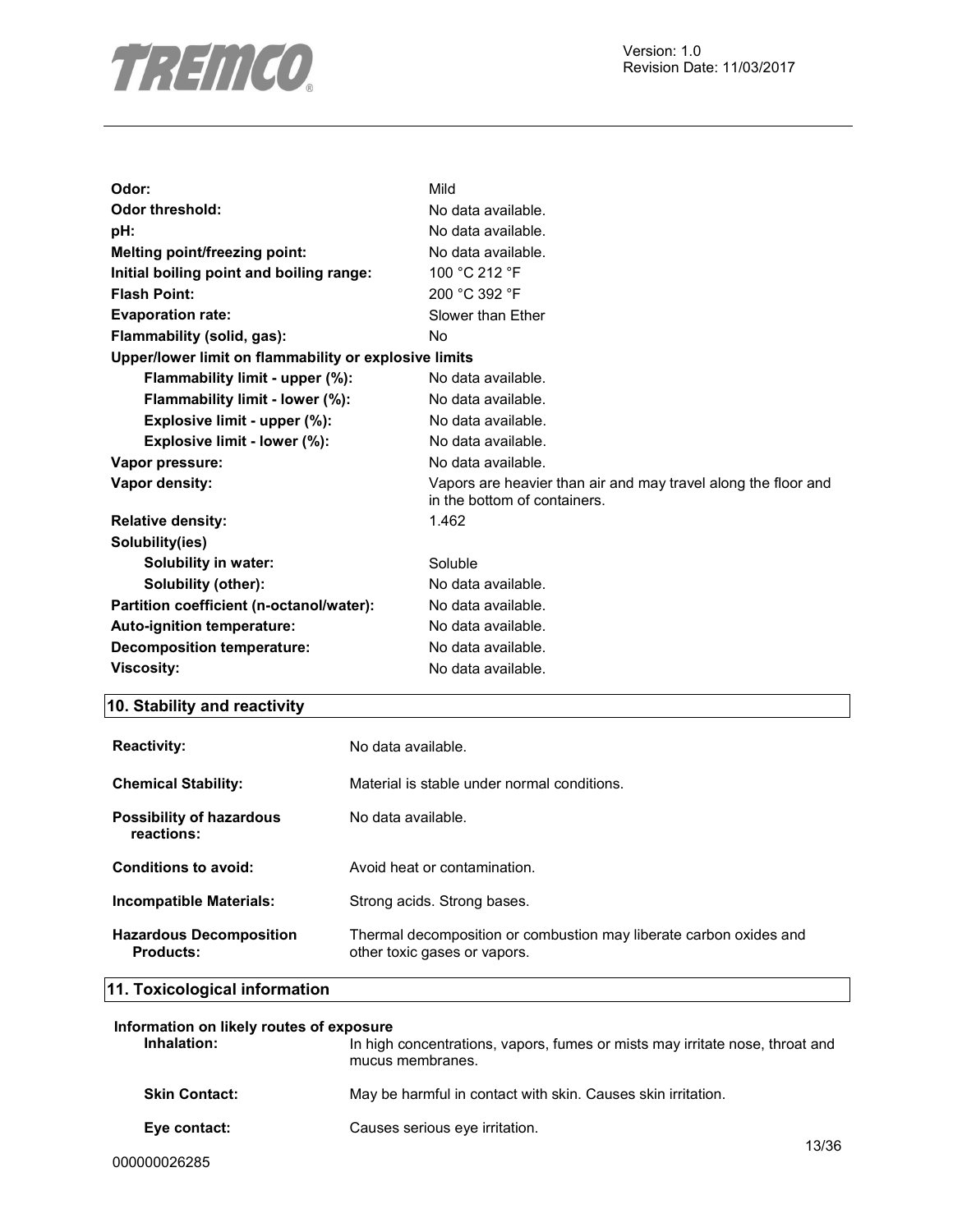

| Odor:                                                 | Mild                                                                                           |
|-------------------------------------------------------|------------------------------------------------------------------------------------------------|
| Odor threshold:                                       | No data available.                                                                             |
| pH:                                                   | No data available.                                                                             |
| <b>Melting point/freezing point:</b>                  | No data available.                                                                             |
| Initial boiling point and boiling range:              | 100 °C 212 °F                                                                                  |
| <b>Flash Point:</b>                                   | 200 °C 392 °F                                                                                  |
| <b>Evaporation rate:</b>                              | Slower than Ether                                                                              |
| Flammability (solid, gas):                            | N <sub>o</sub>                                                                                 |
| Upper/lower limit on flammability or explosive limits |                                                                                                |
| Flammability limit - upper (%):                       | No data available.                                                                             |
| Flammability limit - lower (%):                       | No data available.                                                                             |
| Explosive limit - upper (%):                          | No data available.                                                                             |
| Explosive limit - lower (%):                          | No data available.                                                                             |
| Vapor pressure:                                       | No data available.                                                                             |
| Vapor density:                                        | Vapors are heavier than air and may travel along the floor and<br>in the bottom of containers. |
| <b>Relative density:</b>                              | 1.462                                                                                          |
| Solubility(ies)                                       |                                                                                                |
| <b>Solubility in water:</b>                           | Soluble                                                                                        |
| Solubility (other):                                   | No data available.                                                                             |
| Partition coefficient (n-octanol/water):              | No data available.                                                                             |
| Auto-ignition temperature:                            | No data available.                                                                             |
| Decomposition temperature:                            | No data available.                                                                             |
| <b>Viscosity:</b>                                     | No data available.                                                                             |
|                                                       |                                                                                                |

## **10. Stability and reactivity**

| <b>Reactivity:</b>                                 | No data available.                                                                                 |
|----------------------------------------------------|----------------------------------------------------------------------------------------------------|
| <b>Chemical Stability:</b>                         | Material is stable under normal conditions.                                                        |
| Possibility of hazardous<br>reactions:             | No data available.                                                                                 |
| Conditions to avoid:                               | Avoid heat or contamination.                                                                       |
| <b>Incompatible Materials:</b>                     | Strong acids. Strong bases.                                                                        |
| <b>Hazardous Decomposition</b><br><b>Products:</b> | Thermal decomposition or combustion may liberate carbon oxides and<br>other toxic gases or vapors. |

## **11. Toxicological information**

| Information on likely routes of exposure<br>Inhalation: | In high concentrations, vapors, fumes or mists may irritate nose, throat and<br>mucus membranes. |       |
|---------------------------------------------------------|--------------------------------------------------------------------------------------------------|-------|
| <b>Skin Contact:</b>                                    | May be harmful in contact with skin. Causes skin irritation.                                     |       |
| Eye contact:                                            | Causes serious eye irritation.                                                                   | 12/26 |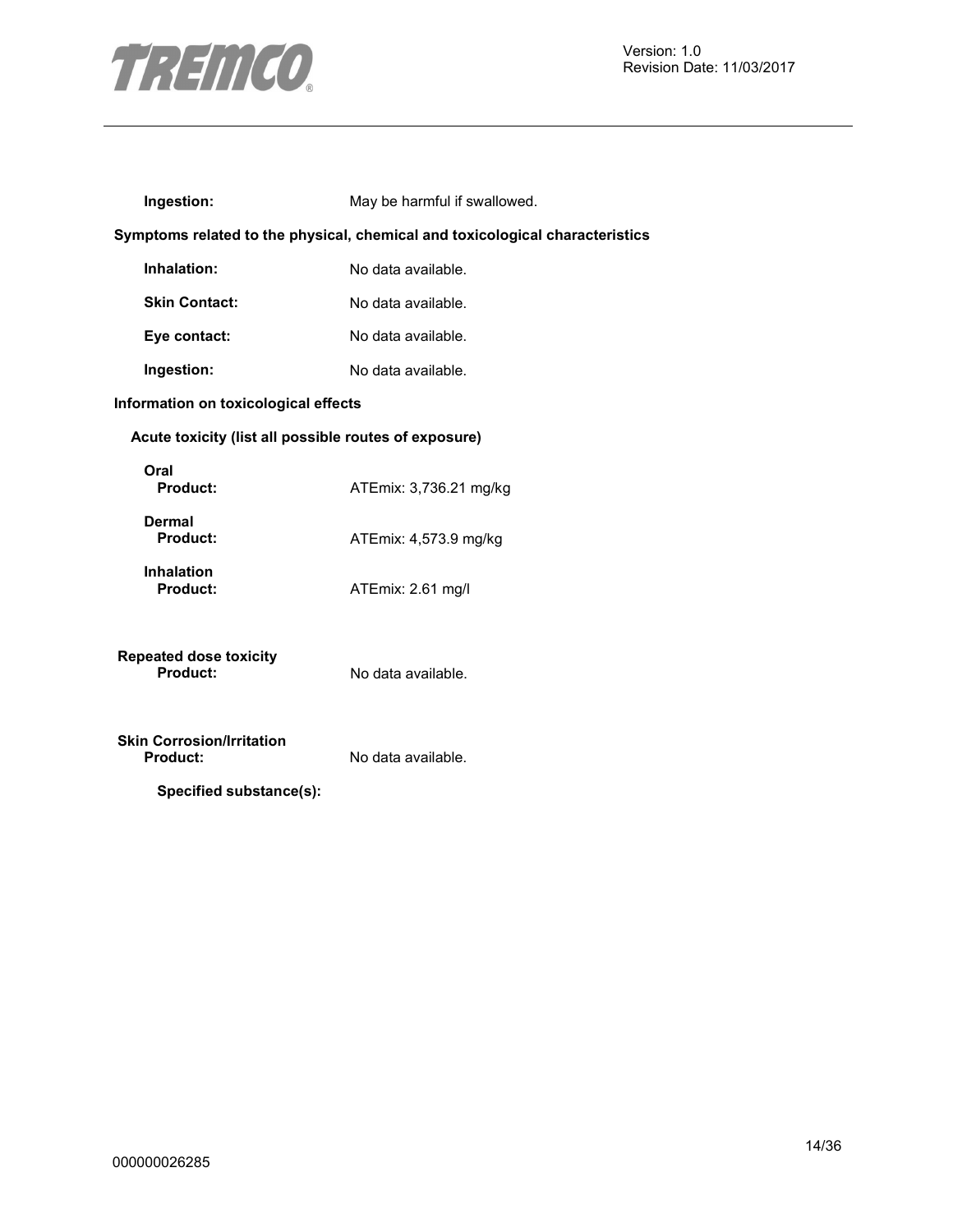

| Ingestion:                                                                     | May be harmful if swallowed.                                                 |
|--------------------------------------------------------------------------------|------------------------------------------------------------------------------|
|                                                                                | Symptoms related to the physical, chemical and toxicological characteristics |
| Inhalation:                                                                    | No data available.                                                           |
| <b>Skin Contact:</b>                                                           | No data available.                                                           |
| Eye contact:                                                                   | No data available.                                                           |
| Ingestion:                                                                     | No data available.                                                           |
| Information on toxicological effects                                           |                                                                              |
| Acute toxicity (list all possible routes of exposure)                          |                                                                              |
| Oral<br><b>Product:</b>                                                        | ATEmix: 3,736.21 mg/kg                                                       |
| Dermal<br><b>Product:</b>                                                      | ATEmix: 4,573.9 mg/kg                                                        |
| <b>Inhalation</b><br>Product:                                                  | ATEmix: 2.61 mg/l                                                            |
| <b>Repeated dose toxicity</b><br>Product:                                      | No data available.                                                           |
| <b>Skin Corrosion/Irritation</b><br><b>Product:</b><br>Specified substance(s): | No data available.                                                           |
|                                                                                |                                                                              |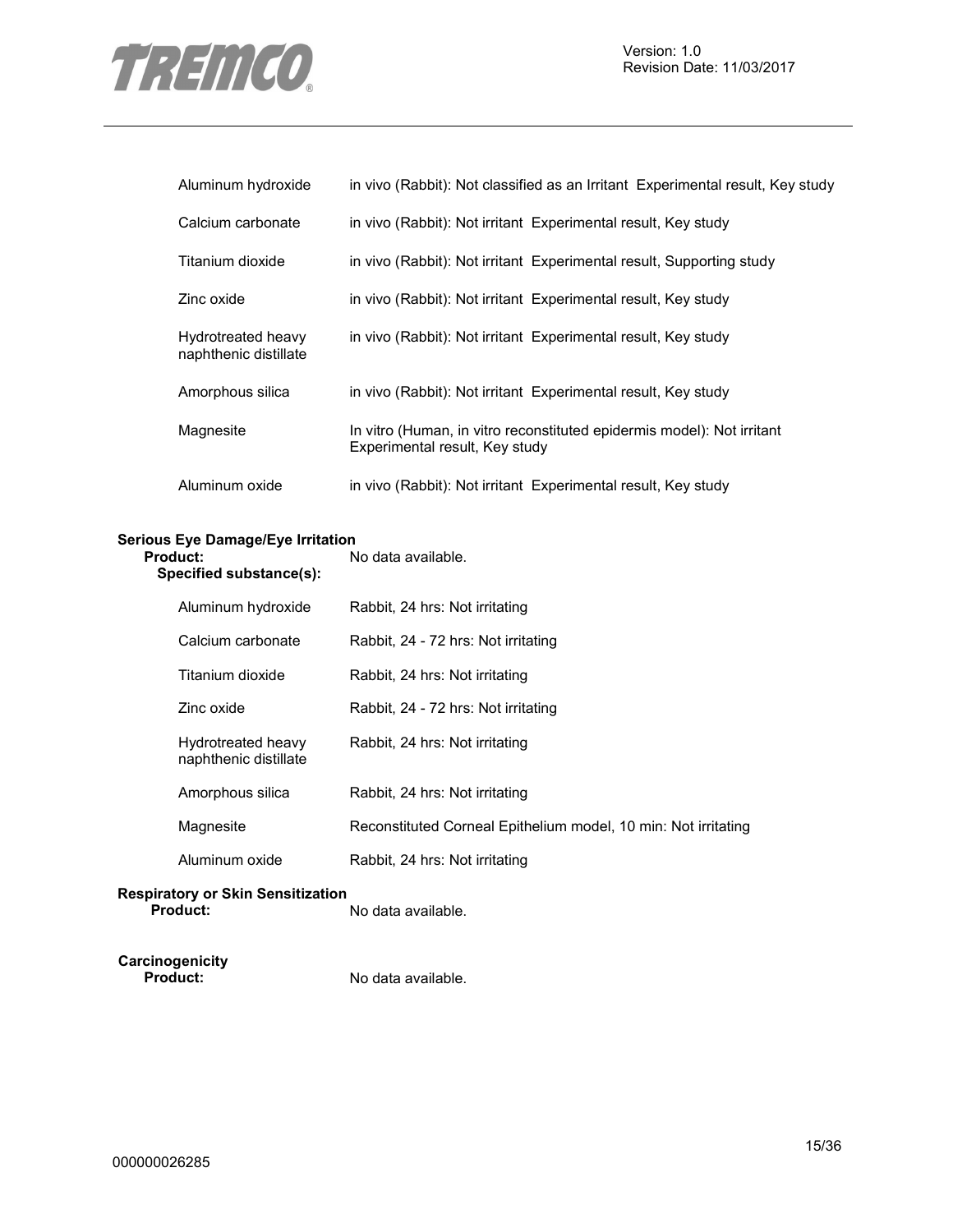

| Aluminum hydroxide                          | in vivo (Rabbit): Not classified as an Irritant Experimental result, Key study                           |
|---------------------------------------------|----------------------------------------------------------------------------------------------------------|
| Calcium carbonate                           | in vivo (Rabbit): Not irritant Experimental result, Key study                                            |
| Titanium dioxide                            | in vivo (Rabbit): Not irritant Experimental result, Supporting study                                     |
| Zinc oxide                                  | in vivo (Rabbit): Not irritant Experimental result, Key study                                            |
| Hydrotreated heavy<br>naphthenic distillate | in vivo (Rabbit): Not irritant Experimental result, Key study                                            |
| Amorphous silica                            | in vivo (Rabbit): Not irritant Experimental result, Key study                                            |
| Magnesite                                   | In vitro (Human, in vitro reconstituted epidermis model): Not irritant<br>Experimental result, Key study |
| Aluminum oxide                              | in vivo (Rabbit): Not irritant Experimental result, Key study                                            |

#### **Serious Eye Damage/Eye Irritation**

| Product:<br>Specified substance(s): |                                             | No data available.                                             |
|-------------------------------------|---------------------------------------------|----------------------------------------------------------------|
|                                     | Aluminum hydroxide                          | Rabbit, 24 hrs: Not irritating                                 |
|                                     | Calcium carbonate                           | Rabbit, 24 - 72 hrs: Not irritating                            |
|                                     | Titanium dioxide                            | Rabbit, 24 hrs: Not irritating                                 |
|                                     | Zinc oxide                                  | Rabbit, 24 - 72 hrs: Not irritating                            |
|                                     | Hydrotreated heavy<br>naphthenic distillate | Rabbit, 24 hrs: Not irritating                                 |
|                                     | Amorphous silica                            | Rabbit, 24 hrs: Not irritating                                 |
|                                     | Magnesite                                   | Reconstituted Corneal Epithelium model, 10 min: Not irritating |
|                                     | Aluminum oxide                              | Rabbit, 24 hrs: Not irritating                                 |
|                                     |                                             |                                                                |

#### **Respiratory or Skin Sensitization**  No data available.

| Carcinogenicity |  |
|-----------------|--|
| <b>Product:</b> |  |

**Product:** No data available.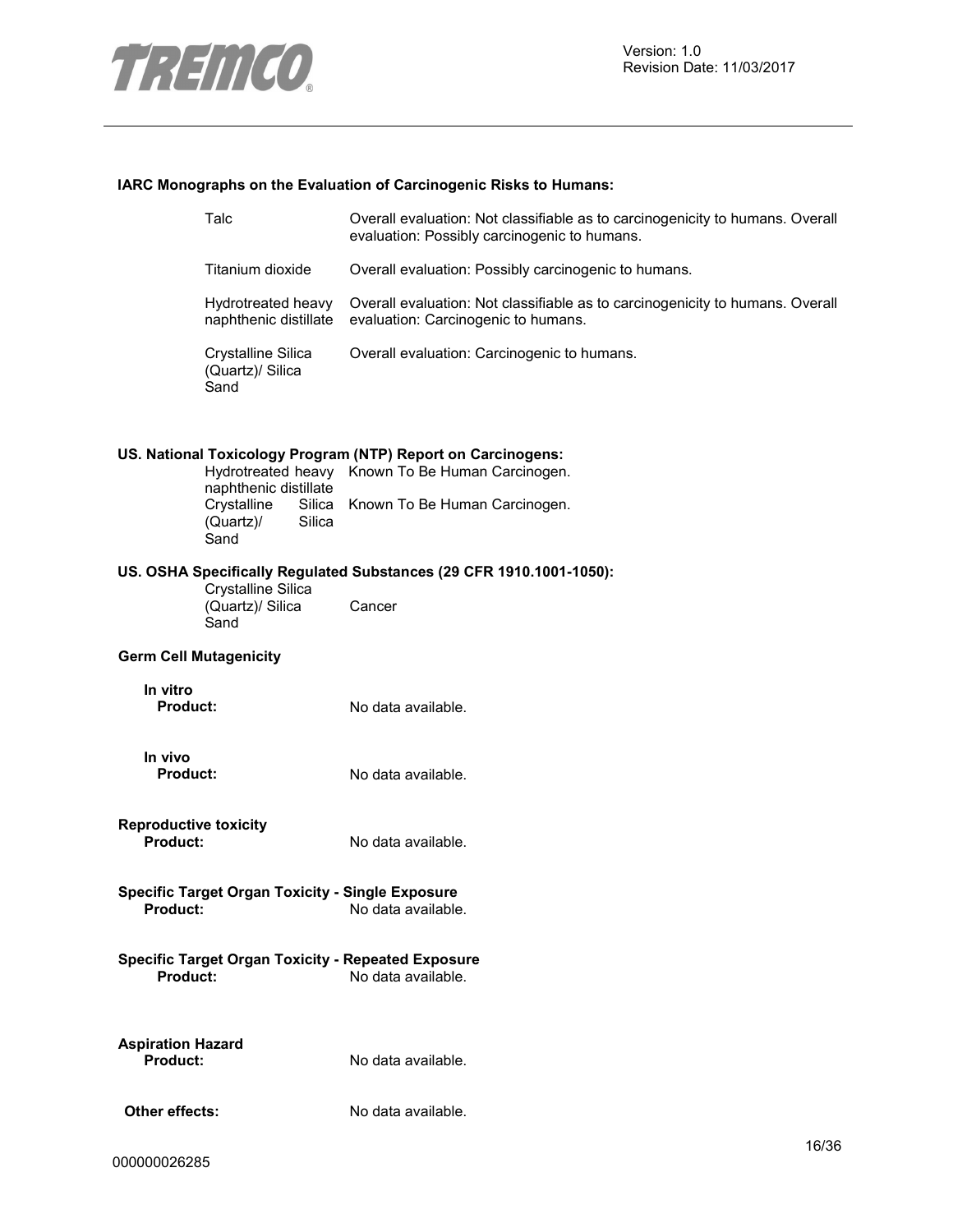

## **IARC Monographs on the Evaluation of Carcinogenic Risks to Humans:**

|                                                 | Talc                                                      | Overall evaluation: Not classifiable as to carcinogenicity to humans. Overall<br>evaluation: Possibly carcinogenic to humans.                     |       |
|-------------------------------------------------|-----------------------------------------------------------|---------------------------------------------------------------------------------------------------------------------------------------------------|-------|
|                                                 | Titanium dioxide                                          | Overall evaluation: Possibly carcinogenic to humans.                                                                                              |       |
|                                                 | Hydrotreated heavy<br>naphthenic distillate               | Overall evaluation: Not classifiable as to carcinogenicity to humans. Overall<br>evaluation: Carcinogenic to humans.                              |       |
|                                                 | Crystalline Silica<br>(Quartz)/ Silica<br>Sand            | Overall evaluation: Carcinogenic to humans.                                                                                                       |       |
|                                                 | naphthenic distillate<br>Crystalline<br>Silica            | US. National Toxicology Program (NTP) Report on Carcinogens:<br>Hydrotreated heavy Known To Be Human Carcinogen.<br>Known To Be Human Carcinogen. |       |
|                                                 | (Quartz)/<br>Silica<br>Sand                               |                                                                                                                                                   |       |
|                                                 |                                                           | US. OSHA Specifically Regulated Substances (29 CFR 1910.1001-1050):                                                                               |       |
|                                                 | Crystalline Silica<br>(Quartz)/ Silica<br>Sand            | Cancer                                                                                                                                            |       |
|                                                 | <b>Germ Cell Mutagenicity</b>                             |                                                                                                                                                   |       |
| In vitro<br><b>Product:</b>                     |                                                           | No data available.                                                                                                                                |       |
| In vivo<br><b>Product:</b>                      |                                                           | No data available.                                                                                                                                |       |
| <b>Reproductive toxicity</b><br><b>Product:</b> |                                                           | No data available.                                                                                                                                |       |
| <b>Product:</b>                                 | <b>Specific Target Organ Toxicity - Single Exposure</b>   | No data available.                                                                                                                                |       |
| Product:                                        | <b>Specific Target Organ Toxicity - Repeated Exposure</b> | No data available.                                                                                                                                |       |
| <b>Aspiration Hazard</b><br><b>Product:</b>     |                                                           | No data available.                                                                                                                                |       |
| Other effects:                                  |                                                           | No data available.                                                                                                                                |       |
|                                                 |                                                           |                                                                                                                                                   | 10100 |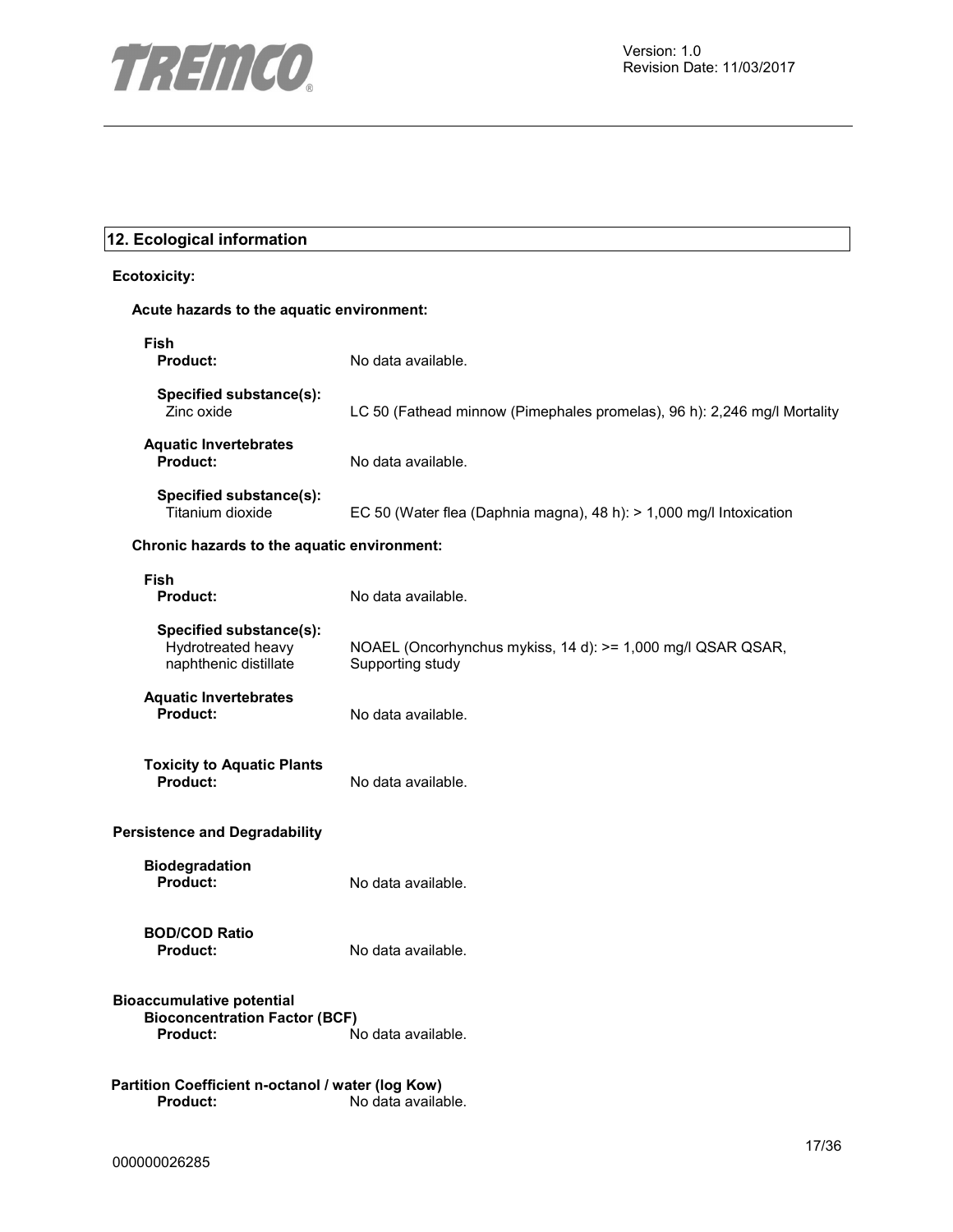

## **12. Ecological information**

#### **Ecotoxicity:**

#### **Acute hazards to the aquatic environment:**

| Fish<br><b>Product:</b>                                                  | No data available.                                                              |
|--------------------------------------------------------------------------|---------------------------------------------------------------------------------|
| Specified substance(s):<br>Zinc oxide                                    | LC 50 (Fathead minnow (Pimephales promelas), 96 h): 2,246 mg/l Mortality        |
| <b>Aquatic Invertebrates</b><br><b>Product:</b>                          | No data available.                                                              |
| Specified substance(s):<br>Titanium dioxide                              | EC 50 (Water flea (Daphnia magna), 48 h): > 1,000 mg/l Intoxication             |
| Chronic hazards to the aquatic environment:                              |                                                                                 |
| Fish<br><b>Product:</b>                                                  | No data available.                                                              |
| Specified substance(s):<br>Hydrotreated heavy<br>naphthenic distillate   | NOAEL (Oncorhynchus mykiss, 14 d): >= 1,000 mg/l QSAR QSAR,<br>Supporting study |
| <b>Aquatic Invertebrates</b><br>Product:                                 | No data available.                                                              |
| <b>Toxicity to Aquatic Plants</b><br><b>Product:</b>                     | No data available.                                                              |
| <b>Persistence and Degradability</b>                                     |                                                                                 |
| <b>Biodegradation</b><br>Product:                                        | No data available.                                                              |
| <b>BOD/COD Ratio</b><br>Product:                                         | No data available.                                                              |
| <b>Bioaccumulative potential</b><br><b>Bioconcentration Factor (BCF)</b> |                                                                                 |
| <b>Product:</b>                                                          | No data available.                                                              |
| Partition Coefficient n-octanol / water (log Kow)<br><b>Product:</b>     | No data available.                                                              |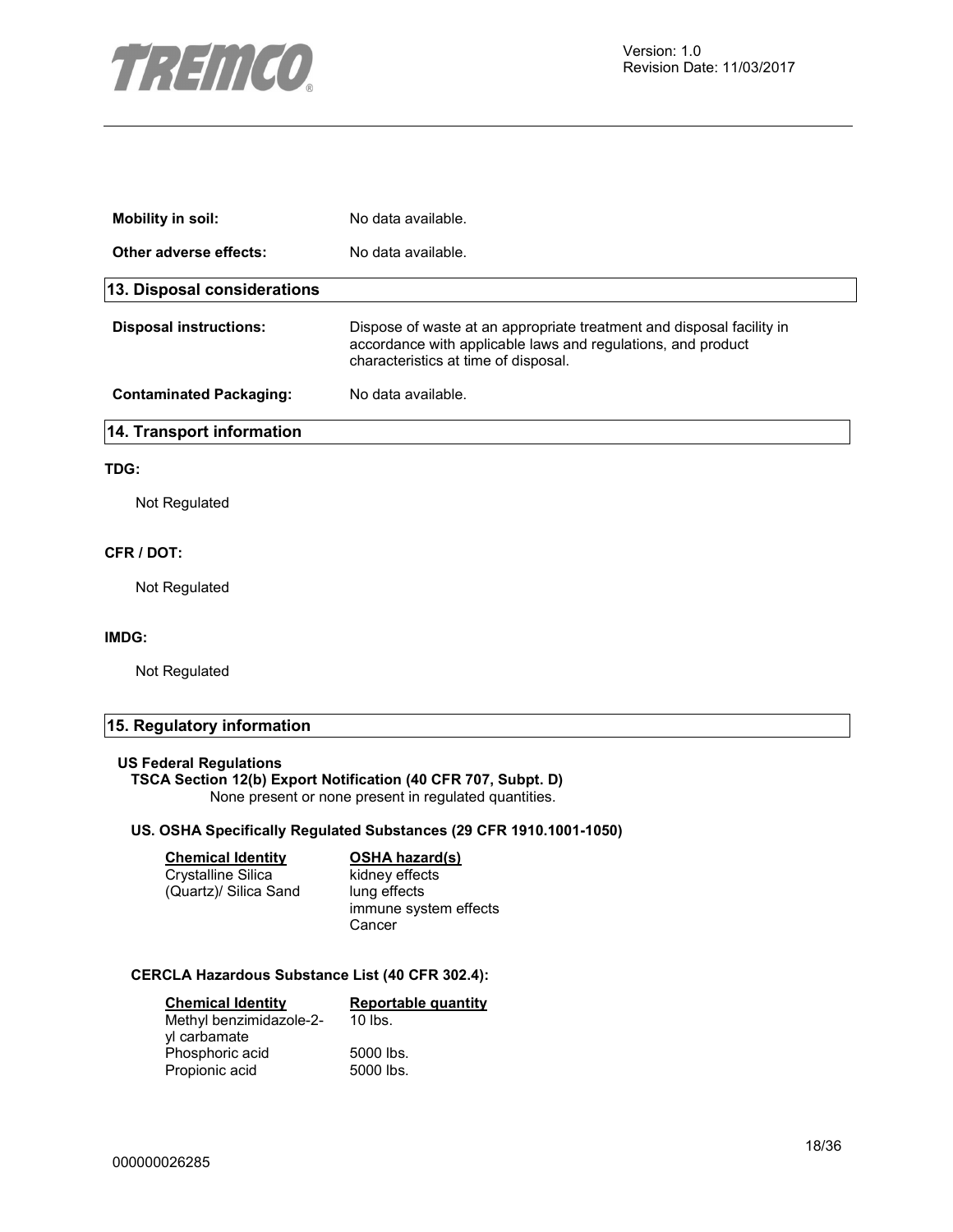

| Mobility in soil:                | No data available.                                                                                                                                                            |
|----------------------------------|-------------------------------------------------------------------------------------------------------------------------------------------------------------------------------|
| Other adverse effects:           | No data available.                                                                                                                                                            |
| 13. Disposal considerations      |                                                                                                                                                                               |
| <b>Disposal instructions:</b>    | Dispose of waste at an appropriate treatment and disposal facility in<br>accordance with applicable laws and regulations, and product<br>characteristics at time of disposal. |
| <b>Contaminated Packaging:</b>   | No data available.                                                                                                                                                            |
| <b>14. Transport information</b> |                                                                                                                                                                               |
|                                  |                                                                                                                                                                               |

#### **TDG:**

Not Regulated

#### **CFR / DOT:**

Not Regulated

#### **IMDG:**

Not Regulated

## **15. Regulatory information**

#### **US Federal Regulations**

#### **TSCA Section 12(b) Export Notification (40 CFR 707, Subpt. D)**

None present or none present in regulated quantities.

#### **US. OSHA Specifically Regulated Substances (29 CFR 1910.1001-1050)**

| <b>Chemical Identity</b> | <b>OSHA hazard(s)</b> |
|--------------------------|-----------------------|
| Crystalline Silica       | kidney effects        |
| (Quartz)/ Silica Sand    | lung effects          |
|                          | immune system effects |
|                          | Cancer                |

### **CERCLA Hazardous Substance List (40 CFR 302.4):**

| <b>Chemical Identity</b> | <b>Reportable quantity</b> |
|--------------------------|----------------------------|
| Methyl benzimidazole-2-  | $10$ lbs.                  |
| yl carbamate             |                            |
| Phosphoric acid          | 5000 lbs.                  |
| Propionic acid           | 5000 lbs.                  |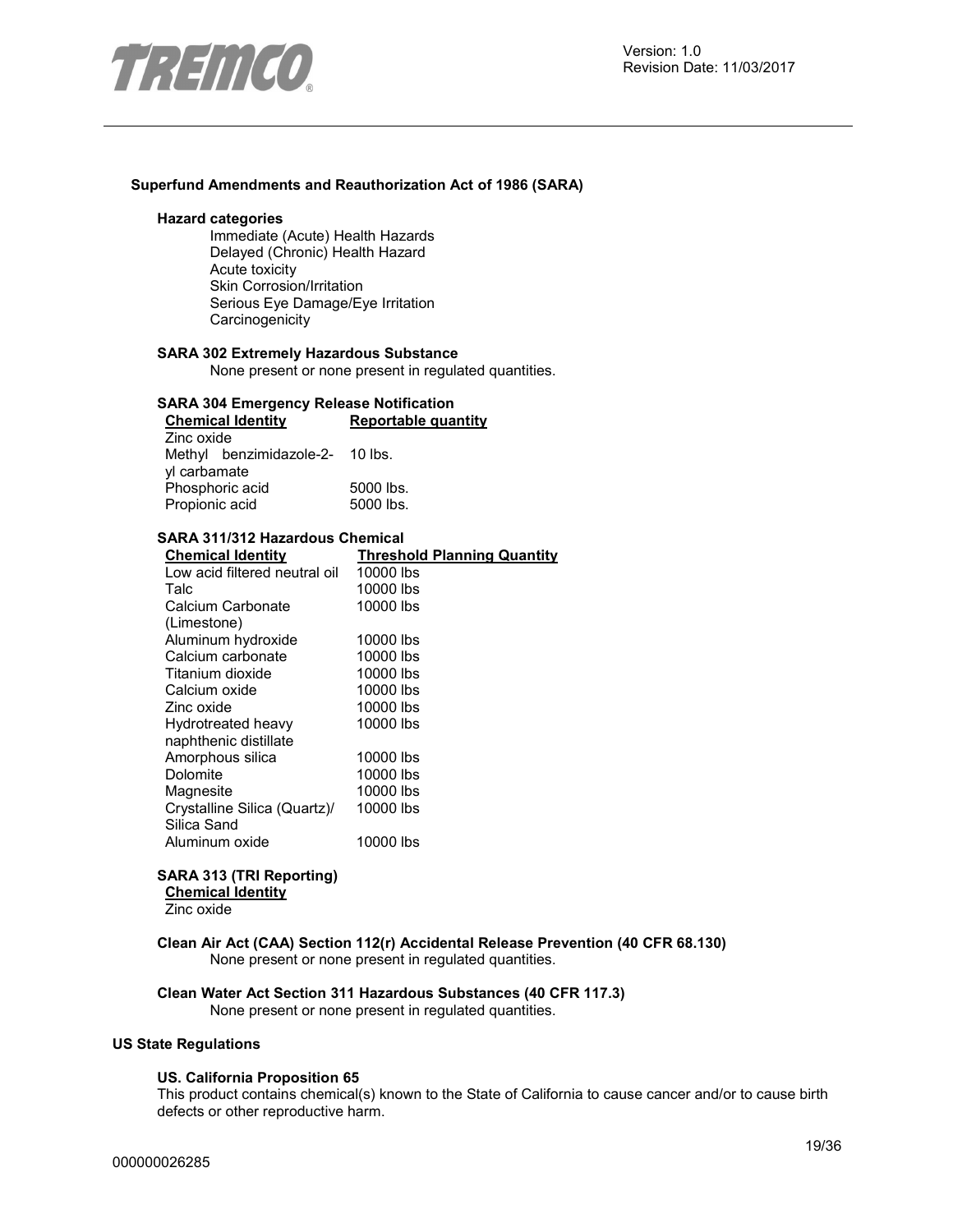

#### **Superfund Amendments and Reauthorization Act of 1986 (SARA)**

#### **Hazard categories**

Immediate (Acute) Health Hazards Delayed (Chronic) Health Hazard Acute toxicity Skin Corrosion/Irritation Serious Eye Damage/Eye Irritation **Carcinogenicity** 

#### **SARA 302 Extremely Hazardous Substance**

None present or none present in regulated quantities.

#### **SARA 304 Emergency Release Notification**

| <b>Chemical Identity</b>        | Reportable quantity |  |
|---------------------------------|---------------------|--|
| Zinc oxide                      |                     |  |
| Methyl benzimidazole-2- 10 lbs. |                     |  |
| yl carbamate                    |                     |  |
| Phosphoric acid                 | 5000 lbs.           |  |
| Propionic acid                  | 5000 lbs.           |  |

#### **SARA 311/312 Hazardous Chemical**

| <b>Chemical Identity</b>      | <b>Threshold Planning Quantity</b> |
|-------------------------------|------------------------------------|
| Low acid filtered neutral oil | 10000 lbs                          |
| Talc                          | 10000 lbs                          |
| Calcium Carbonate             | 10000 lbs                          |
| (Limestone)                   |                                    |
| Aluminum hydroxide            | 10000 lbs                          |
| Calcium carbonate             | 10000 lbs                          |
| Titanium dioxide              | 10000 lbs                          |
| Calcium oxide                 | 10000 lbs                          |
| Zinc oxide                    | 10000 lbs                          |
| Hydrotreated heavy            | 10000 lbs                          |
| naphthenic distillate         |                                    |
| Amorphous silica              | 10000 lbs                          |
| Dolomite                      | 10000 lbs                          |
| Magnesite                     | 10000 lbs                          |
| Crystalline Silica (Quartz)/  | 10000 lbs                          |
| Silica Sand                   |                                    |
| Aluminum oxide                | 10000 lbs                          |

#### **SARA 313 (TRI Reporting)**

**Chemical Identity** Zinc oxide

#### **Clean Air Act (CAA) Section 112(r) Accidental Release Prevention (40 CFR 68.130)**  None present or none present in regulated quantities.

**Clean Water Act Section 311 Hazardous Substances (40 CFR 117.3)** 

None present or none present in regulated quantities.

#### **US State Regulations**

#### **US. California Proposition 65**

This product contains chemical(s) known to the State of California to cause cancer and/or to cause birth defects or other reproductive harm.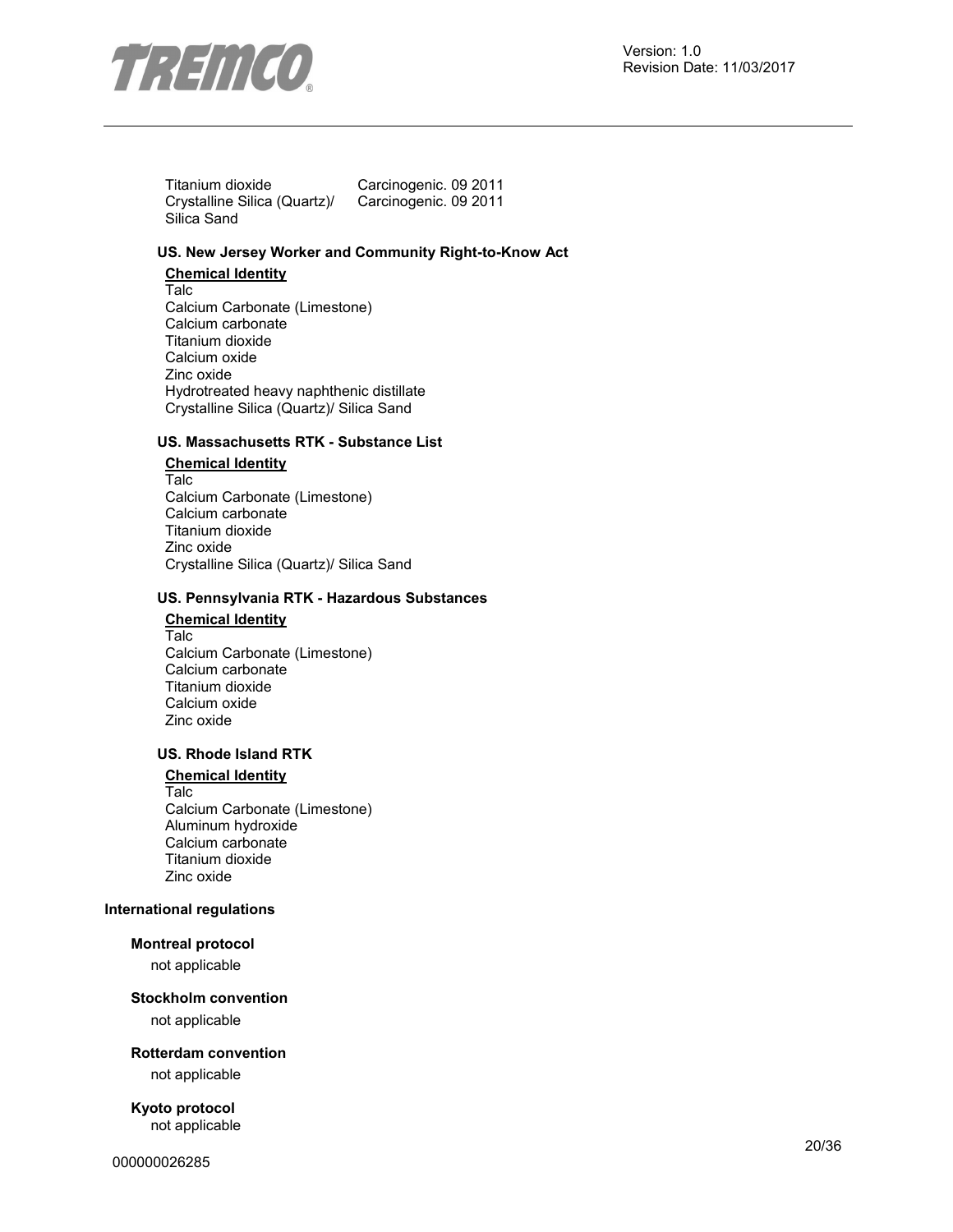

Titanium dioxide Carcinogenic. 09 2011 Crystalline Silica (Quartz)/ Silica Sand Carcinogenic. 09 2011

### **US. New Jersey Worker and Community Right-to-Know Act**

**Chemical Identity** Talc Calcium Carbonate (Limestone) Calcium carbonate Titanium dioxide Calcium oxide Zinc oxide Hydrotreated heavy naphthenic distillate Crystalline Silica (Quartz)/ Silica Sand

#### **US. Massachusetts RTK - Substance List**

#### **Chemical Identity**

Talc Calcium Carbonate (Limestone) Calcium carbonate Titanium dioxide Zinc oxide Crystalline Silica (Quartz)/ Silica Sand

#### **US. Pennsylvania RTK - Hazardous Substances**

## **Chemical Identity** Talc

Calcium Carbonate (Limestone) Calcium carbonate Titanium dioxide Calcium oxide Zinc oxide

#### **US. Rhode Island RTK**

#### **Chemical Identity**

Talc Calcium Carbonate (Limestone) Aluminum hydroxide Calcium carbonate Titanium dioxide Zinc oxide

#### **International regulations**

#### **Montreal protocol**

not applicable

#### **Stockholm convention**

not applicable

**Rotterdam convention** 

not applicable

**Kyoto protocol**  not applicable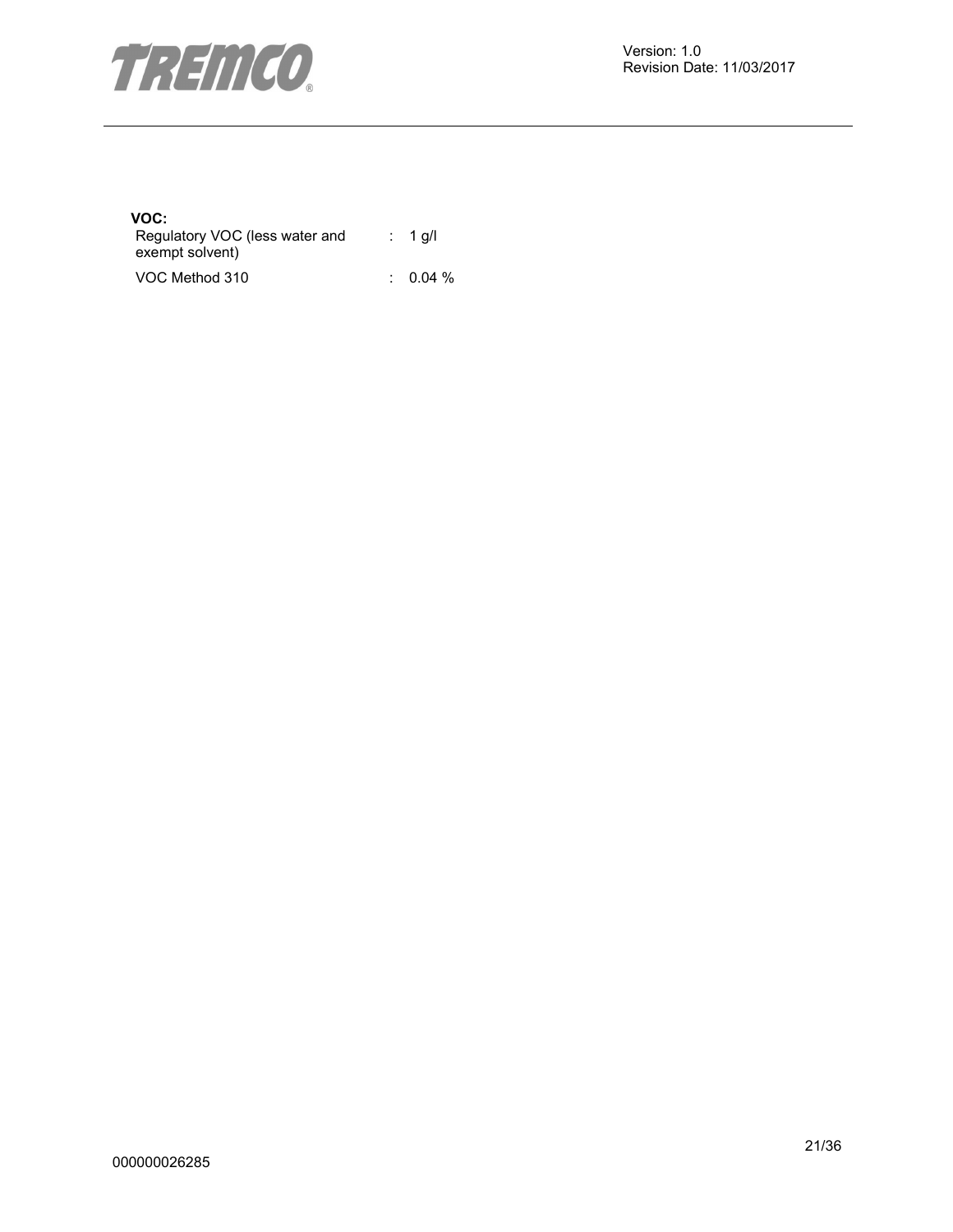

#### **VOC:**

| Regulatory VOC (less water and | $\therefore$ 1 g/l |
|--------------------------------|--------------------|
| exempt solvent)                |                    |
|                                | --                 |

VOC Method 310 : 0.04 %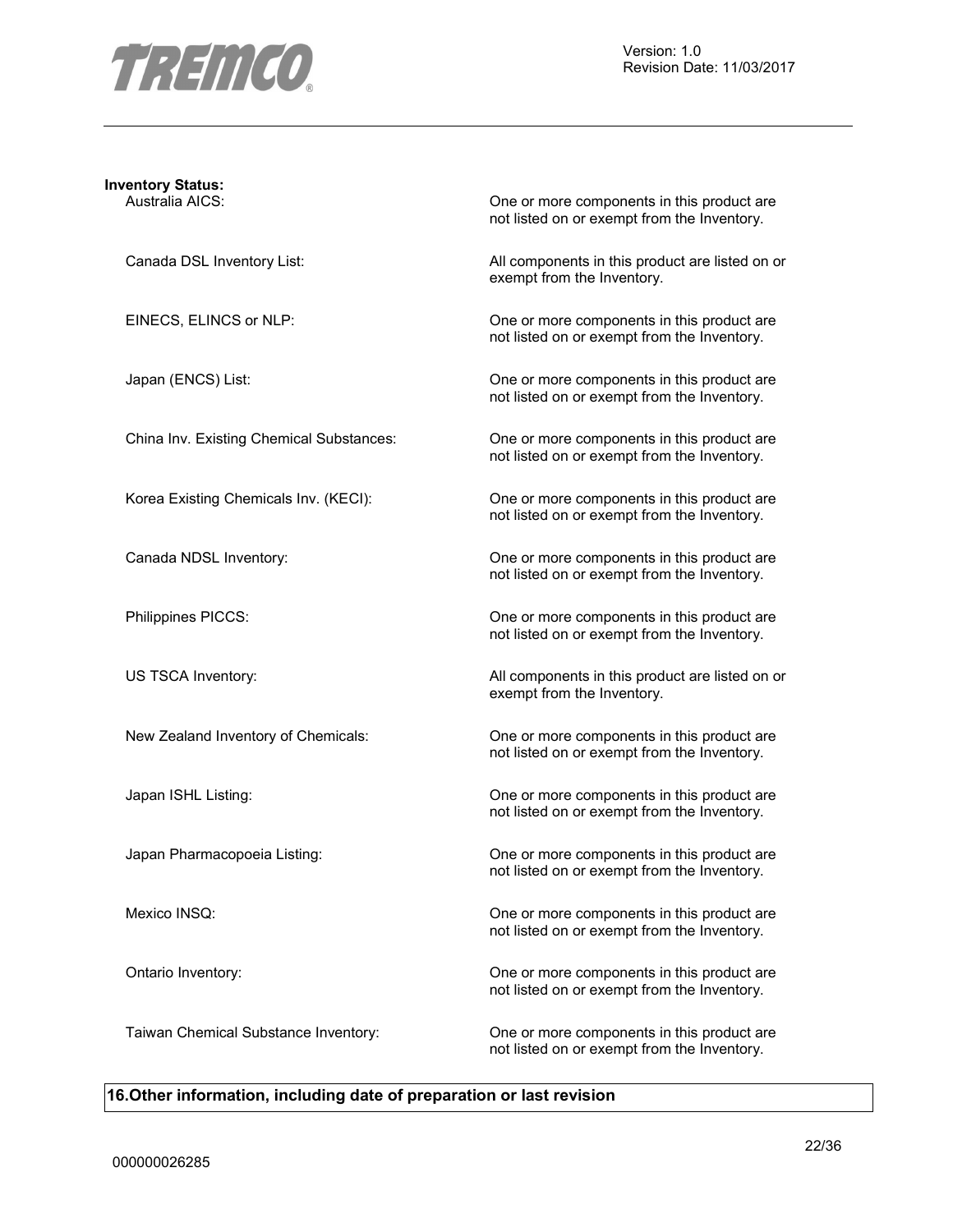

## **Inventory Status:**

Australia AICS: One or more components in this product are not listed on or exempt from the Inventory.

Canada DSL Inventory List:  $\qquad \qquad$  All components in this product are listed on or exempt from the Inventory.

EINECS, ELINCS or NLP: One or more components in this product are not listed on or exempt from the Inventory.

Japan (ENCS) List:  $\qquad \qquad$  One or more components in this product are not listed on or exempt from the Inventory.

China Inv. Existing Chemical Substances: One or more components in this product are not listed on or exempt from the Inventory.

Korea Existing Chemicals Inv. (KECI): One or more components in this product are not listed on or exempt from the Inventory.

Canada NDSL Inventory: One or more components in this product are not listed on or exempt from the Inventory.

Philippines PICCS: One or more components in this product are not listed on or exempt from the Inventory.

US TSCA Inventory: The same of the COLOR All components in this product are listed on or exempt from the Inventory.

New Zealand Inventory of Chemicals: One or more components in this product are not listed on or exempt from the Inventory.

Japan ISHL Listing: One or more components in this product are not listed on or exempt from the Inventory.

Japan Pharmacopoeia Listing: One or more components in this product are not listed on or exempt from the Inventory.

Mexico INSQ: One or more components in this product are not listed on or exempt from the Inventory.

Ontario Inventory: One or more components in this product are not listed on or exempt from the Inventory.

Taiwan Chemical Substance Inventory: One or more components in this product are not listed on or exempt from the Inventory.

#### **16.Other information, including date of preparation or last revision**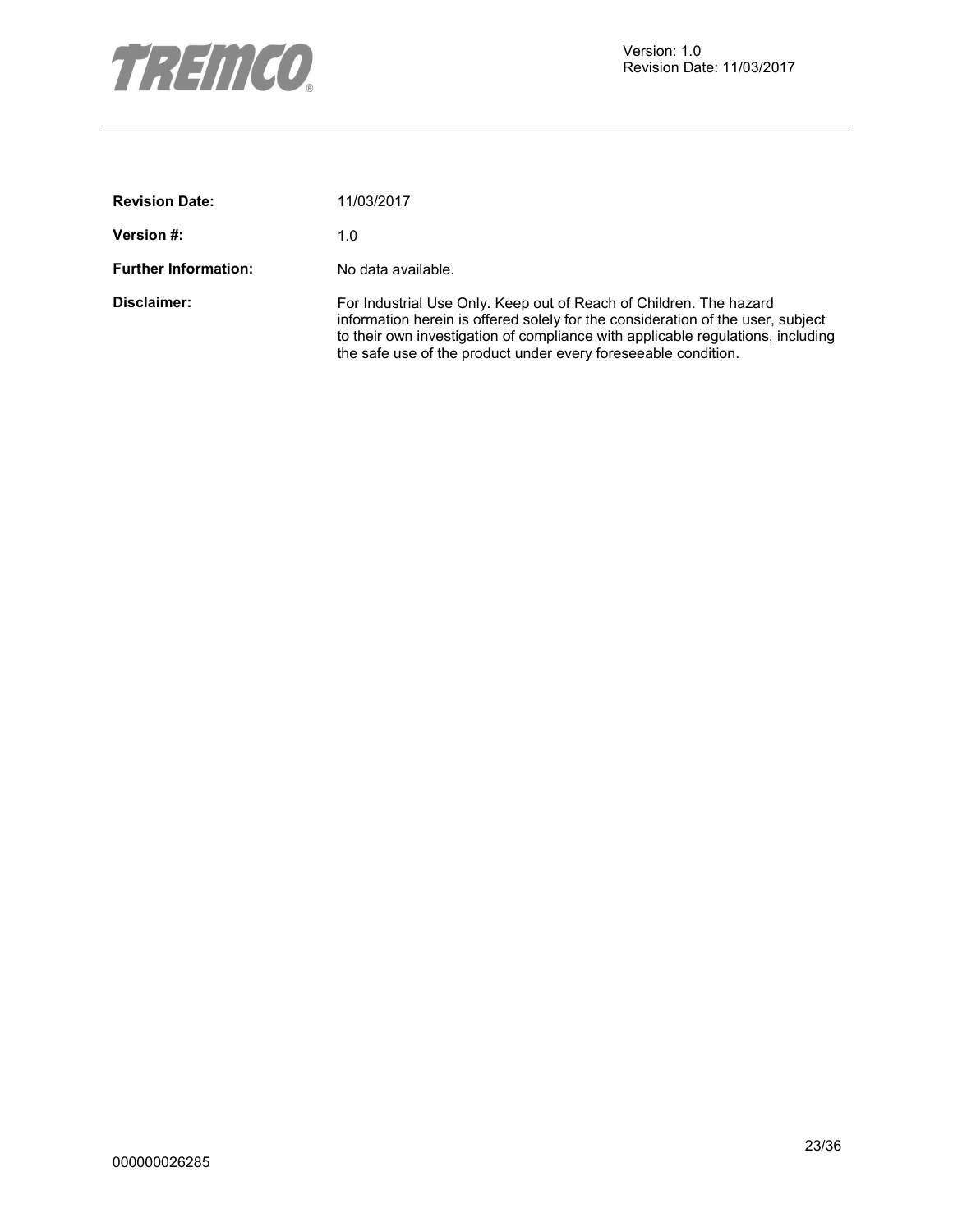

| <b>Revision Date:</b>       | 11/03/2017                                                                                                                                                                                                                                                                                                  |
|-----------------------------|-------------------------------------------------------------------------------------------------------------------------------------------------------------------------------------------------------------------------------------------------------------------------------------------------------------|
| <b>Version #:</b>           | 1.0                                                                                                                                                                                                                                                                                                         |
| <b>Further Information:</b> | No data available.                                                                                                                                                                                                                                                                                          |
| Disclaimer:                 | For Industrial Use Only. Keep out of Reach of Children. The hazard<br>information herein is offered solely for the consideration of the user, subject<br>to their own investigation of compliance with applicable regulations, including<br>the safe use of the product under every fore seeable condition. |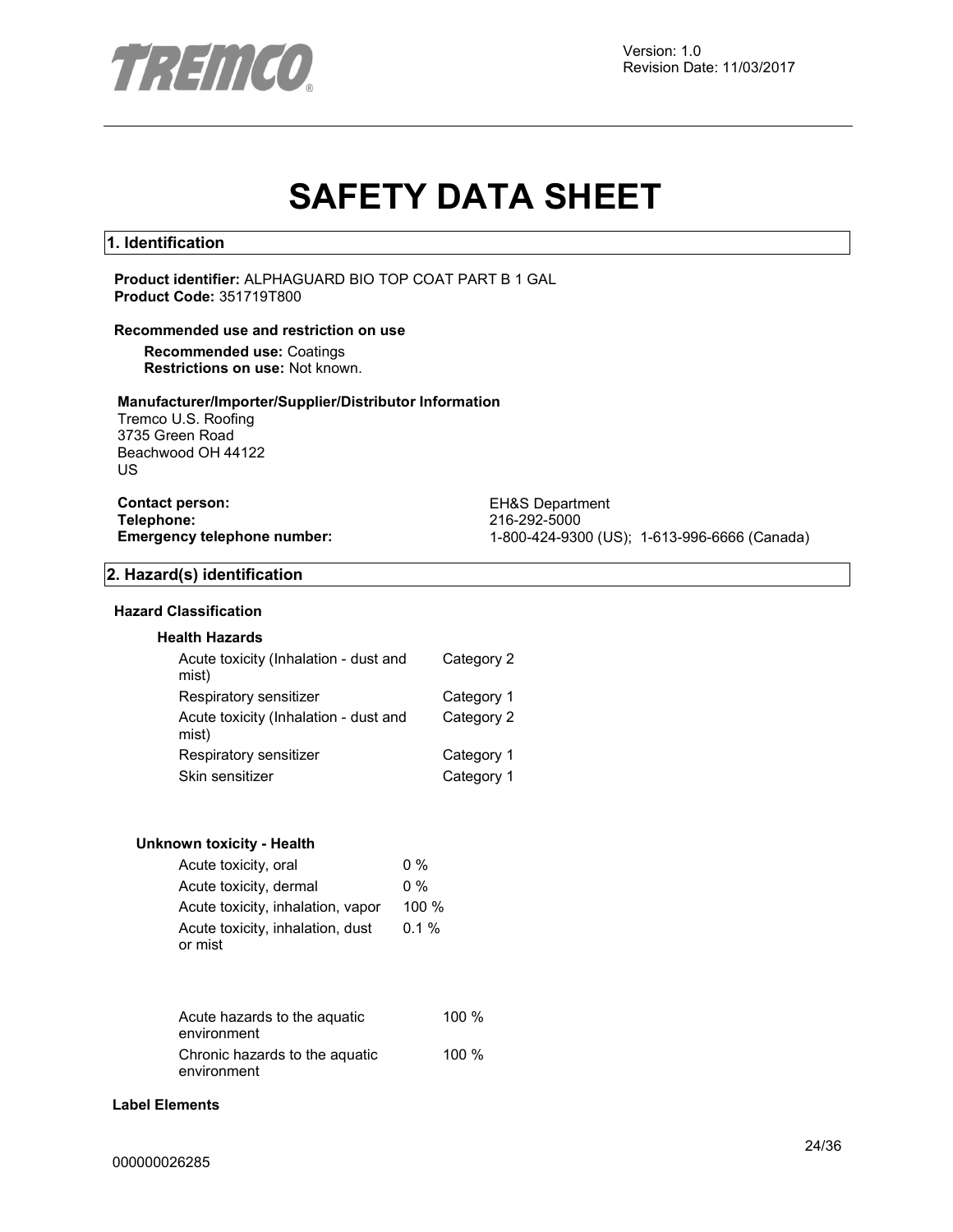

# **SAFETY DATA SHEET**

#### **1. Identification**

**Product identifier:** ALPHAGUARD BIO TOP COAT PART B 1 GAL **Product Code:** 351719T800

#### **Recommended use and restriction on use**

**Recommended use:** Coatings **Restrictions on use:** Not known.

#### **Manufacturer/Importer/Supplier/Distributor Information**

Tremco U.S. Roofing 3735 Green Road Beachwood OH 44122 US

**Contact person:** EH&S Department **Telephone:** 216-292-5000

**Emergency telephone number:** 1-800-424-9300 (US); 1-613-996-6666 (Canada)

#### **2. Hazard(s) identification**

#### **Hazard Classification**

#### **Health Hazards**

| Acute toxicity (Inhalation - dust and<br>mist) | Category 2 |
|------------------------------------------------|------------|
| Respiratory sensitizer                         | Category 1 |
| Acute toxicity (Inhalation - dust and<br>mist) | Category 2 |
| Respiratory sensitizer                         | Category 1 |
| Skin sensitizer                                | Category 1 |

#### **Unknown toxicity - Health**

| Acute toxicity, oral              | $0\%$    |
|-----------------------------------|----------|
| Acute toxicity, dermal            | $0\%$    |
| Acute toxicity, inhalation, vapor | 100 $%$  |
| Acute toxicity, inhalation, dust  | $0.1 \%$ |
| or mist                           |          |

| Acute hazards to the aguatic                  | 100%    |
|-----------------------------------------------|---------|
| environment                                   |         |
| Chronic hazards to the aquatic<br>environment | 100 $%$ |

#### **Label Elements**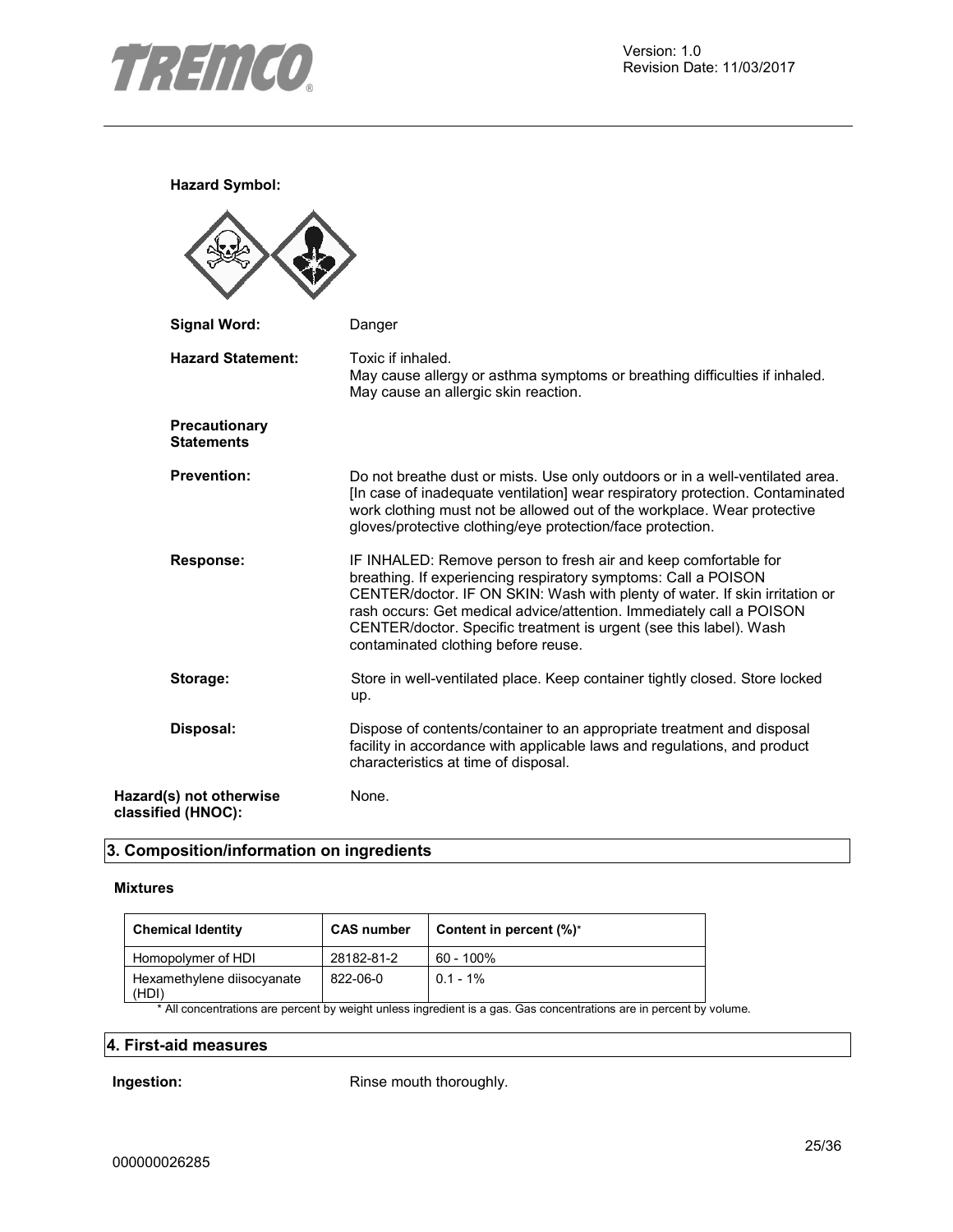

**Hazard Symbol:**

| <b>Signal Word:</b>                           | Danger                                                                                                                                                                                                                                                                                                                                                                                                |
|-----------------------------------------------|-------------------------------------------------------------------------------------------------------------------------------------------------------------------------------------------------------------------------------------------------------------------------------------------------------------------------------------------------------------------------------------------------------|
| <b>Hazard Statement:</b>                      | Toxic if inhaled.<br>May cause allergy or asthma symptoms or breathing difficulties if inhaled.<br>May cause an allergic skin reaction.                                                                                                                                                                                                                                                               |
| Precautionary<br><b>Statements</b>            |                                                                                                                                                                                                                                                                                                                                                                                                       |
| <b>Prevention:</b>                            | Do not breathe dust or mists. Use only outdoors or in a well-ventilated area.<br>[In case of inadequate ventilation] wear respiratory protection. Contaminated<br>work clothing must not be allowed out of the workplace. Wear protective<br>gloves/protective clothing/eye protection/face protection.                                                                                               |
| <b>Response:</b>                              | IF INHALED: Remove person to fresh air and keep comfortable for<br>breathing. If experiencing respiratory symptoms: Call a POISON<br>CENTER/doctor. IF ON SKIN: Wash with plenty of water. If skin irritation or<br>rash occurs: Get medical advice/attention. Immediately call a POISON<br>CENTER/doctor. Specific treatment is urgent (see this label). Wash<br>contaminated clothing before reuse. |
| Storage:                                      | Store in well-ventilated place. Keep container tightly closed. Store locked<br>up.                                                                                                                                                                                                                                                                                                                    |
| Disposal:                                     | Dispose of contents/container to an appropriate treatment and disposal<br>facility in accordance with applicable laws and regulations, and product<br>characteristics at time of disposal.                                                                                                                                                                                                            |
| Hazard(s) not otherwise<br>classified (HNOC): | None.                                                                                                                                                                                                                                                                                                                                                                                                 |

### **3. Composition/information on ingredients**

#### **Mixtures**

| <b>Chemical Identity</b>            | <b>CAS number</b> | Content in percent $(\%)^*$ |
|-------------------------------------|-------------------|-----------------------------|
| Homopolymer of HDI                  | 28182-81-2        | 60 - 100%                   |
| Hexamethylene diisocyanate<br>(HDI) | 822-06-0          | $0.1 - 1\%$                 |

\* All concentrations are percent by weight unless ingredient is a gas. Gas concentrations are in percent by volume.

#### **4. First-aid measures**

**Ingestion:** Rinse mouth thoroughly.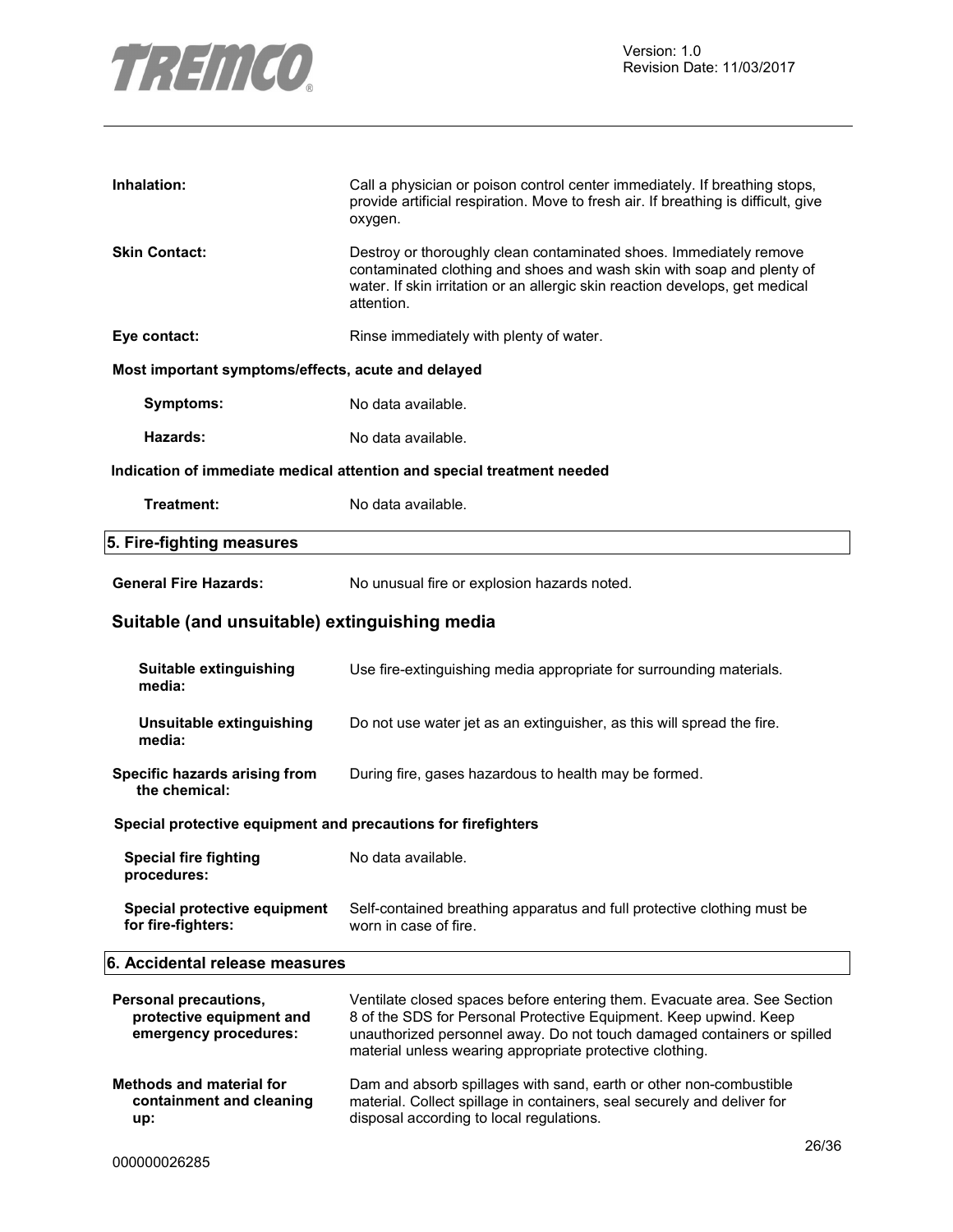

| Inhalation:                                                                | Call a physician or poison control center immediately. If breathing stops,<br>provide artificial respiration. Move to fresh air. If breathing is difficult, give<br>oxygen.                                                                                                          |  |
|----------------------------------------------------------------------------|--------------------------------------------------------------------------------------------------------------------------------------------------------------------------------------------------------------------------------------------------------------------------------------|--|
| <b>Skin Contact:</b>                                                       | Destroy or thoroughly clean contaminated shoes. Immediately remove<br>contaminated clothing and shoes and wash skin with soap and plenty of<br>water. If skin irritation or an allergic skin reaction develops, get medical<br>attention.                                            |  |
| Eye contact:                                                               | Rinse immediately with plenty of water.                                                                                                                                                                                                                                              |  |
| Most important symptoms/effects, acute and delayed                         |                                                                                                                                                                                                                                                                                      |  |
| Symptoms:                                                                  | No data available.                                                                                                                                                                                                                                                                   |  |
| Hazards:                                                                   | No data available.                                                                                                                                                                                                                                                                   |  |
|                                                                            | Indication of immediate medical attention and special treatment needed                                                                                                                                                                                                               |  |
| Treatment:                                                                 | No data available.                                                                                                                                                                                                                                                                   |  |
| 5. Fire-fighting measures                                                  |                                                                                                                                                                                                                                                                                      |  |
| <b>General Fire Hazards:</b>                                               | No unusual fire or explosion hazards noted.                                                                                                                                                                                                                                          |  |
| Suitable (and unsuitable) extinguishing media                              |                                                                                                                                                                                                                                                                                      |  |
| Suitable extinguishing<br>media:                                           | Use fire-extinguishing media appropriate for surrounding materials.                                                                                                                                                                                                                  |  |
| Unsuitable extinguishing<br>media:                                         | Do not use water jet as an extinguisher, as this will spread the fire.                                                                                                                                                                                                               |  |
| Specific hazards arising from<br>the chemical:                             | During fire, gases hazardous to health may be formed.                                                                                                                                                                                                                                |  |
| Special protective equipment and precautions for firefighters              |                                                                                                                                                                                                                                                                                      |  |
| <b>Special fire fighting</b><br>procedures:                                | No data available.                                                                                                                                                                                                                                                                   |  |
| Special protective equipment<br>for fire-fighters:                         | Self-contained breathing apparatus and full protective clothing must be<br>worn in case of fire.                                                                                                                                                                                     |  |
| 6. Accidental release measures                                             |                                                                                                                                                                                                                                                                                      |  |
| Personal precautions,<br>protective equipment and<br>emergency procedures: | Ventilate closed spaces before entering them. Evacuate area. See Section<br>8 of the SDS for Personal Protective Equipment. Keep upwind. Keep<br>unauthorized personnel away. Do not touch damaged containers or spilled<br>material unless wearing appropriate protective clothing. |  |
| <b>Methods and material for</b><br>containment and cleaning<br>up:         | Dam and absorb spillages with sand, earth or other non-combustible<br>material. Collect spillage in containers, seal securely and deliver for<br>disposal according to local regulations.                                                                                            |  |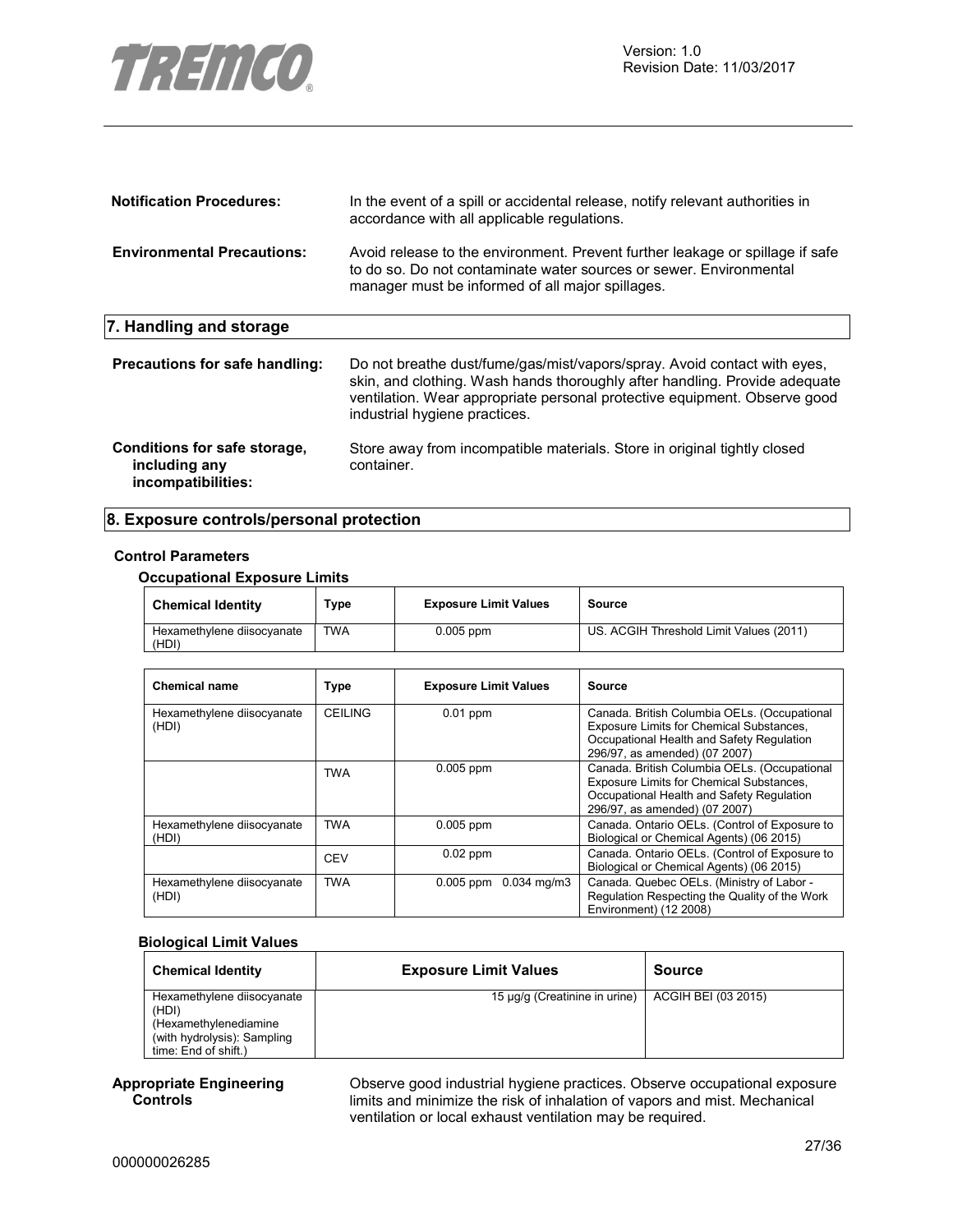

| <b>Notification Procedures:</b>                                     | In the event of a spill or accidental release, notify relevant authorities in<br>accordance with all applicable regulations.                                                                                                                                         |
|---------------------------------------------------------------------|----------------------------------------------------------------------------------------------------------------------------------------------------------------------------------------------------------------------------------------------------------------------|
| <b>Environmental Precautions:</b>                                   | Avoid release to the environment. Prevent further leakage or spillage if safe<br>to do so. Do not contaminate water sources or sewer. Environmental<br>manager must be informed of all major spillages.                                                              |
| 7. Handling and storage                                             |                                                                                                                                                                                                                                                                      |
| Precautions for safe handling:                                      | Do not breathe dust/fume/gas/mist/vapors/spray. Avoid contact with eyes.<br>skin, and clothing. Wash hands thoroughly after handling. Provide adequate<br>ventilation. Wear appropriate personal protective equipment. Observe good<br>industrial hygiene practices. |
| Conditions for safe storage,<br>including any<br>incompatibilities: | Store away from incompatible materials. Store in original tightly closed<br>container.                                                                                                                                                                               |

#### **8. Exposure controls/personal protection**

#### **Control Parameters**

#### **Occupational Exposure Limits**

| <b>Chemical Identity</b>            | туре       | <b>Exposure Limit Values</b> | Source                                  |
|-------------------------------------|------------|------------------------------|-----------------------------------------|
| Hexamethylene diisocyanate<br>(HDI) | <b>TWA</b> | $0.005$ ppm                  | US. ACGIH Threshold Limit Values (2011) |

| <b>Chemical name</b>                | <b>Type</b>    | <b>Exposure Limit Values</b>          | Source                                                                                                                                                                 |
|-------------------------------------|----------------|---------------------------------------|------------------------------------------------------------------------------------------------------------------------------------------------------------------------|
| Hexamethylene diisocyanate<br>(HDI) | <b>CEILING</b> | $0.01$ ppm                            | Canada. British Columbia OELs. (Occupational<br>Exposure Limits for Chemical Substances,<br>Occupational Health and Safety Regulation<br>296/97, as amended) (07 2007) |
|                                     | <b>TWA</b>     | $0.005$ ppm                           | Canada. British Columbia OELs. (Occupational<br>Exposure Limits for Chemical Substances,<br>Occupational Health and Safety Regulation<br>296/97, as amended) (07 2007) |
| Hexamethylene diisocyanate<br>(HDI) | <b>TWA</b>     | $0.005$ ppm                           | Canada. Ontario OELs. (Control of Exposure to<br>Biological or Chemical Agents) (06 2015)                                                                              |
|                                     | <b>CEV</b>     | $0.02$ ppm                            | Canada. Ontario OELs. (Control of Exposure to<br>Biological or Chemical Agents) (06 2015)                                                                              |
| Hexamethylene diisocyanate<br>(HDI) | <b>TWA</b>     | $0.034 \text{ ma/m}$ 3<br>$0.005$ ppm | Canada. Quebec OELs. (Ministry of Labor -<br>Regulation Respecting the Quality of the Work<br>Environment) (12 2008)                                                   |

#### **Biological Limit Values**

| <b>Chemical Identity</b>            | <b>Exposure Limit Values</b>  | <b>Source</b>       |
|-------------------------------------|-------------------------------|---------------------|
| Hexamethylene diisocyanate<br>(HDI) | 15 µg/g (Creatinine in urine) | ACGIH BEI (03 2015) |
| (Hexamethylenediamine               |                               |                     |
| (with hydrolysis): Sampling         |                               |                     |
| time: End of shift.)                |                               |                     |

#### **Appropriate Engineering Controls**

Observe good industrial hygiene practices. Observe occupational exposure limits and minimize the risk of inhalation of vapors and mist. Mechanical ventilation or local exhaust ventilation may be required.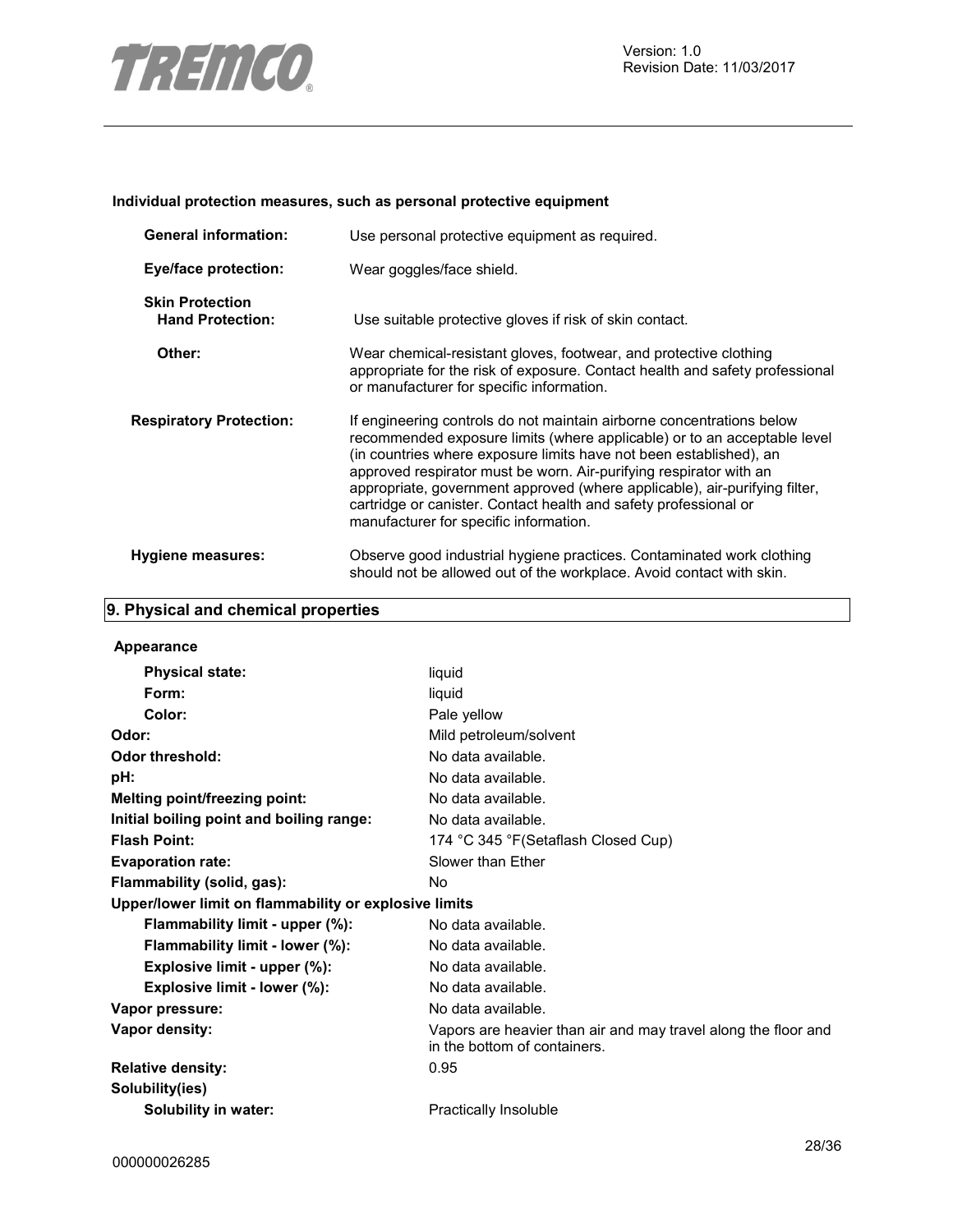

#### **Individual protection measures, such as personal protective equipment**

| <b>General information:</b>                       | Use personal protective equipment as required.                                                                                                                                                                                                                                                                                                                                                                                                                                            |  |  |
|---------------------------------------------------|-------------------------------------------------------------------------------------------------------------------------------------------------------------------------------------------------------------------------------------------------------------------------------------------------------------------------------------------------------------------------------------------------------------------------------------------------------------------------------------------|--|--|
| <b>Eye/face protection:</b>                       | Wear goggles/face shield.                                                                                                                                                                                                                                                                                                                                                                                                                                                                 |  |  |
| <b>Skin Protection</b><br><b>Hand Protection:</b> | Use suitable protective gloves if risk of skin contact.                                                                                                                                                                                                                                                                                                                                                                                                                                   |  |  |
| Other:                                            | Wear chemical-resistant gloves, footwear, and protective clothing<br>appropriate for the risk of exposure. Contact health and safety professional<br>or manufacturer for specific information.                                                                                                                                                                                                                                                                                            |  |  |
| <b>Respiratory Protection:</b>                    | If engineering controls do not maintain airborne concentrations below<br>recommended exposure limits (where applicable) or to an acceptable level<br>(in countries where exposure limits have not been established), an<br>approved respirator must be worn. Air-purifying respirator with an<br>appropriate, government approved (where applicable), air-purifying filter,<br>cartridge or canister. Contact health and safety professional or<br>manufacturer for specific information. |  |  |
| <b>Hygiene measures:</b>                          | Observe good industrial hygiene practices. Contaminated work clothing<br>should not be allowed out of the workplace. Avoid contact with skin.                                                                                                                                                                                                                                                                                                                                             |  |  |

## **9. Physical and chemical properties**

| Appearance                                            |                                                                                                |
|-------------------------------------------------------|------------------------------------------------------------------------------------------------|
| <b>Physical state:</b>                                | liquid                                                                                         |
| Form:                                                 | liquid                                                                                         |
| Color:                                                | Pale yellow                                                                                    |
| Odor:                                                 | Mild petroleum/solvent                                                                         |
| <b>Odor threshold:</b>                                | No data available.                                                                             |
| pH:                                                   | No data available.                                                                             |
| <b>Melting point/freezing point:</b>                  | No data available.                                                                             |
| Initial boiling point and boiling range:              | No data available.                                                                             |
| <b>Flash Point:</b>                                   | 174 °C 345 °F (Setaflash Closed Cup)                                                           |
| <b>Evaporation rate:</b>                              | Slower than Ether                                                                              |
| Flammability (solid, gas):                            | No.                                                                                            |
| Upper/lower limit on flammability or explosive limits |                                                                                                |
| Flammability limit - upper (%):                       | No data available.                                                                             |
| Flammability limit - lower (%):                       | No data available.                                                                             |
| Explosive limit - upper (%):                          | No data available.                                                                             |
| Explosive limit - lower (%):                          | No data available.                                                                             |
| Vapor pressure:                                       | No data available.                                                                             |
| Vapor density:                                        | Vapors are heavier than air and may travel along the floor and<br>in the bottom of containers. |
| <b>Relative density:</b>                              | 0.95                                                                                           |
| Solubility(ies)                                       |                                                                                                |
| <b>Solubility in water:</b>                           | <b>Practically Insoluble</b>                                                                   |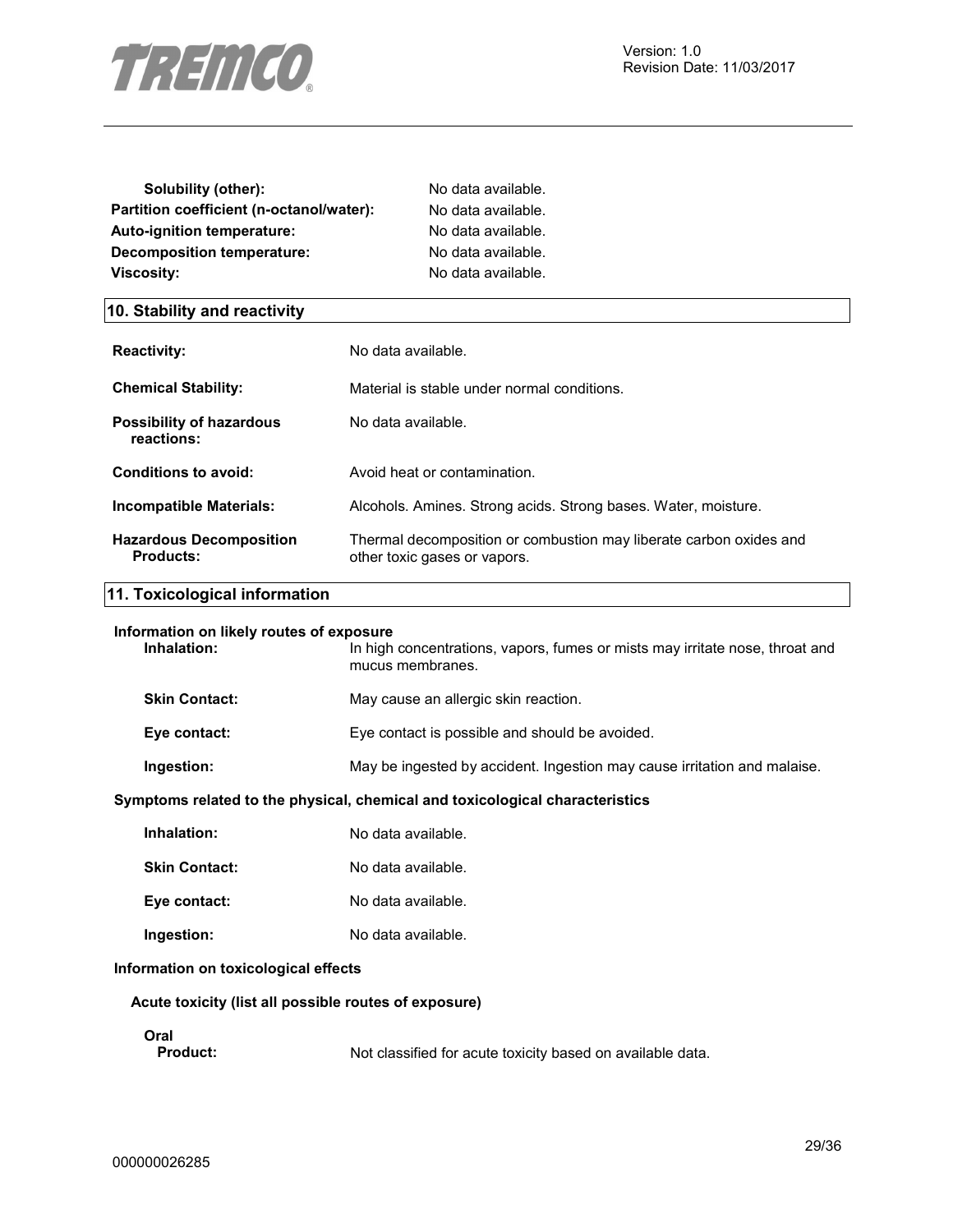

| Solubility (other):                      | No data available. |
|------------------------------------------|--------------------|
| Partition coefficient (n-octanol/water): | No data available. |
| Auto-ignition temperature:               | No data available. |
| Decomposition temperature:               | No data available. |
| Viscosity:                               | No data available. |

#### **10. Stability and reactivity**

| <b>Reactivity:</b>                                 | No data available.                                                                                 |
|----------------------------------------------------|----------------------------------------------------------------------------------------------------|
| <b>Chemical Stability:</b>                         | Material is stable under normal conditions.                                                        |
| Possibility of hazardous<br>reactions:             | No data available.                                                                                 |
| Conditions to avoid:                               | Avoid heat or contamination.                                                                       |
| Incompatible Materials:                            | Alcohols. Amines. Strong acids. Strong bases. Water, moisture.                                     |
| <b>Hazardous Decomposition</b><br><b>Products:</b> | Thermal decomposition or combustion may liberate carbon oxides and<br>other toxic gases or vapors. |

#### **11. Toxicological information**

#### **Information on likely routes of exposure**

| Inhalation:          | In high concentrations, vapors, fumes or mists may irritate nose, throat and<br>mucus membranes. |
|----------------------|--------------------------------------------------------------------------------------------------|
| <b>Skin Contact:</b> | May cause an allergic skin reaction.                                                             |
| Eye contact:         | Eye contact is possible and should be avoided.                                                   |
| Ingestion:           | May be ingested by accident. Ingestion may cause irritation and malaise.                         |

#### **Symptoms related to the physical, chemical and toxicological characteristics**

| Inhalation:          | No data available. |
|----------------------|--------------------|
| <b>Skin Contact:</b> | No data available. |

- **Eye contact:** No data available.
- **Ingestion:** No data available.

#### **Information on toxicological effects**

#### **Acute toxicity (list all possible routes of exposure)**

**Oral**  Not classified for acute toxicity based on available data.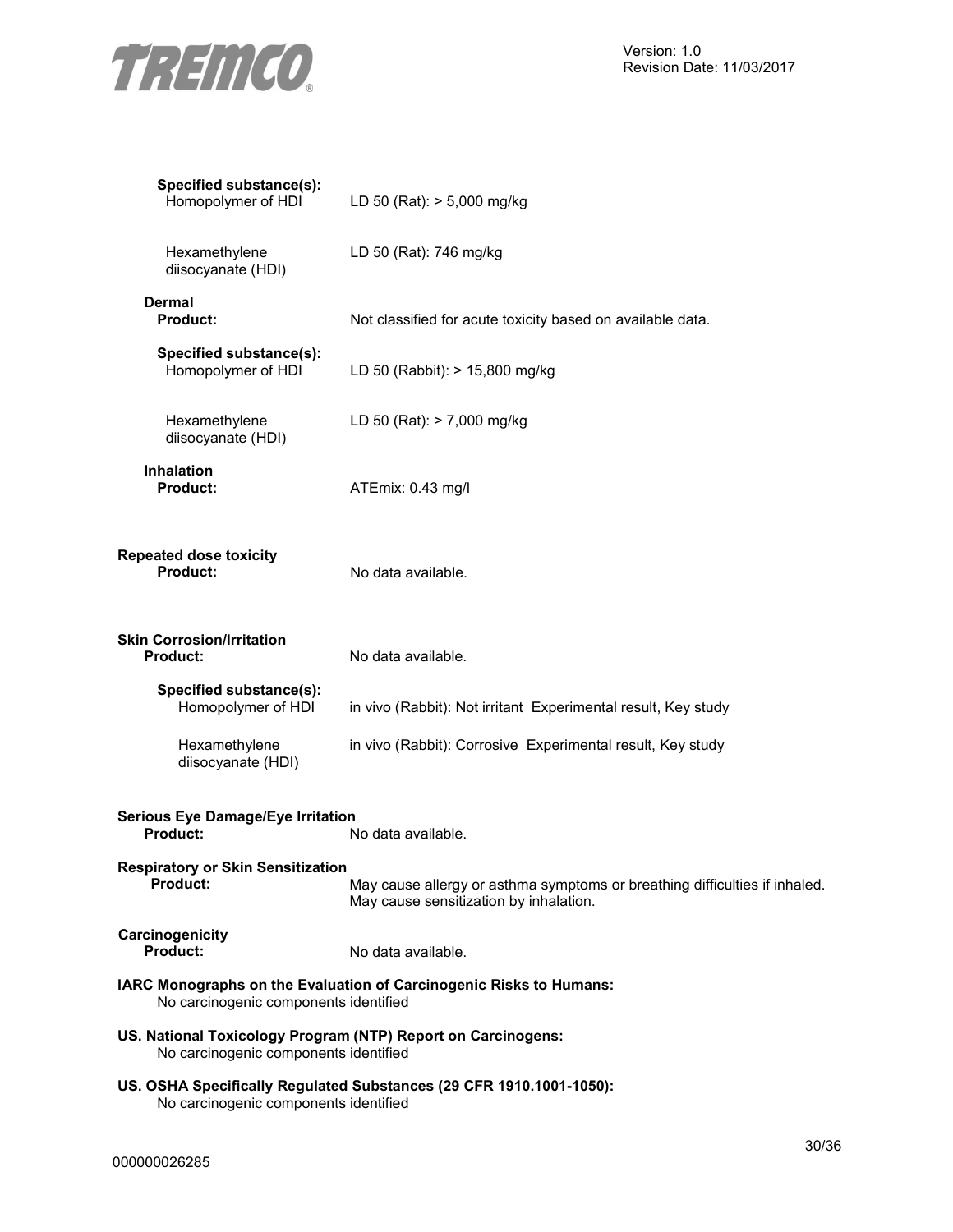

| Specified substance(s):<br>Homopolymer of HDI                                                         | LD 50 (Rat): $> 5,000$ mg/kg                                                                                         |
|-------------------------------------------------------------------------------------------------------|----------------------------------------------------------------------------------------------------------------------|
| Hexamethylene<br>diisocyanate (HDI)                                                                   | LD 50 (Rat): 746 mg/kg                                                                                               |
| Dermal<br><b>Product:</b>                                                                             | Not classified for acute toxicity based on available data.                                                           |
| Specified substance(s):<br>Homopolymer of HDI                                                         | LD 50 (Rabbit): > 15,800 mg/kg                                                                                       |
| Hexamethylene<br>diisocyanate (HDI)                                                                   | LD 50 (Rat): > 7,000 mg/kg                                                                                           |
| <b>Inhalation</b><br><b>Product:</b>                                                                  | ATEmix: 0.43 mg/l                                                                                                    |
| <b>Repeated dose toxicity</b><br><b>Product:</b>                                                      | No data available.                                                                                                   |
| <b>Skin Corrosion/Irritation</b><br><b>Product:</b>                                                   | No data available.                                                                                                   |
| Specified substance(s):<br>Homopolymer of HDI                                                         | in vivo (Rabbit): Not irritant Experimental result, Key study                                                        |
| Hexamethylene<br>diisocyanate (HDI)                                                                   | in vivo (Rabbit): Corrosive Experimental result, Key study                                                           |
| <b>Serious Eye Damage/Eye Irritation</b><br><b>Product:</b>                                           | No data available.                                                                                                   |
| <b>Respiratory or Skin Sensitization</b><br><b>Product:</b>                                           | May cause allergy or asthma symptoms or breathing difficulties if inhaled.<br>May cause sensitization by inhalation. |
| Carcinogenicity<br>Product:                                                                           | No data available.                                                                                                   |
| No carcinogenic components identified                                                                 | IARC Monographs on the Evaluation of Carcinogenic Risks to Humans:                                                   |
| US. National Toxicology Program (NTP) Report on Carcinogens:<br>No carcinogenic components identified |                                                                                                                      |
|                                                                                                       | US. OSHA Specifically Regulated Substances (29 CFR 1910.1001-1050):                                                  |

No carcinogenic components identified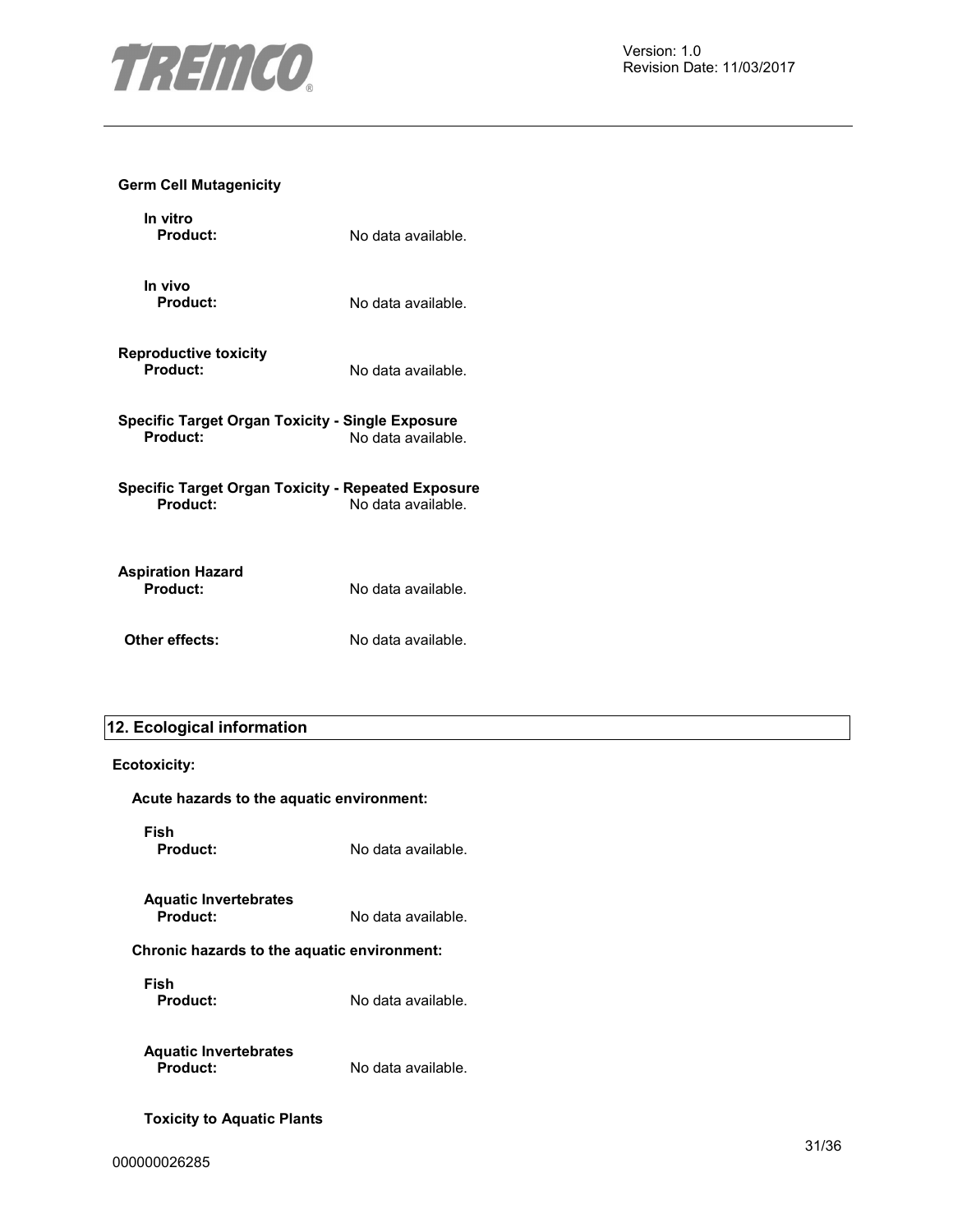

#### **Germ Cell Mutagenicity**

| In vitro<br><b>Product:</b>                                           | No data available. |
|-----------------------------------------------------------------------|--------------------|
| In vivo<br>Product:                                                   | No data available. |
| <b>Reproductive toxicity</b><br>Product:                              | No data available. |
| Specific Target Organ Toxicity - Single Exposure<br>Product:          | No data available. |
| Specific Target Organ Toxicity - Repeated Exposure<br><b>Product:</b> | No data available. |
| <b>Aspiration Hazard</b><br>Product:                                  | No data available. |
| Other effects:                                                        | No data available. |

## **12. Ecological information**

#### **Ecotoxicity:**

| Acute hazards to the aquatic environment:   |                    |
|---------------------------------------------|--------------------|
| Fish<br>Product:                            | No data available. |
| <b>Aquatic Invertebrates</b><br>Product:    | No data available. |
| Chronic hazards to the aquatic environment: |                    |
| Fish<br>Product:                            | No data available. |
| <b>Aquatic Invertebrates</b><br>Product:    | No data available. |
| <b>Toxicity to Aquatic Plants</b>           |                    |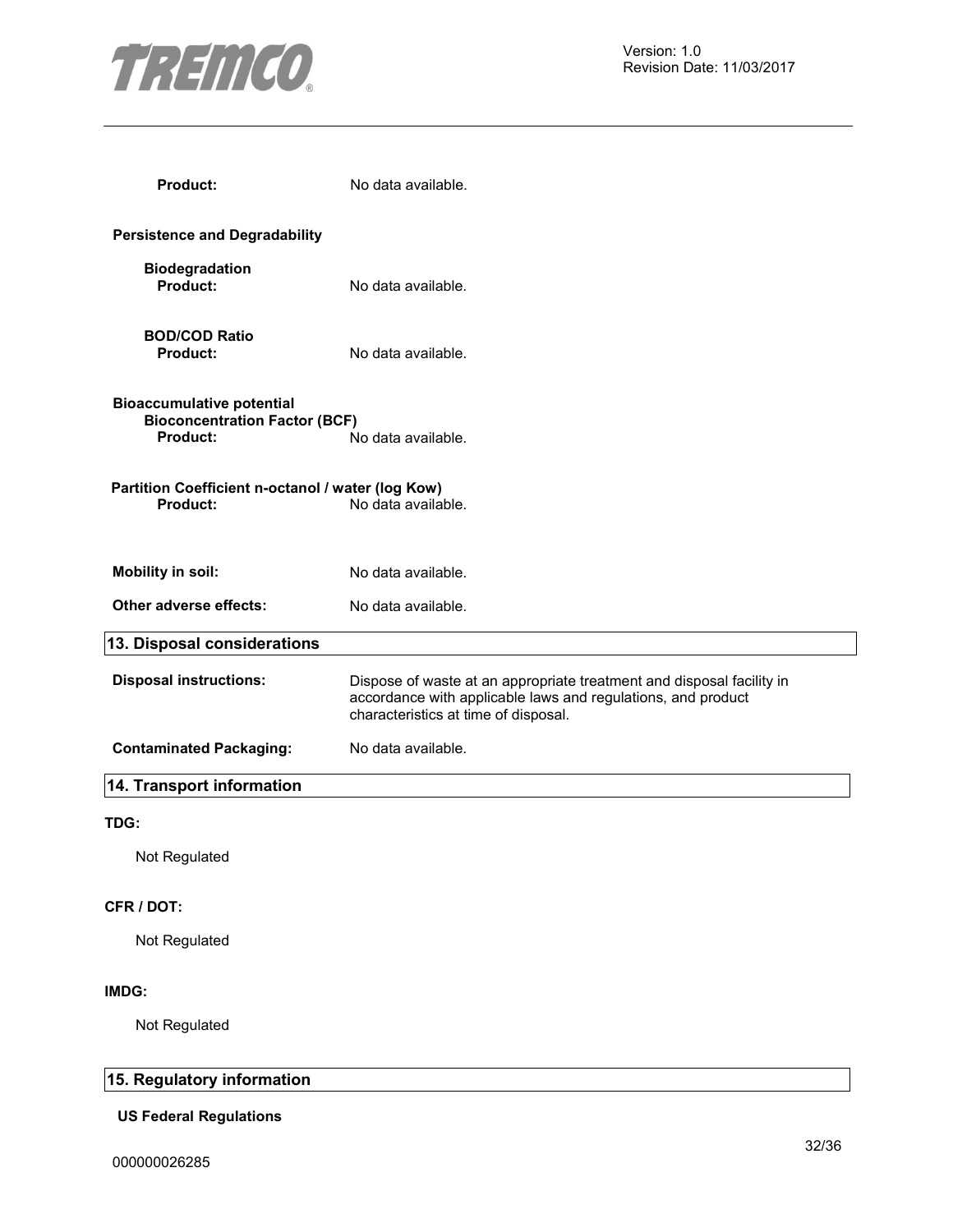

| <b>Product:</b>                                                                             | No data available.                                                                                                                                                            |
|---------------------------------------------------------------------------------------------|-------------------------------------------------------------------------------------------------------------------------------------------------------------------------------|
| <b>Persistence and Degradability</b>                                                        |                                                                                                                                                                               |
| <b>Biodegradation</b><br>Product:                                                           | No data available.                                                                                                                                                            |
| <b>BOD/COD Ratio</b><br><b>Product:</b>                                                     | No data available.                                                                                                                                                            |
| <b>Bioaccumulative potential</b><br><b>Bioconcentration Factor (BCF)</b><br><b>Product:</b> | No data available.                                                                                                                                                            |
| Partition Coefficient n-octanol / water (log Kow)<br><b>Product:</b>                        | No data available.                                                                                                                                                            |
| <b>Mobility in soil:</b>                                                                    | No data available.                                                                                                                                                            |
| Other adverse effects:                                                                      | No data available.                                                                                                                                                            |
| 13. Disposal considerations                                                                 |                                                                                                                                                                               |
| <b>Disposal instructions:</b>                                                               | Dispose of waste at an appropriate treatment and disposal facility in<br>accordance with applicable laws and regulations, and product<br>characteristics at time of disposal. |
| <b>Contaminated Packaging:</b>                                                              | No data available.                                                                                                                                                            |
| 14. Transport information                                                                   |                                                                                                                                                                               |
| TDG:                                                                                        |                                                                                                                                                                               |
| Not Regulated                                                                               |                                                                                                                                                                               |
| CFR / DOT:                                                                                  |                                                                                                                                                                               |
| Not Regulated                                                                               |                                                                                                                                                                               |
| IMDG:                                                                                       |                                                                                                                                                                               |
| Not Regulated                                                                               |                                                                                                                                                                               |

## **15. Regulatory information**

#### **US Federal Regulations**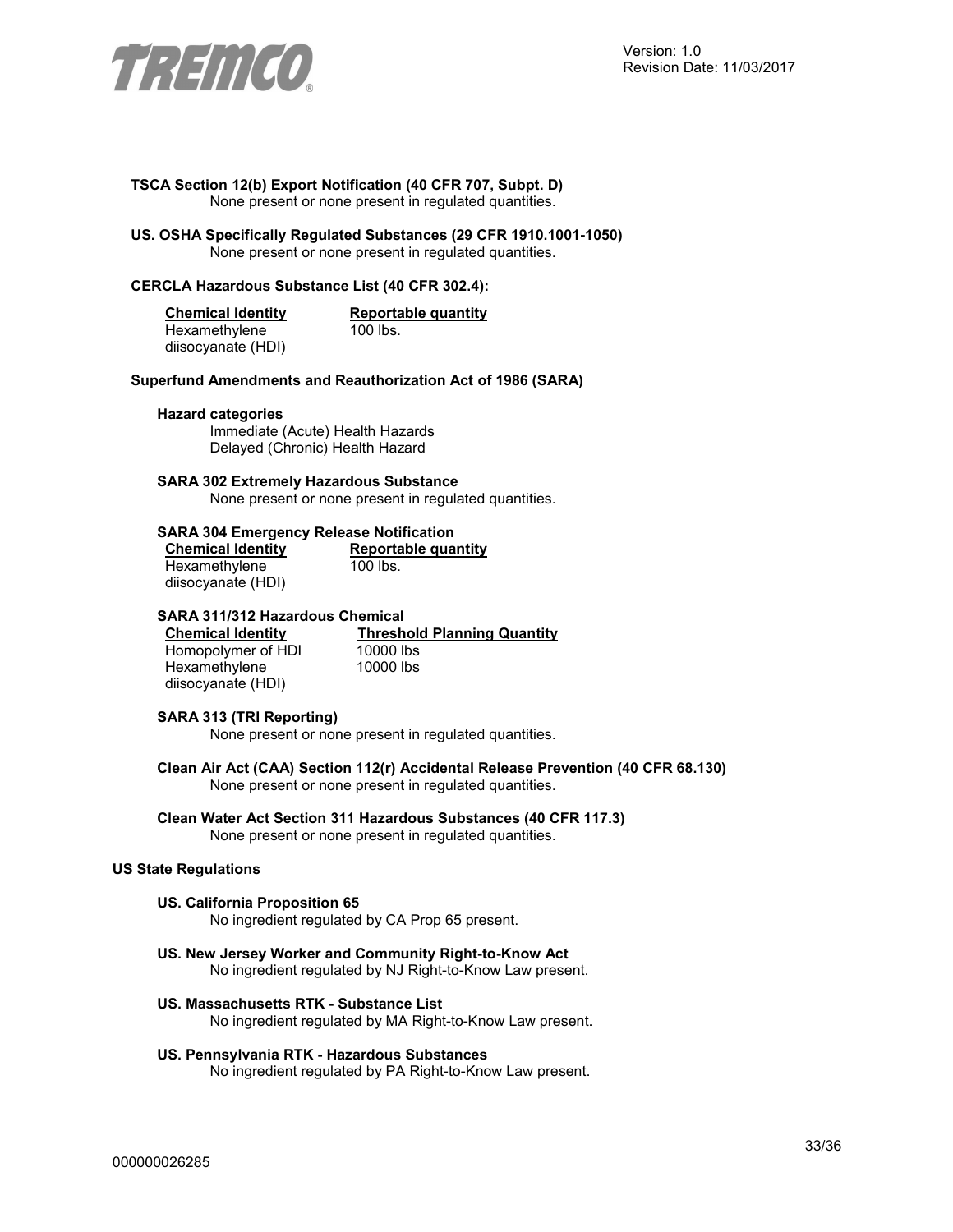

### **TSCA Section 12(b) Export Notification (40 CFR 707, Subpt. D)**

None present or none present in regulated quantities.

**US. OSHA Specifically Regulated Substances (29 CFR 1910.1001-1050)**  None present or none present in regulated quantities.

#### **CERCLA Hazardous Substance List (40 CFR 302.4):**

| <b>Chemical Identity</b> | Reportable quantity |
|--------------------------|---------------------|
| Hexamethylene            | 100 lbs.            |
| diisocyanate (HDI)       |                     |

#### **Superfund Amendments and Reauthorization Act of 1986 (SARA)**

#### **Hazard categories**

Immediate (Acute) Health Hazards Delayed (Chronic) Health Hazard

#### **SARA 302 Extremely Hazardous Substance**

None present or none present in regulated quantities.

#### **SARA 304 Emergency Release Notification**

| <b>Chemical Identity</b> | Reportable quantity |  |
|--------------------------|---------------------|--|
| Hexamethylene            | 100 lbs.            |  |
| diisocyanate (HDI)       |                     |  |

#### **SARA 311/312 Hazardous Chemical**

Homopolymer of HDI **Hexamethylene** diisocyanate (HDI)

**Chemical Identity Threshold Planning Quantity**<br>
Homopolymer of HDI 10000 lbs 10000 lbs

#### **SARA 313 (TRI Reporting)**

None present or none present in regulated quantities.

- **Clean Air Act (CAA) Section 112(r) Accidental Release Prevention (40 CFR 68.130)**  None present or none present in regulated quantities.
- **Clean Water Act Section 311 Hazardous Substances (40 CFR 117.3)**  None present or none present in regulated quantities.

#### **US State Regulations**

#### **US. California Proposition 65**

No ingredient regulated by CA Prop 65 present.

- **US. New Jersey Worker and Community Right-to-Know Act**  No ingredient regulated by NJ Right-to-Know Law present.
- **US. Massachusetts RTK Substance List**  No ingredient regulated by MA Right-to-Know Law present.
- **US. Pennsylvania RTK Hazardous Substances**

No ingredient regulated by PA Right-to-Know Law present.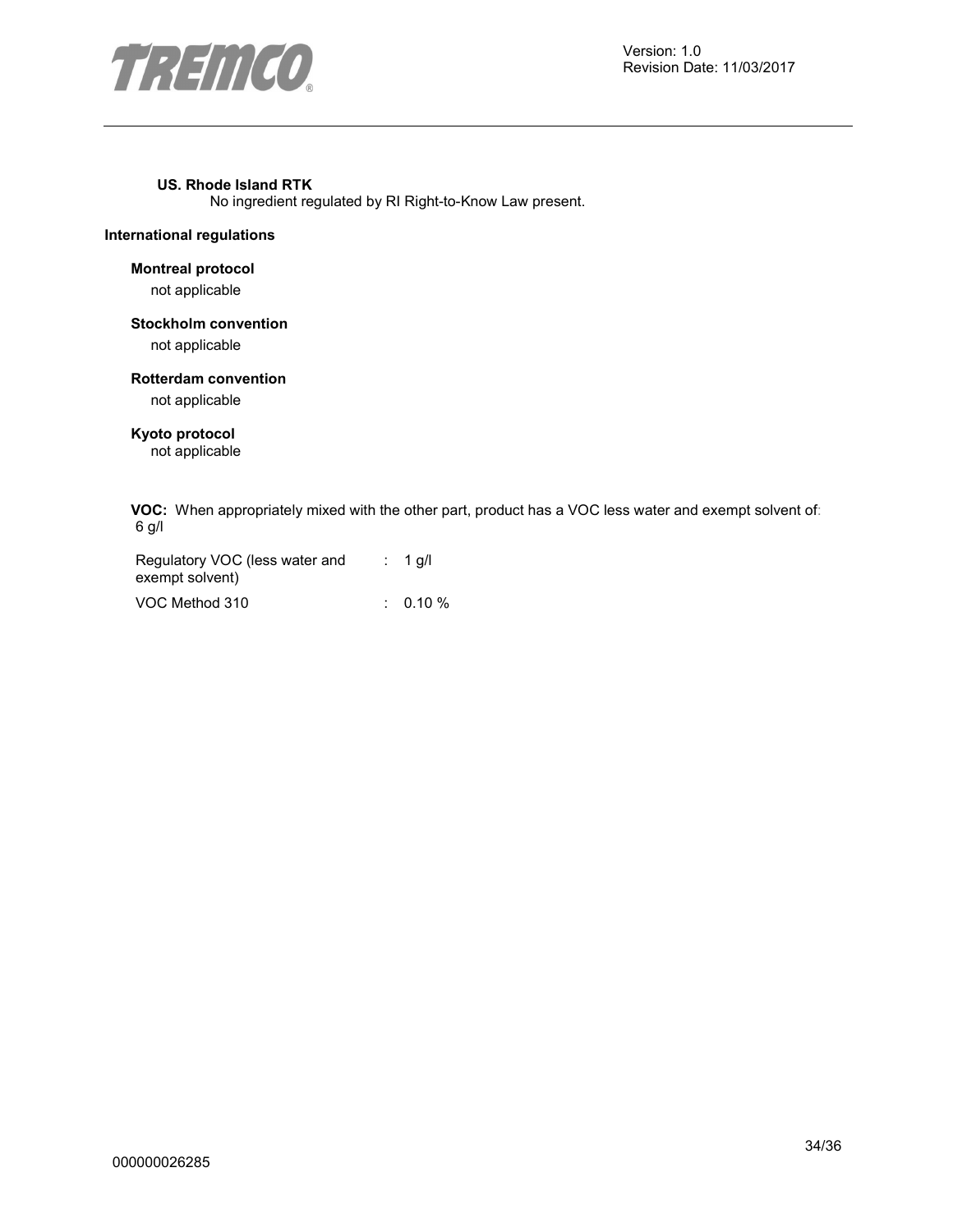

#### **US. Rhode Island RTK**

No ingredient regulated by RI Right-to-Know Law present.

#### **International regulations**

#### **Montreal protocol**

not applicable

#### **Stockholm convention**

not applicable

#### **Rotterdam convention**

not applicable

#### **Kyoto protocol**

not applicable

**VOC:** When appropriately mixed with the other part, product has a VOC less water and exempt solvent of: 6 g/l

| Regulatory VOC (less water and | $: 1$ q/l |
|--------------------------------|-----------|
| exempt solvent)                |           |
| VOC Method 310                 | $0.10 \%$ |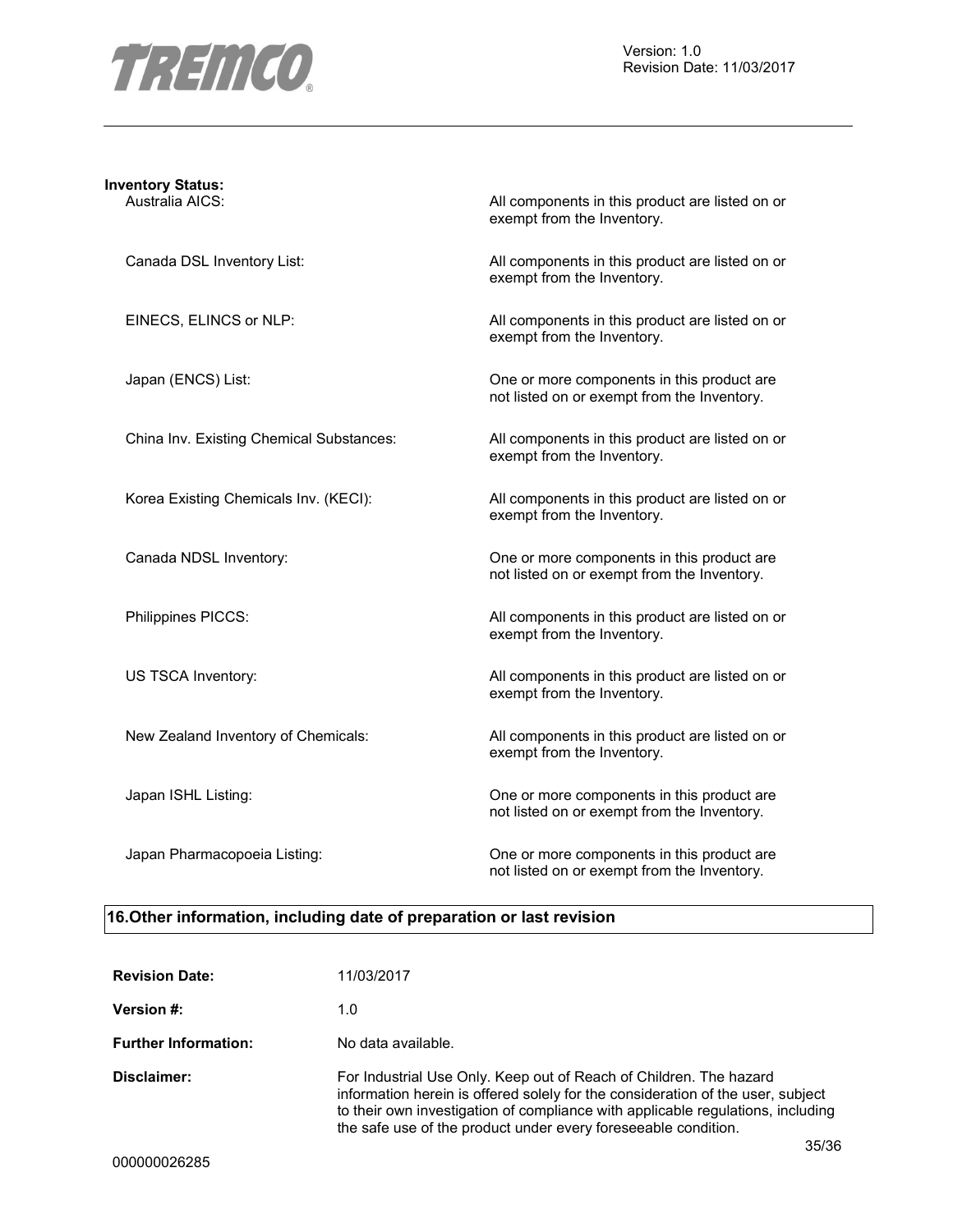

## **Inventory Status:**

Australia AICS: All components in this product are listed on or exempt from the Inventory.

Canada DSL Inventory List: All components in this product are listed on or exempt from the Inventory.

EINECS, ELINCS or NLP: All components in this product are listed on or exempt from the Inventory.

Japan (ENCS) List: One or more components in this product are not listed on or exempt from the Inventory.

China Inv. Existing Chemical Substances: All components in this product are listed on or exempt from the Inventory.

Korea Existing Chemicals Inv. (KECI): All components in this product are listed on or exempt from the Inventory.

Canada NDSL Inventory: One or more components in this product are not listed on or exempt from the Inventory.

Philippines PICCS: All components in this product are listed on or exempt from the Inventory.

US TSCA Inventory: The same of the COLOR All components in this product are listed on or exempt from the Inventory.

New Zealand Inventory of Chemicals: All components in this product are listed on or exempt from the Inventory.

Japan ISHL Listing: One or more components in this product are not listed on or exempt from the Inventory.

Japan Pharmacopoeia Listing: One or more components in this product are not listed on or exempt from the Inventory.

#### **16.Other information, including date of preparation or last revision**

| <b>Revision Date:</b>       | 11/03/2017                                                                                                                                                                                                                                                                                                           |
|-----------------------------|----------------------------------------------------------------------------------------------------------------------------------------------------------------------------------------------------------------------------------------------------------------------------------------------------------------------|
| <b>Version #:</b>           | 1.0                                                                                                                                                                                                                                                                                                                  |
| <b>Further Information:</b> | No data available.                                                                                                                                                                                                                                                                                                   |
| Disclaimer:                 | For Industrial Use Only. Keep out of Reach of Children. The hazard<br>information herein is offered solely for the consideration of the user, subject<br>to their own investigation of compliance with applicable regulations, including<br>the safe use of the product under every fore seeable condition.<br>35/36 |